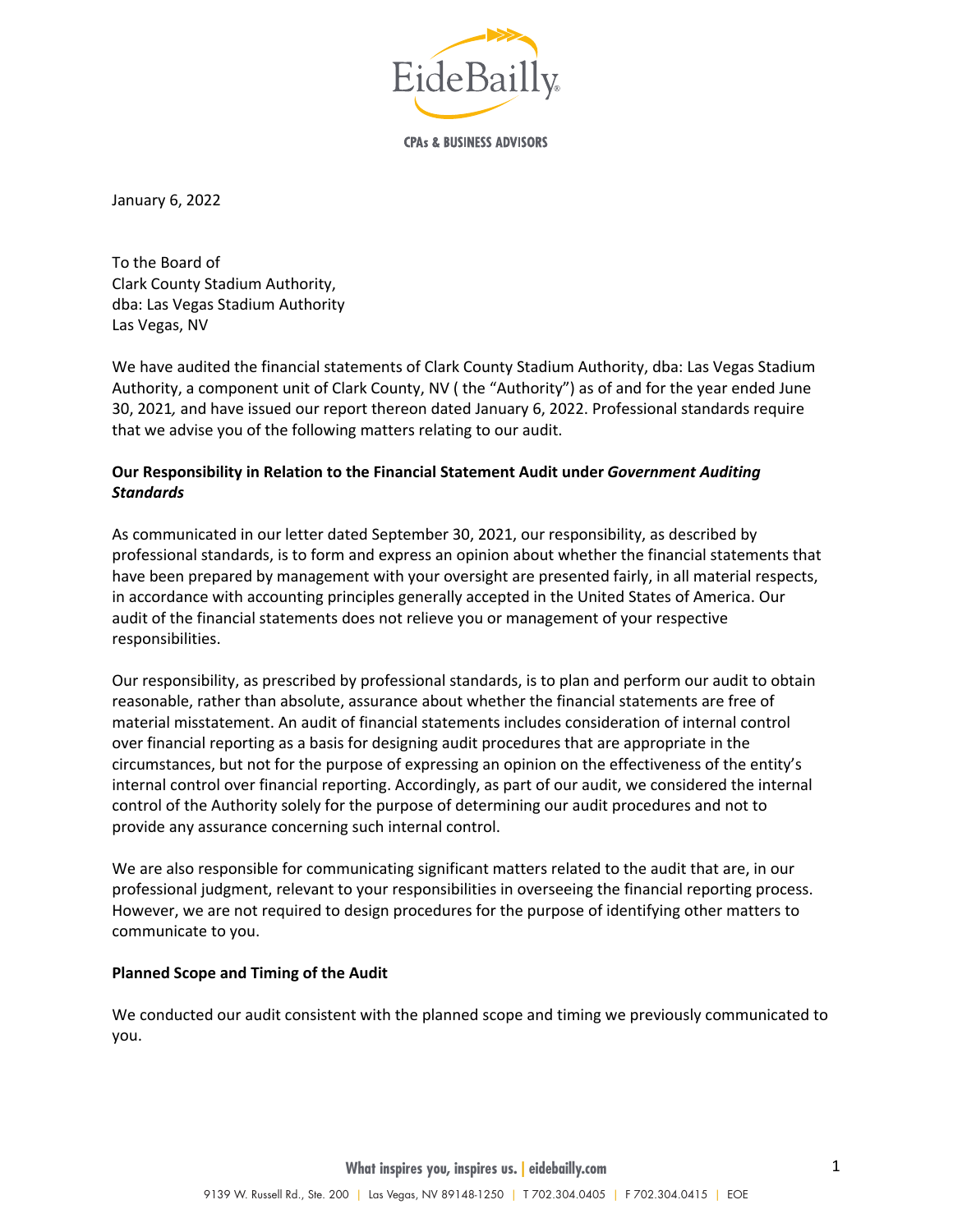

**CPAs & BUSINESS ADVISORS** 

January 6, 2022

To the Board of Clark County Stadium Authority, dba: Las Vegas Stadium Authority Las Vegas, NV

We have audited the financial statements of Clark County Stadium Authority, dba: Las Vegas Stadium Authority, a component unit of Clark County, NV ( the "Authority") as of and for the year ended June 30, 2021*,* and have issued our report thereon dated January 6, 2022. Professional standards require that we advise you of the following matters relating to our audit.

# **Our Responsibility in Relation to the Financial Statement Audit under** *Government Auditing Standards*

As communicated in our letter dated September 30, 2021, our responsibility, as described by professional standards, is to form and express an opinion about whether the financial statements that have been prepared by management with your oversight are presented fairly, in all material respects, in accordance with accounting principles generally accepted in the United States of America. Our audit of the financial statements does not relieve you or management of your respective responsibilities.

Our responsibility, as prescribed by professional standards, is to plan and perform our audit to obtain reasonable, rather than absolute, assurance about whether the financial statements are free of material misstatement. An audit of financial statements includes consideration of internal control over financial reporting as a basis for designing audit procedures that are appropriate in the circumstances, but not for the purpose of expressing an opinion on the effectiveness of the entity's internal control over financial reporting. Accordingly, as part of our audit, we considered the internal control of the Authority solely for the purpose of determining our audit procedures and not to provide any assurance concerning such internal control.

We are also responsible for communicating significant matters related to the audit that are, in our professional judgment, relevant to your responsibilities in overseeing the financial reporting process. However, we are not required to design procedures for the purpose of identifying other matters to communicate to you.

#### **Planned Scope and Timing of the Audit**

We conducted our audit consistent with the planned scope and timing we previously communicated to you.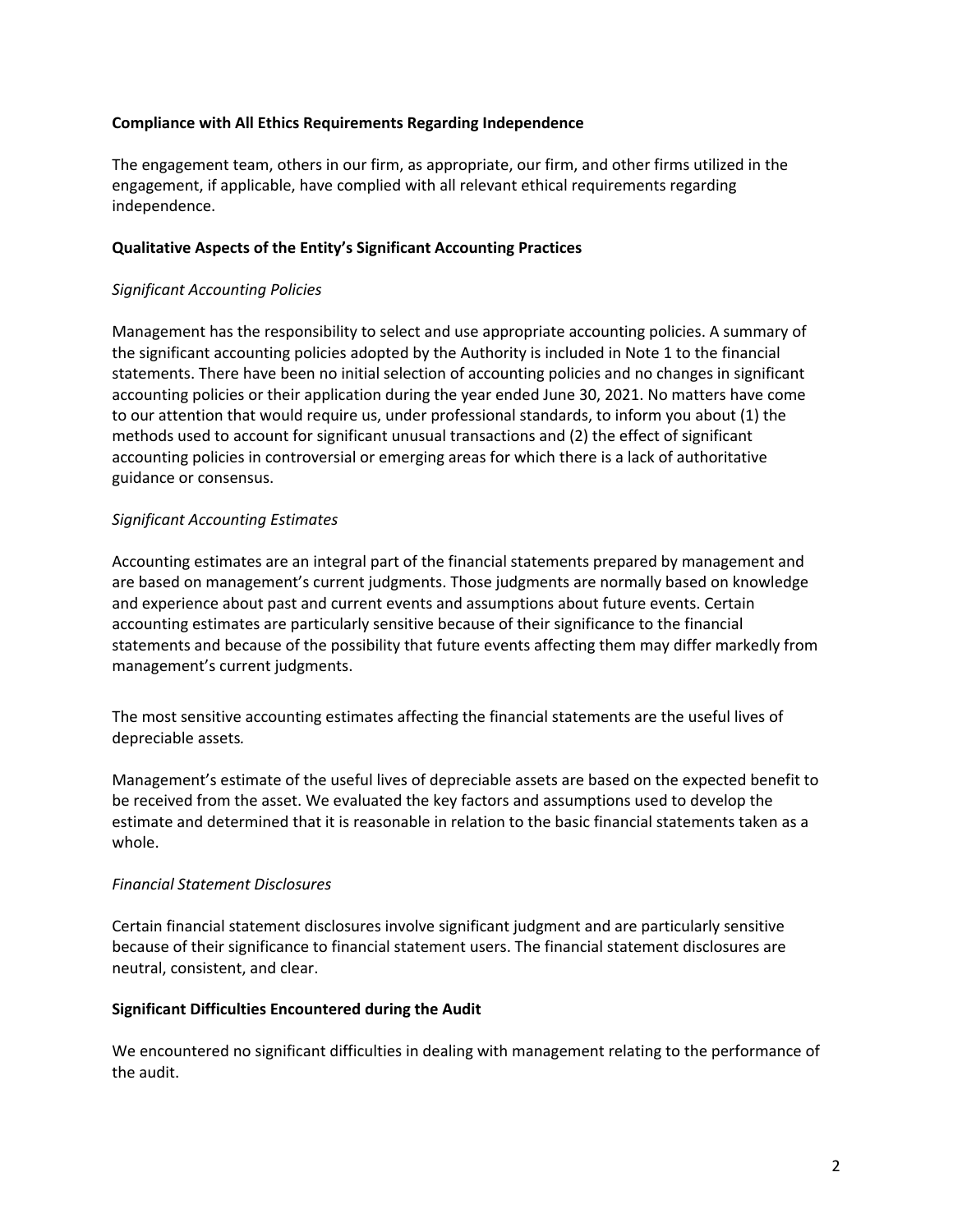## **Compliance with All Ethics Requirements Regarding Independence**

The engagement team, others in our firm, as appropriate, our firm, and other firms utilized in the engagement, if applicable, have complied with all relevant ethical requirements regarding independence.

## **Qualitative Aspects of the Entity's Significant Accounting Practices**

# *Significant Accounting Policies*

Management has the responsibility to select and use appropriate accounting policies. A summary of the significant accounting policies adopted by the Authority is included in Note 1 to the financial statements. There have been no initial selection of accounting policies and no changes in significant accounting policies or their application during the year ended June 30, 2021. No matters have come to our attention that would require us, under professional standards, to inform you about (1) the methods used to account for significant unusual transactions and (2) the effect of significant accounting policies in controversial or emerging areas for which there is a lack of authoritative guidance or consensus.

# *Significant Accounting Estimates*

Accounting estimates are an integral part of the financial statements prepared by management and are based on management's current judgments. Those judgments are normally based on knowledge and experience about past and current events and assumptions about future events. Certain accounting estimates are particularly sensitive because of their significance to the financial statements and because of the possibility that future events affecting them may differ markedly from management's current judgments.

The most sensitive accounting estimates affecting the financial statements are the useful lives of depreciable assets*.*

Management's estimate of the useful lives of depreciable assets are based on the expected benefit to be received from the asset. We evaluated the key factors and assumptions used to develop the estimate and determined that it is reasonable in relation to the basic financial statements taken as a whole.

## *Financial Statement Disclosures*

Certain financial statement disclosures involve significant judgment and are particularly sensitive because of their significance to financial statement users. The financial statement disclosures are neutral, consistent, and clear.

## **Significant Difficulties Encountered during the Audit**

We encountered no significant difficulties in dealing with management relating to the performance of the audit.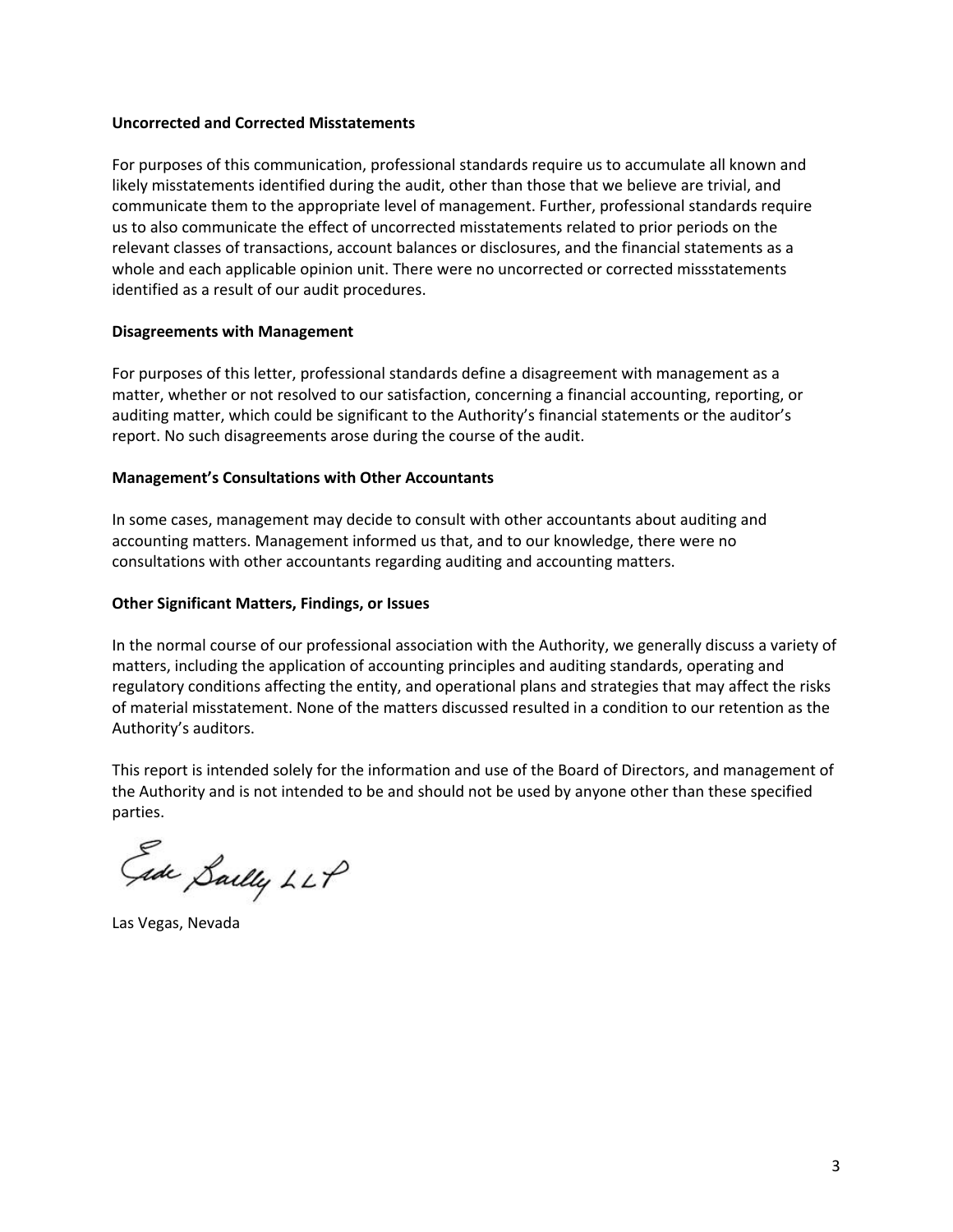#### **Uncorrected and Corrected Misstatements**

For purposes of this communication, professional standards require us to accumulate all known and likely misstatements identified during the audit, other than those that we believe are trivial, and communicate them to the appropriate level of management. Further, professional standards require us to also communicate the effect of uncorrected misstatements related to prior periods on the relevant classes of transactions, account balances or disclosures, and the financial statements as a whole and each applicable opinion unit. There were no uncorrected or corrected missstatements identified as a result of our audit procedures.

#### **Disagreements with Management**

For purposes of this letter, professional standards define a disagreement with management as a matter, whether or not resolved to our satisfaction, concerning a financial accounting, reporting, or auditing matter, which could be significant to the Authority's financial statements or the auditor's report. No such disagreements arose during the course of the audit.

#### **Management's Consultations with Other Accountants**

In some cases, management may decide to consult with other accountants about auditing and accounting matters. Management informed us that, and to our knowledge, there were no consultations with other accountants regarding auditing and accounting matters.

#### **Other Significant Matters, Findings, or Issues**

In the normal course of our professional association with the Authority, we generally discuss a variety of matters, including the application of accounting principles and auditing standards, operating and regulatory conditions affecting the entity, and operational plans and strategies that may affect the risks of material misstatement. None of the matters discussed resulted in a condition to our retention as the Authority's auditors.

This report is intended solely for the information and use of the Board of Directors, and management of the Authority and is not intended to be and should not be used by anyone other than these specified parties.

Gide Sailly LLP

Las Vegas, Nevada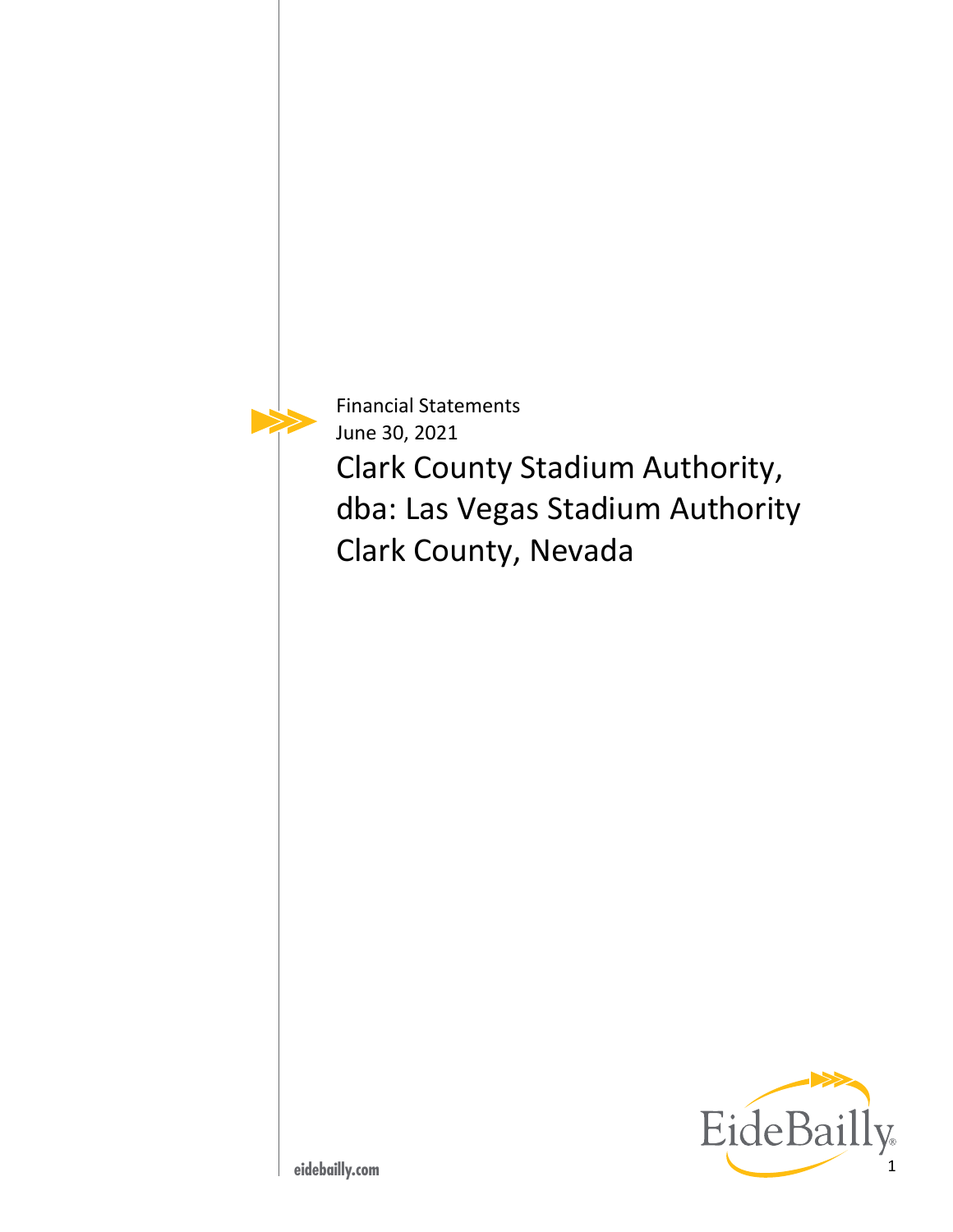Financial Statements June 30, 2021 Clark County Stadium Authority, dba: Las Vegas Stadium Authority Clark County, Nevada

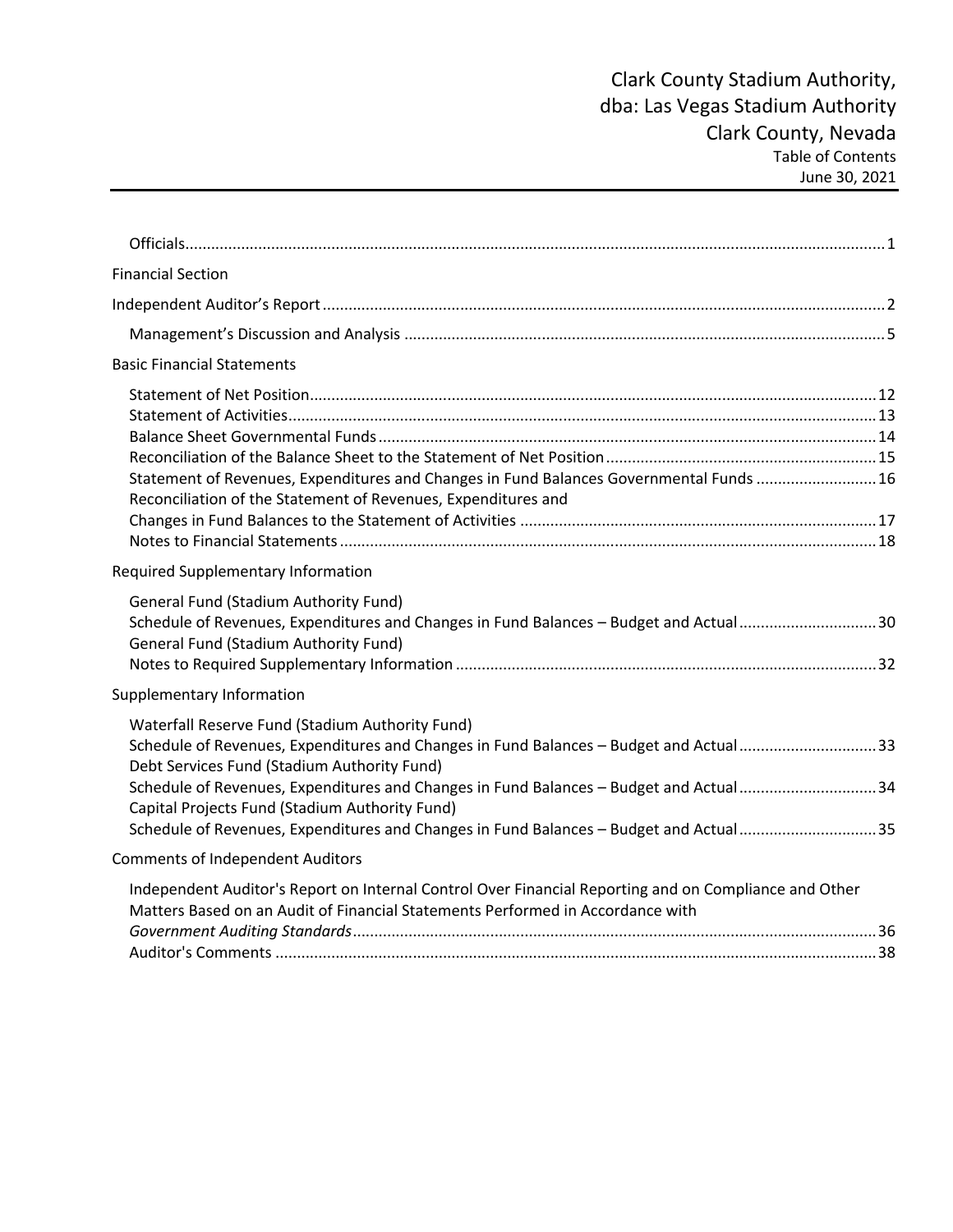| <b>Financial Section</b>                                                                                                                                                                                                                                                                                                                                                                                                    |  |
|-----------------------------------------------------------------------------------------------------------------------------------------------------------------------------------------------------------------------------------------------------------------------------------------------------------------------------------------------------------------------------------------------------------------------------|--|
|                                                                                                                                                                                                                                                                                                                                                                                                                             |  |
|                                                                                                                                                                                                                                                                                                                                                                                                                             |  |
| <b>Basic Financial Statements</b>                                                                                                                                                                                                                                                                                                                                                                                           |  |
| Statement of Revenues, Expenditures and Changes in Fund Balances Governmental Funds 16<br>Reconciliation of the Statement of Revenues, Expenditures and                                                                                                                                                                                                                                                                     |  |
|                                                                                                                                                                                                                                                                                                                                                                                                                             |  |
| Required Supplementary Information                                                                                                                                                                                                                                                                                                                                                                                          |  |
| <b>General Fund (Stadium Authority Fund)</b><br>Schedule of Revenues, Expenditures and Changes in Fund Balances - Budget and Actual30<br><b>General Fund (Stadium Authority Fund)</b>                                                                                                                                                                                                                                       |  |
| Supplementary Information                                                                                                                                                                                                                                                                                                                                                                                                   |  |
| Waterfall Reserve Fund (Stadium Authority Fund)<br>Schedule of Revenues, Expenditures and Changes in Fund Balances - Budget and Actual33<br>Debt Services Fund (Stadium Authority Fund)<br>Schedule of Revenues, Expenditures and Changes in Fund Balances - Budget and Actual34<br>Capital Projects Fund (Stadium Authority Fund)<br>Schedule of Revenues, Expenditures and Changes in Fund Balances - Budget and Actual35 |  |
| <b>Comments of Independent Auditors</b>                                                                                                                                                                                                                                                                                                                                                                                     |  |
| Independent Auditor's Report on Internal Control Over Financial Reporting and on Compliance and Other<br>Matters Based on an Audit of Financial Statements Performed in Accordance with                                                                                                                                                                                                                                     |  |
|                                                                                                                                                                                                                                                                                                                                                                                                                             |  |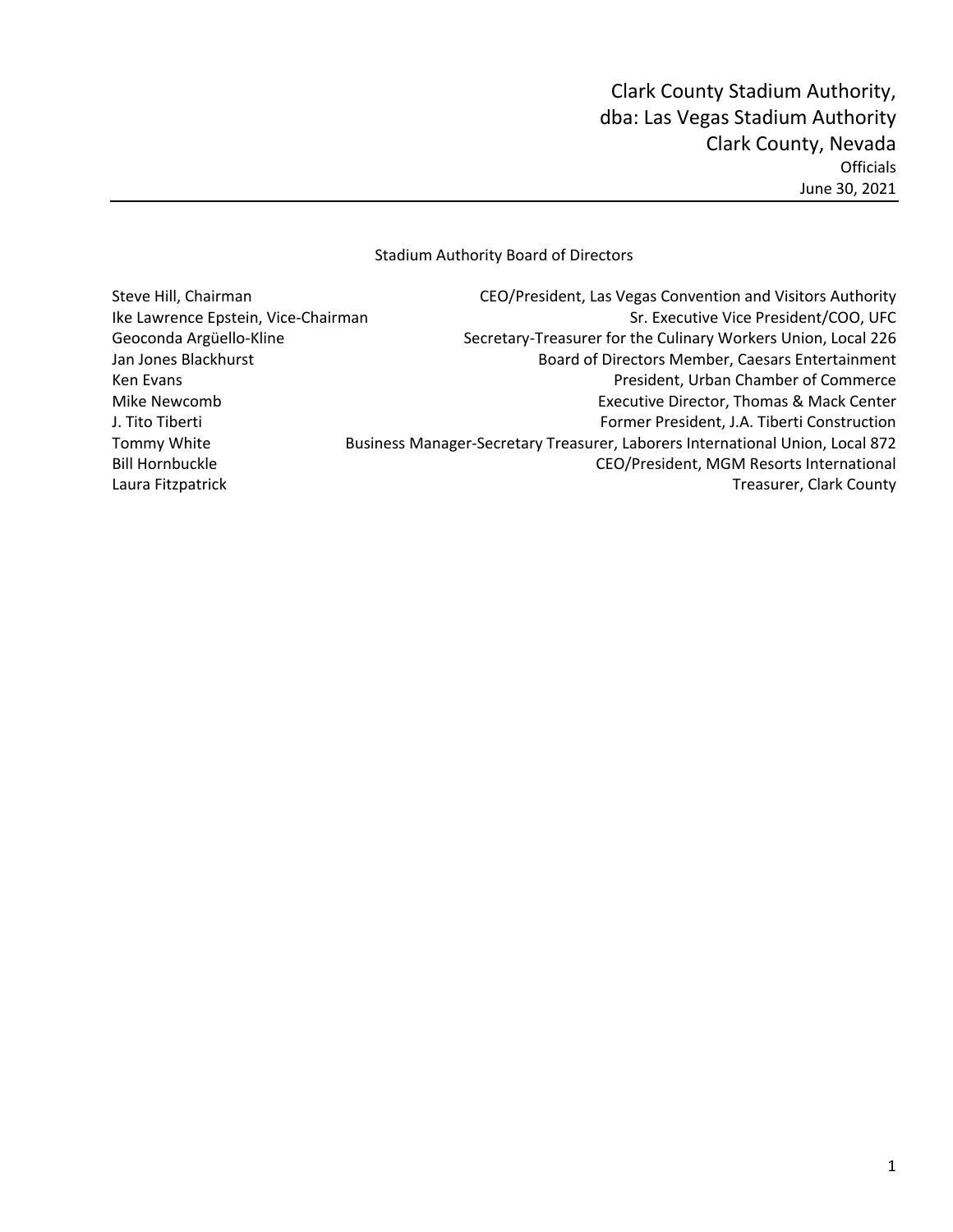Clark County Stadium Authority, dba: Las Vegas Stadium Authority Clark County, Nevada Officials June 30, 2021

Stadium Authority Board of Directors

| Ike Lawrence Epstein, Vice-Chairman<br>Geoconda Argüello-Kline<br>Jan Jones Blackhurst<br>Ken Evans<br>Mike Newcomb<br>J. Tito Tiberti<br>Tommy White<br><b>Bill Hornbuckle</b><br>Laura Fitzpatrick | Steve Hill, Chairman | CEO/President, Las Vegas Convention and Visitors Authority                    |
|------------------------------------------------------------------------------------------------------------------------------------------------------------------------------------------------------|----------------------|-------------------------------------------------------------------------------|
|                                                                                                                                                                                                      |                      | Sr. Executive Vice President/COO, UFC                                         |
|                                                                                                                                                                                                      |                      | Secretary-Treasurer for the Culinary Workers Union, Local 226                 |
|                                                                                                                                                                                                      |                      | Board of Directors Member, Caesars Entertainment                              |
|                                                                                                                                                                                                      |                      | President, Urban Chamber of Commerce                                          |
|                                                                                                                                                                                                      |                      | Executive Director, Thomas & Mack Center                                      |
|                                                                                                                                                                                                      |                      | Former President, J.A. Tiberti Construction                                   |
|                                                                                                                                                                                                      |                      | Business Manager-Secretary Treasurer, Laborers International Union, Local 872 |
|                                                                                                                                                                                                      |                      | CEO/President, MGM Resorts International                                      |
|                                                                                                                                                                                                      |                      | Treasurer, Clark County                                                       |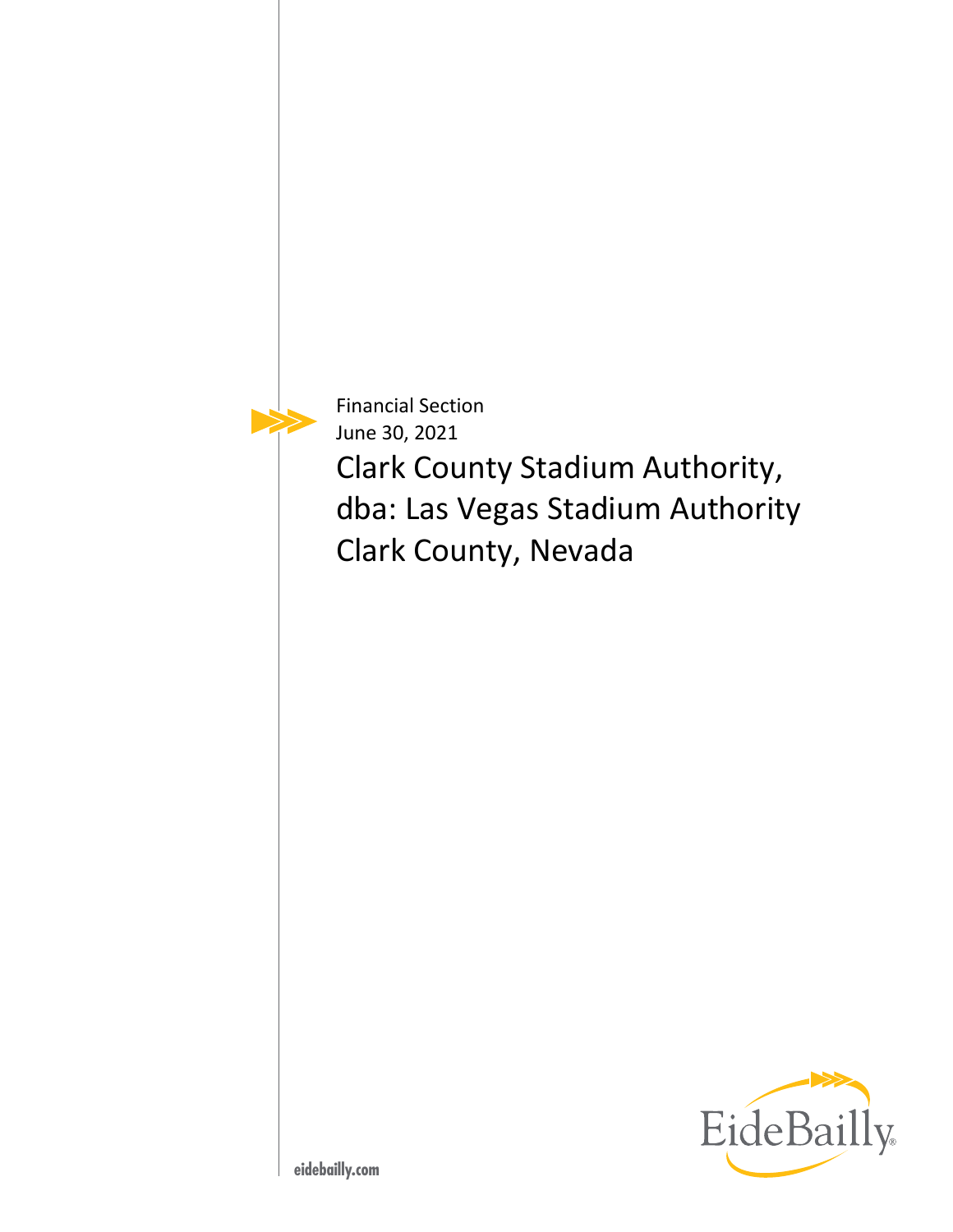Financial Section June 30, 2021 Clark County Stadium Authority, dba: Las Vegas Stadium Authority Clark County, Nevada

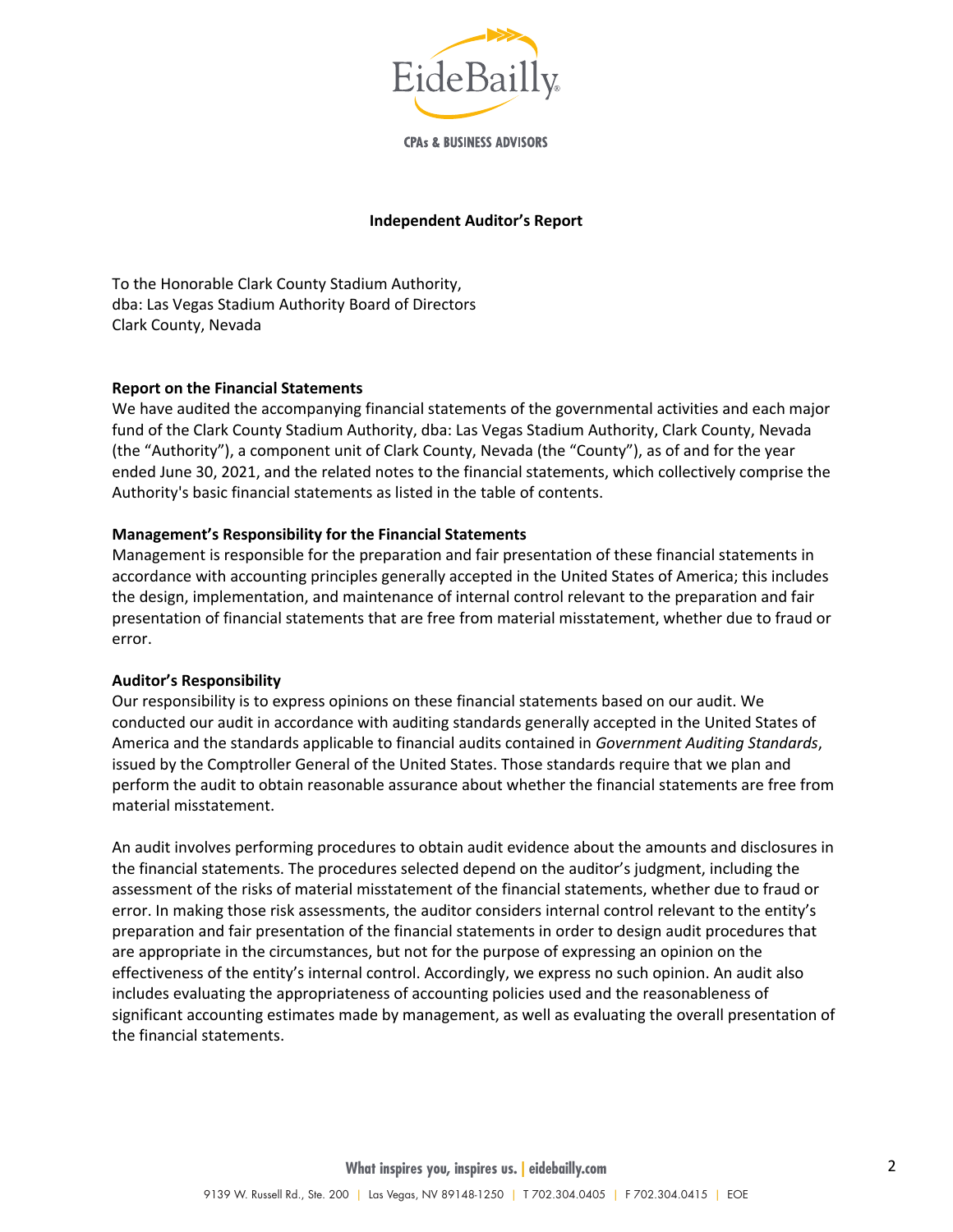

**CPAs & BUSINESS ADVISORS** 

#### **Independent Auditor's Report**

To the Honorable Clark County Stadium Authority, dba: Las Vegas Stadium Authority Board of Directors Clark County, Nevada

#### **Report on the Financial Statements**

We have audited the accompanying financial statements of the governmental activities and each major fund of the Clark County Stadium Authority, dba: Las Vegas Stadium Authority, Clark County, Nevada (the "Authority"), a component unit of Clark County, Nevada (the "County"), as of and for the year ended June 30, 2021, and the related notes to the financial statements, which collectively comprise the Authority's basic financial statements as listed in the table of contents.

#### **Management's Responsibility for the Financial Statements**

Management is responsible for the preparation and fair presentation of these financial statements in accordance with accounting principles generally accepted in the United States of America; this includes the design, implementation, and maintenance of internal control relevant to the preparation and fair presentation of financial statements that are free from material misstatement, whether due to fraud or error.

#### **Auditor's Responsibility**

Our responsibility is to express opinions on these financial statements based on our audit. We conducted our audit in accordance with auditing standards generally accepted in the United States of America and the standards applicable to financial audits contained in *Government Auditing Standards*, issued by the Comptroller General of the United States. Those standards require that we plan and perform the audit to obtain reasonable assurance about whether the financial statements are free from material misstatement.

An audit involves performing procedures to obtain audit evidence about the amounts and disclosures in the financial statements. The procedures selected depend on the auditor's judgment, including the assessment of the risks of material misstatement of the financial statements, whether due to fraud or error. In making those risk assessments, the auditor considers internal control relevant to the entity's preparation and fair presentation of the financial statements in order to design audit procedures that are appropriate in the circumstances, but not for the purpose of expressing an opinion on the effectiveness of the entity's internal control. Accordingly, we express no such opinion. An audit also includes evaluating the appropriateness of accounting policies used and the reasonableness of significant accounting estimates made by management, as well as evaluating the overall presentation of the financial statements.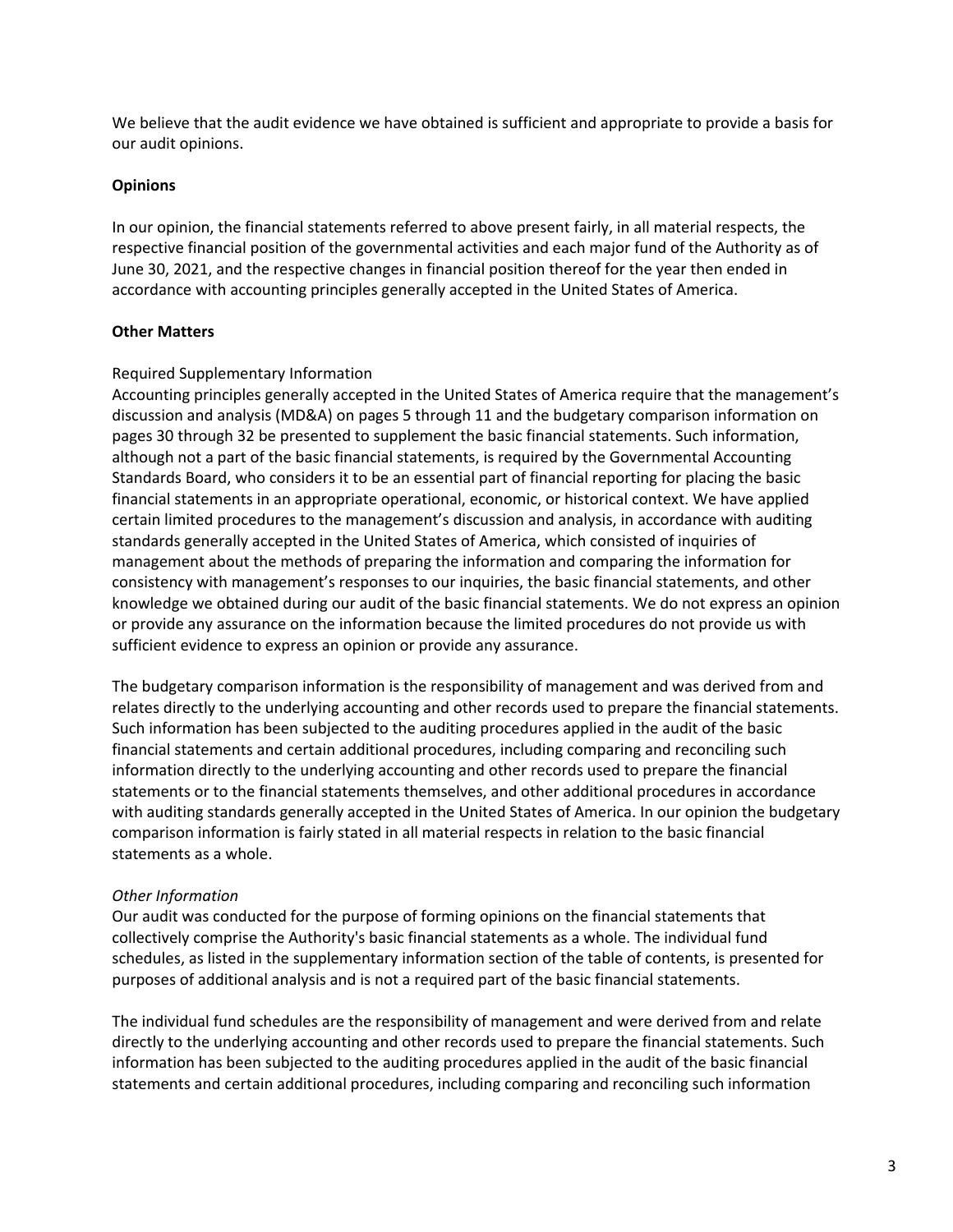We believe that the audit evidence we have obtained is sufficient and appropriate to provide a basis for our audit opinions.

# **Opinions**

In our opinion, the financial statements referred to above present fairly, in all material respects, the respective financial position of the governmental activities and each major fund of the Authority as of June 30, 2021, and the respective changes in financial position thereof for the year then ended in accordance with accounting principles generally accepted in the United States of America.

# **Other Matters**

# Required Supplementary Information

Accounting principles generally accepted in the United States of America require that the management's discussion and analysis (MD&A) on pages 5 through 11 and the budgetary comparison information on pages 30 through 32 be presented to supplement the basic financial statements. Such information, although not a part of the basic financial statements, is required by the Governmental Accounting Standards Board, who considers it to be an essential part of financial reporting for placing the basic financial statements in an appropriate operational, economic, or historical context. We have applied certain limited procedures to the management's discussion and analysis, in accordance with auditing standards generally accepted in the United States of America, which consisted of inquiries of management about the methods of preparing the information and comparing the information for consistency with management's responses to our inquiries, the basic financial statements, and other knowledge we obtained during our audit of the basic financial statements. We do not express an opinion or provide any assurance on the information because the limited procedures do not provide us with sufficient evidence to express an opinion or provide any assurance.

The budgetary comparison information is the responsibility of management and was derived from and relates directly to the underlying accounting and other records used to prepare the financial statements. Such information has been subjected to the auditing procedures applied in the audit of the basic financial statements and certain additional procedures, including comparing and reconciling such information directly to the underlying accounting and other records used to prepare the financial statements or to the financial statements themselves, and other additional procedures in accordance with auditing standards generally accepted in the United States of America. In our opinion the budgetary comparison information is fairly stated in all material respects in relation to the basic financial statements as a whole.

# *Other Information*

Our audit was conducted for the purpose of forming opinions on the financial statements that collectively comprise the Authority's basic financial statements as a whole. The individual fund schedules, as listed in the supplementary information section of the table of contents, is presented for purposes of additional analysis and is not a required part of the basic financial statements.

The individual fund schedules are the responsibility of management and were derived from and relate directly to the underlying accounting and other records used to prepare the financial statements. Such information has been subjected to the auditing procedures applied in the audit of the basic financial statements and certain additional procedures, including comparing and reconciling such information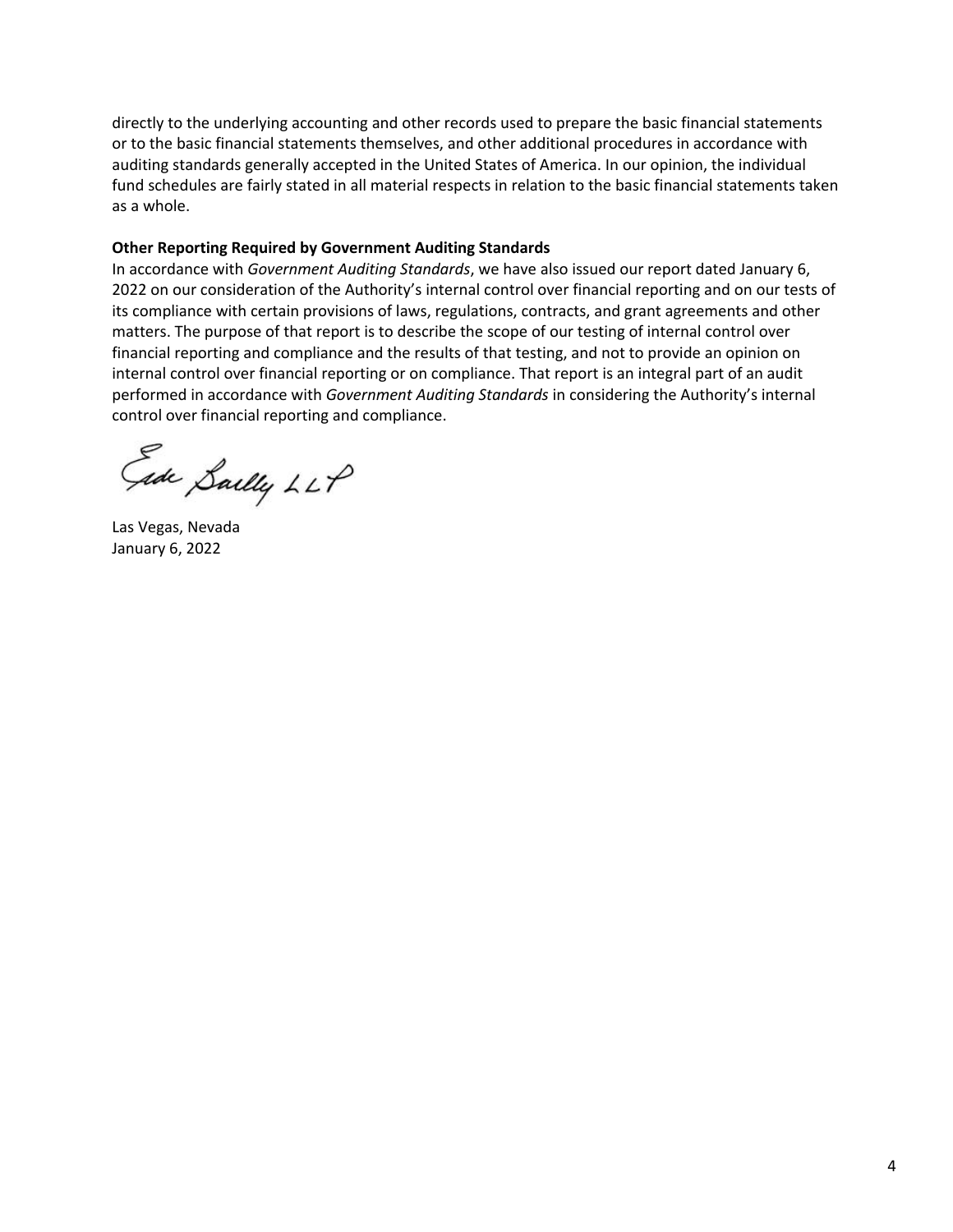directly to the underlying accounting and other records used to prepare the basic financial statements or to the basic financial statements themselves, and other additional procedures in accordance with auditing standards generally accepted in the United States of America. In our opinion, the individual fund schedules are fairly stated in all material respects in relation to the basic financial statements taken as a whole.

# **Other Reporting Required by Government Auditing Standards**

In accordance with *Government Auditing Standards*, we have also issued our report dated January 6, 2022 on our consideration of the Authority's internal control over financial reporting and on our tests of its compliance with certain provisions of laws, regulations, contracts, and grant agreements and other matters. The purpose of that report is to describe the scope of our testing of internal control over financial reporting and compliance and the results of that testing, and not to provide an opinion on internal control over financial reporting or on compliance. That report is an integral part of an audit performed in accordance with *Government Auditing Standards* in considering the Authority's internal control over financial reporting and compliance.

Ede Sailly LLP

Las Vegas, Nevada January 6, 2022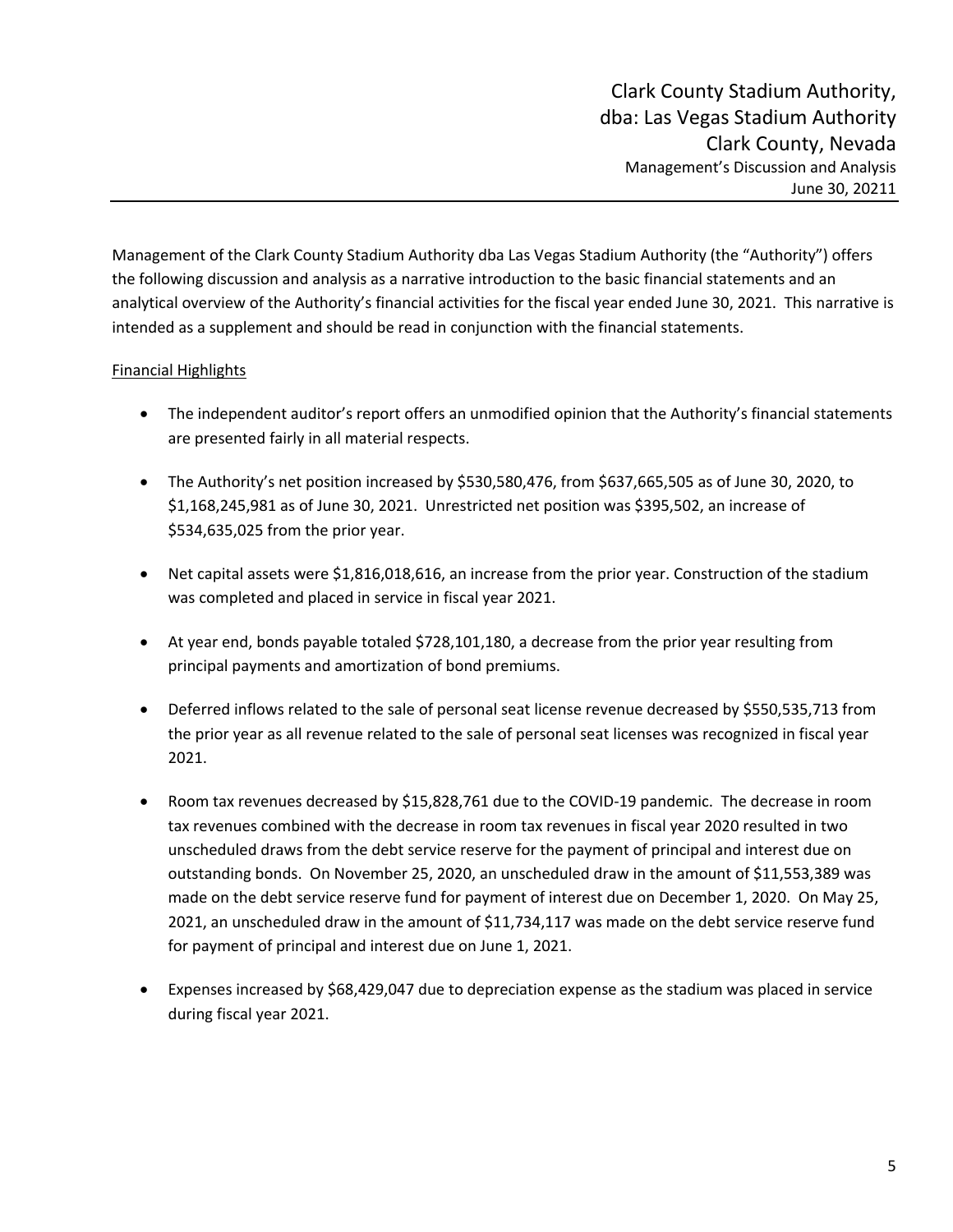Management of the Clark County Stadium Authority dba Las Vegas Stadium Authority (the "Authority") offers the following discussion and analysis as a narrative introduction to the basic financial statements and an analytical overview of the Authority's financial activities for the fiscal year ended June 30, 2021. This narrative is intended as a supplement and should be read in conjunction with the financial statements.

# Financial Highlights

- The independent auditor's report offers an unmodified opinion that the Authority's financial statements are presented fairly in all material respects.
- The Authority's net position increased by \$530,580,476, from \$637,665,505 as of June 30, 2020, to \$1,168,245,981 as of June 30, 2021. Unrestricted net position was \$395,502, an increase of \$534,635,025 from the prior year.
- Net capital assets were \$1,816,018,616, an increase from the prior year. Construction of the stadium was completed and placed in service in fiscal year 2021.
- At year end, bonds payable totaled \$728,101,180, a decrease from the prior year resulting from principal payments and amortization of bond premiums.
- Deferred inflows related to the sale of personal seat license revenue decreased by \$550,535,713 from the prior year as all revenue related to the sale of personal seat licenses was recognized in fiscal year 2021.
- Room tax revenues decreased by \$15,828,761 due to the COVID-19 pandemic. The decrease in room tax revenues combined with the decrease in room tax revenues in fiscal year 2020 resulted in two unscheduled draws from the debt service reserve for the payment of principal and interest due on outstanding bonds. On November 25, 2020, an unscheduled draw in the amount of \$11,553,389 was made on the debt service reserve fund for payment of interest due on December 1, 2020. On May 25, 2021, an unscheduled draw in the amount of \$11,734,117 was made on the debt service reserve fund for payment of principal and interest due on June 1, 2021.
- Expenses increased by \$68,429,047 due to depreciation expense as the stadium was placed in service during fiscal year 2021.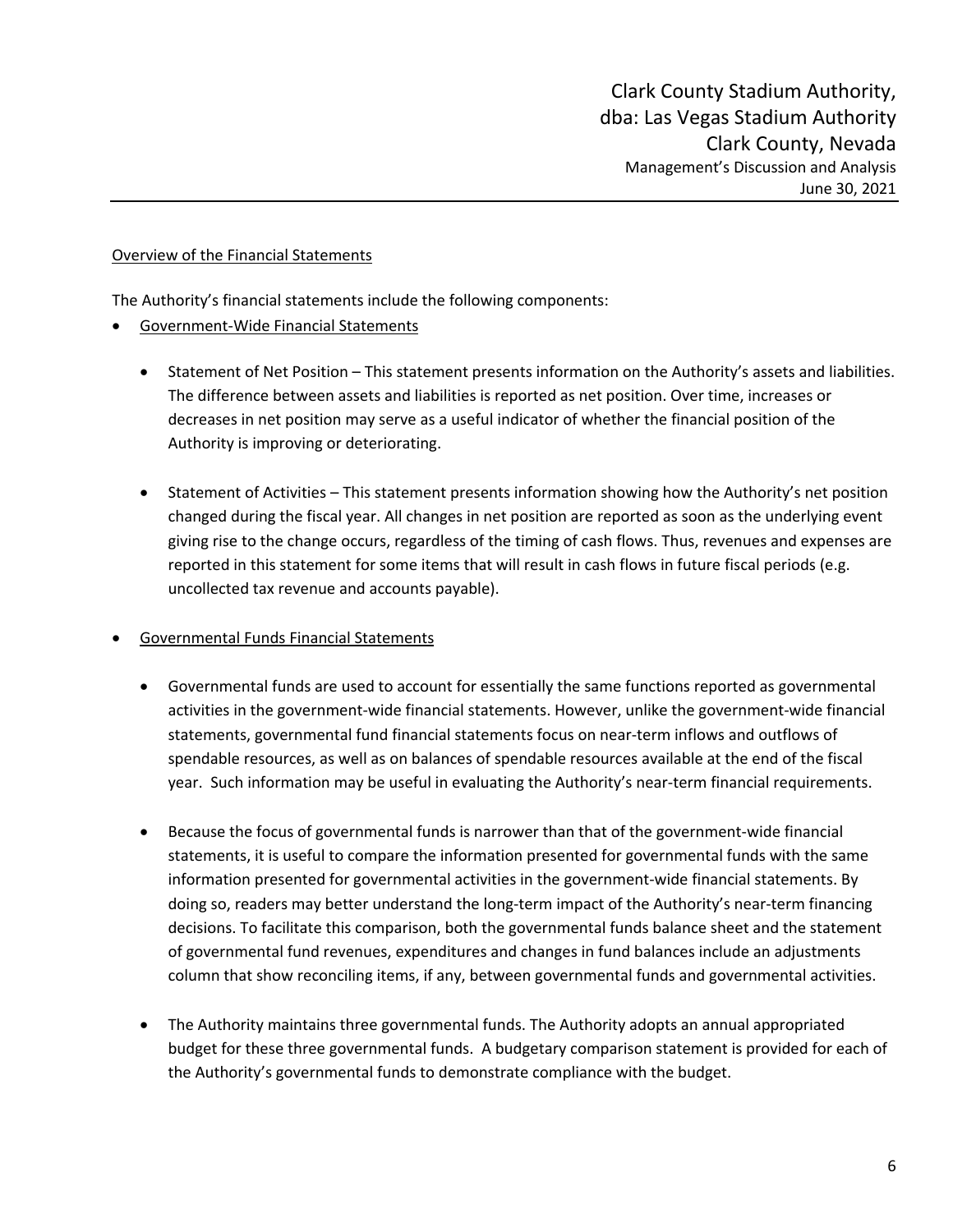## Overview of the Financial Statements

The Authority's financial statements include the following components:

- Government-Wide Financial Statements
	- Statement of Net Position This statement presents information on the Authority's assets and liabilities. The difference between assets and liabilities is reported as net position. Over time, increases or decreases in net position may serve as a useful indicator of whether the financial position of the Authority is improving or deteriorating.
	- Statement of Activities This statement presents information showing how the Authority's net position changed during the fiscal year. All changes in net position are reported as soon as the underlying event giving rise to the change occurs, regardless of the timing of cash flows. Thus, revenues and expenses are reported in this statement for some items that will result in cash flows in future fiscal periods (e.g. uncollected tax revenue and accounts payable).
- Governmental Funds Financial Statements
	- Governmental funds are used to account for essentially the same functions reported as governmental activities in the government-wide financial statements. However, unlike the government-wide financial statements, governmental fund financial statements focus on near-term inflows and outflows of spendable resources, as well as on balances of spendable resources available at the end of the fiscal year. Such information may be useful in evaluating the Authority's near-term financial requirements.
	- Because the focus of governmental funds is narrower than that of the government-wide financial statements, it is useful to compare the information presented for governmental funds with the same information presented for governmental activities in the government-wide financial statements. By doing so, readers may better understand the long-term impact of the Authority's near-term financing decisions. To facilitate this comparison, both the governmental funds balance sheet and the statement of governmental fund revenues, expenditures and changes in fund balances include an adjustments column that show reconciling items, if any, between governmental funds and governmental activities.
	- The Authority maintains three governmental funds. The Authority adopts an annual appropriated budget for these three governmental funds. A budgetary comparison statement is provided for each of the Authority's governmental funds to demonstrate compliance with the budget.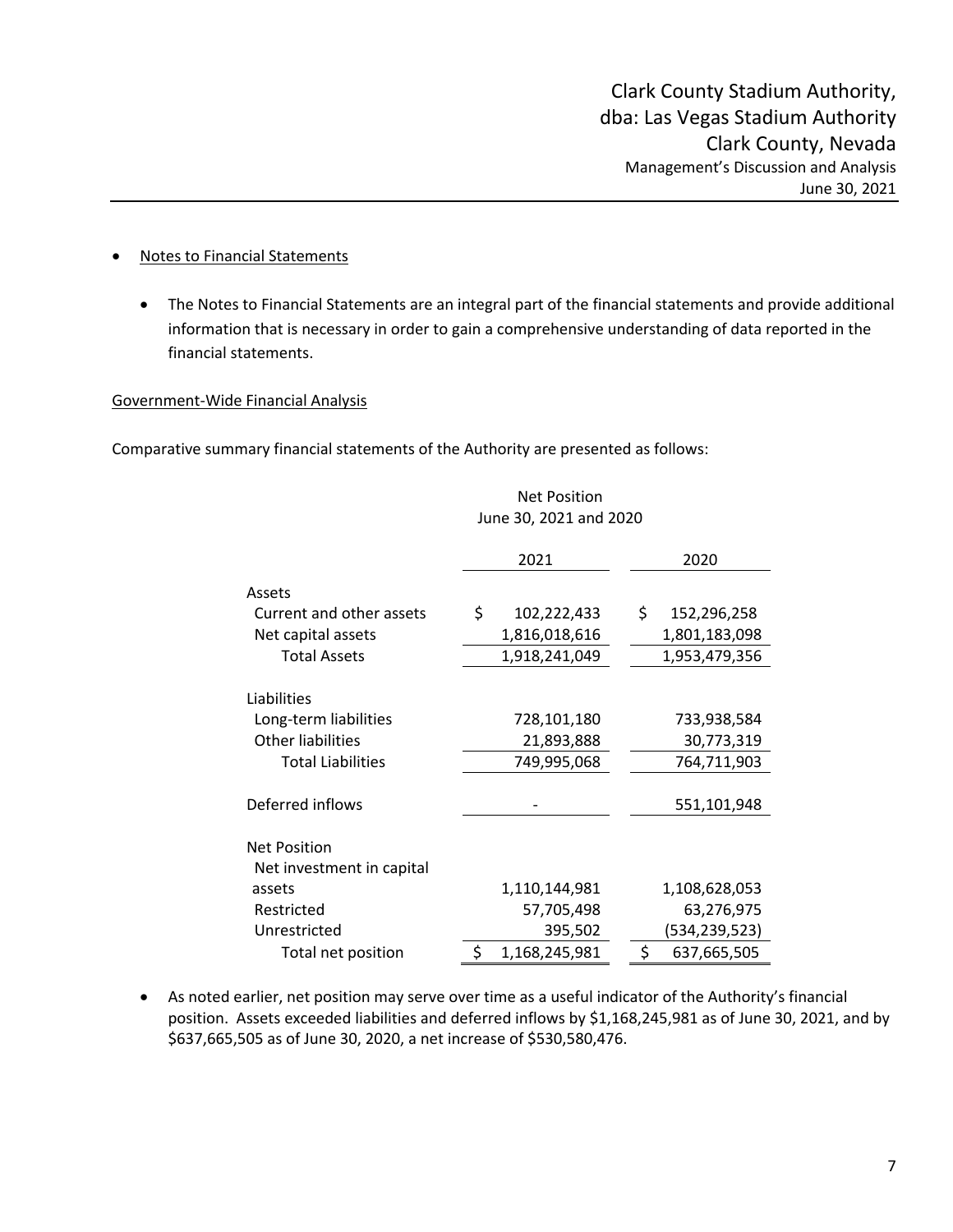# Notes to Financial Statements

 The Notes to Financial Statements are an integral part of the financial statements and provide additional information that is necessary in order to gain a comprehensive understanding of data reported in the financial statements.

#### Government-Wide Financial Analysis

Comparative summary financial statements of the Authority are presented as follows:

|                           | 2021                |     | 2020          |
|---------------------------|---------------------|-----|---------------|
| Assets                    |                     |     |               |
| Current and other assets  | \$<br>102,222,433   | \$. | 152,296,258   |
| Net capital assets        | 1,816,018,616       |     | 1,801,183,098 |
| <b>Total Assets</b>       | 1,918,241,049       |     | 1,953,479,356 |
|                           |                     |     |               |
| Liabilities               |                     |     |               |
| Long-term liabilities     | 728,101,180         |     | 733,938,584   |
| <b>Other liabilities</b>  | 21,893,888          |     | 30,773,319    |
| <b>Total Liabilities</b>  | 749,995,068         |     | 764,711,903   |
|                           |                     |     |               |
| Deferred inflows          |                     |     | 551,101,948   |
| <b>Net Position</b>       |                     |     |               |
|                           |                     |     |               |
| Net investment in capital |                     |     |               |
| assets                    | 1,110,144,981       |     | 1,108,628,053 |
| Restricted                | 57,705,498          |     | 63,276,975    |
| Unrestricted              | 395,502             |     | (534,239,523) |
| Total net position        | \$<br>1,168,245,981 | \$  | 637,665,505   |

Net Position June 30, 2021 and 2020

 As noted earlier, net position may serve over time as a useful indicator of the Authority's financial position. Assets exceeded liabilities and deferred inflows by \$1,168,245,981 as of June 30, 2021, and by \$637,665,505 as of June 30, 2020, a net increase of \$530,580,476.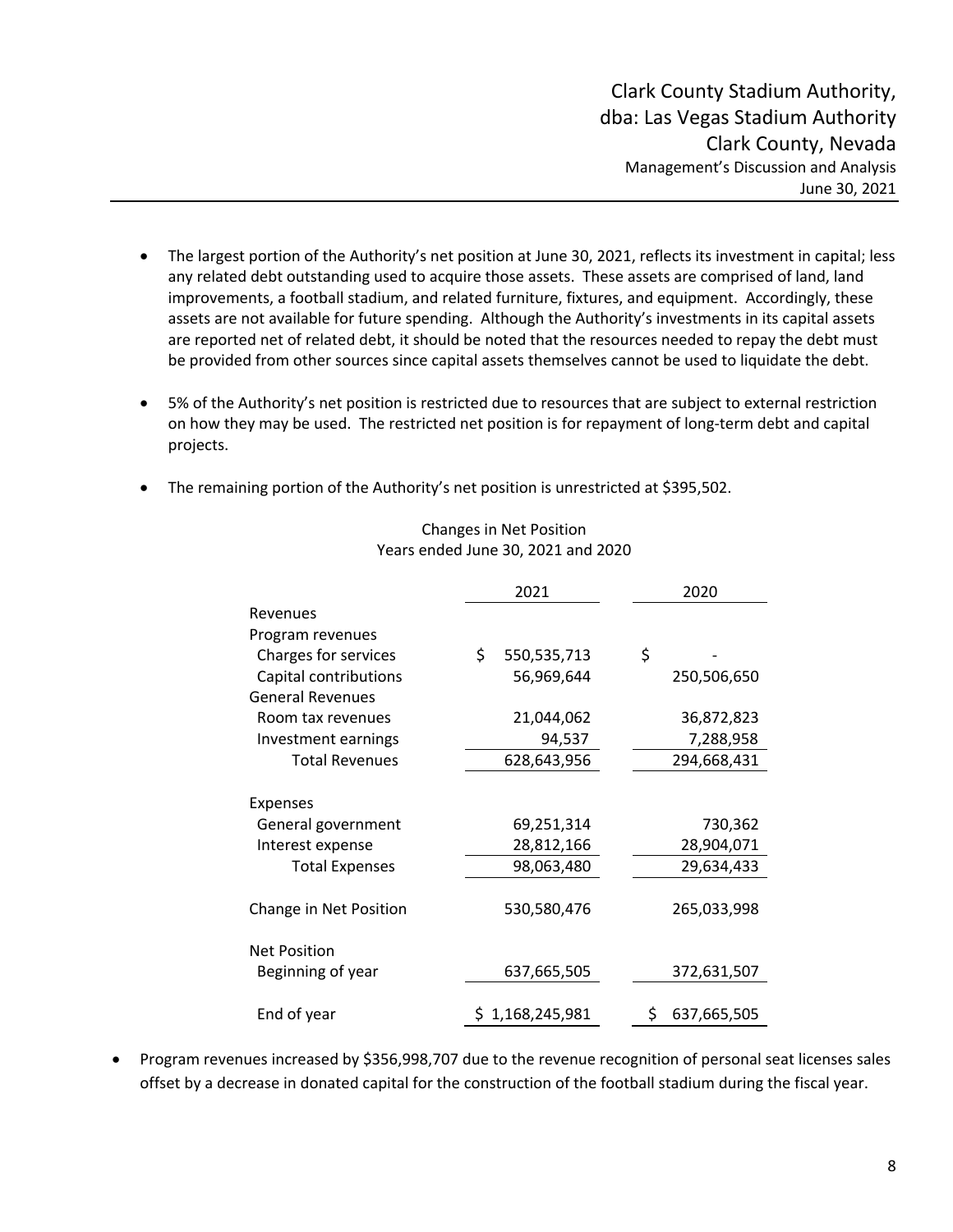- The largest portion of the Authority's net position at June 30, 2021, reflects its investment in capital; less any related debt outstanding used to acquire those assets. These assets are comprised of land, land improvements, a football stadium, and related furniture, fixtures, and equipment. Accordingly, these assets are not available for future spending. Although the Authority's investments in its capital assets are reported net of related debt, it should be noted that the resources needed to repay the debt must be provided from other sources since capital assets themselves cannot be used to liquidate the debt.
- 5% of the Authority's net position is restricted due to resources that are subject to external restriction on how they may be used. The restricted net position is for repayment of long-term debt and capital projects.
- The remaining portion of the Authority's net position is unrestricted at \$395,502.

|                         | 2021 |                 |    | 2020        |
|-------------------------|------|-----------------|----|-------------|
| Revenues                |      |                 |    |             |
| Program revenues        |      |                 |    |             |
| Charges for services    | \$   | 550,535,713     | \$ |             |
| Capital contributions   |      | 56,969,644      |    | 250,506,650 |
| <b>General Revenues</b> |      |                 |    |             |
| Room tax revenues       |      | 21,044,062      |    | 36,872,823  |
| Investment earnings     |      | 94,537          |    | 7,288,958   |
| <b>Total Revenues</b>   |      | 628,643,956     |    | 294,668,431 |
|                         |      |                 |    |             |
| Expenses                |      |                 |    |             |
| General government      |      | 69,251,314      |    | 730,362     |
| Interest expense        |      | 28,812,166      |    | 28,904,071  |
| <b>Total Expenses</b>   |      | 98,063,480      |    | 29,634,433  |
|                         |      |                 |    |             |
| Change in Net Position  |      | 530,580,476     |    | 265,033,998 |
| <b>Net Position</b>     |      |                 |    |             |
|                         |      | 637,665,505     |    |             |
| Beginning of year       |      |                 |    | 372,631,507 |
| End of year             |      | \$1,168,245,981 | Ś  | 637,665,505 |

# Changes in Net Position Years ended June 30, 2021 and 2020

 Program revenues increased by \$356,998,707 due to the revenue recognition of personal seat licenses sales offset by a decrease in donated capital for the construction of the football stadium during the fiscal year.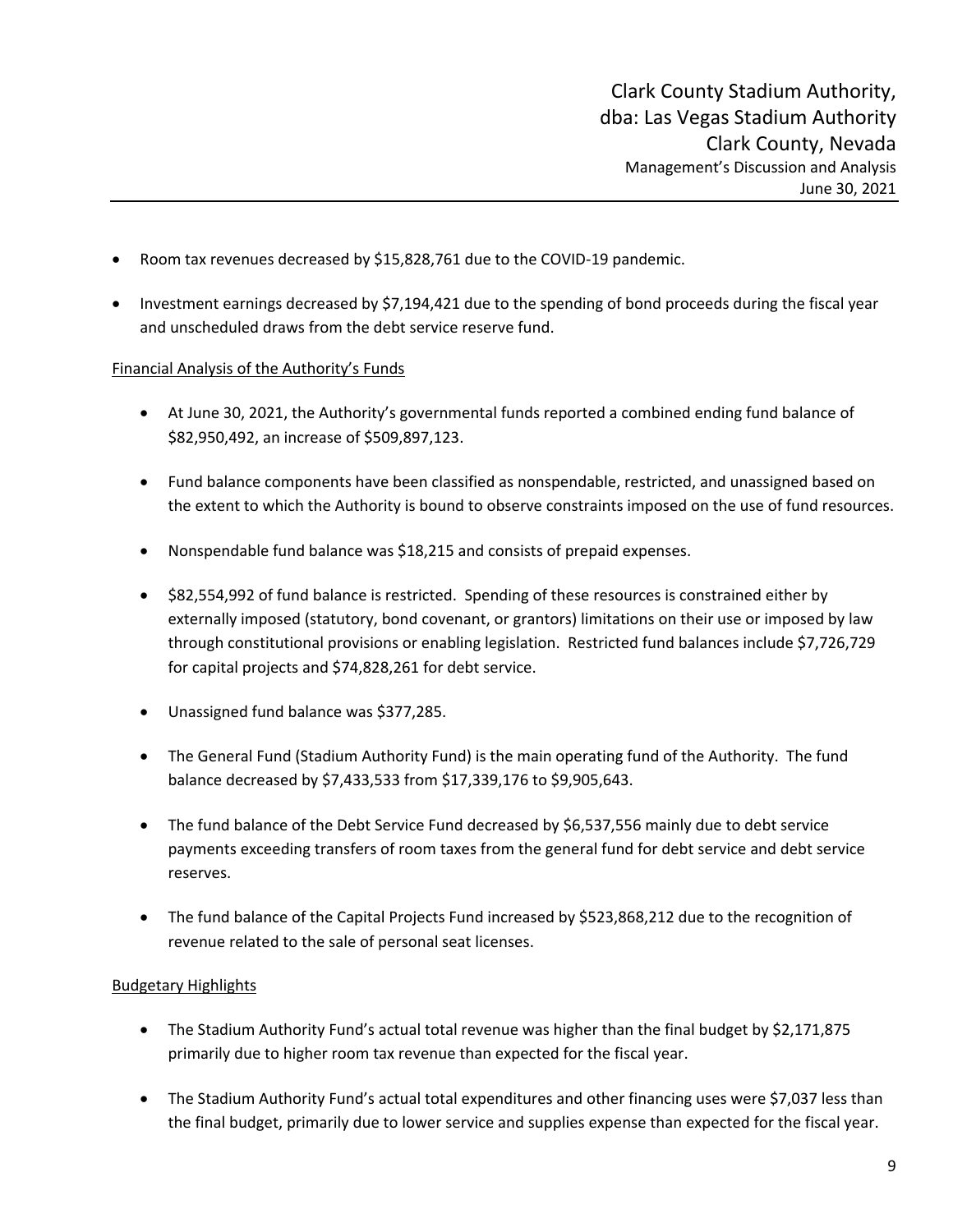- Room tax revenues decreased by \$15,828,761 due to the COVID-19 pandemic.
- Investment earnings decreased by \$7,194,421 due to the spending of bond proceeds during the fiscal year and unscheduled draws from the debt service reserve fund.

## Financial Analysis of the Authority's Funds

- At June 30, 2021, the Authority's governmental funds reported a combined ending fund balance of \$82,950,492, an increase of \$509,897,123.
- Fund balance components have been classified as nonspendable, restricted, and unassigned based on the extent to which the Authority is bound to observe constraints imposed on the use of fund resources.
- Nonspendable fund balance was \$18,215 and consists of prepaid expenses.
- \$82,554,992 of fund balance is restricted. Spending of these resources is constrained either by externally imposed (statutory, bond covenant, or grantors) limitations on their use or imposed by law through constitutional provisions or enabling legislation. Restricted fund balances include \$7,726,729 for capital projects and \$74,828,261 for debt service.
- Unassigned fund balance was \$377,285.
- The General Fund (Stadium Authority Fund) is the main operating fund of the Authority. The fund balance decreased by \$7,433,533 from \$17,339,176 to \$9,905,643.
- The fund balance of the Debt Service Fund decreased by \$6,537,556 mainly due to debt service payments exceeding transfers of room taxes from the general fund for debt service and debt service reserves.
- The fund balance of the Capital Projects Fund increased by \$523,868,212 due to the recognition of revenue related to the sale of personal seat licenses.

## Budgetary Highlights

- The Stadium Authority Fund's actual total revenue was higher than the final budget by \$2,171,875 primarily due to higher room tax revenue than expected for the fiscal year.
- The Stadium Authority Fund's actual total expenditures and other financing uses were \$7,037 less than the final budget, primarily due to lower service and supplies expense than expected for the fiscal year.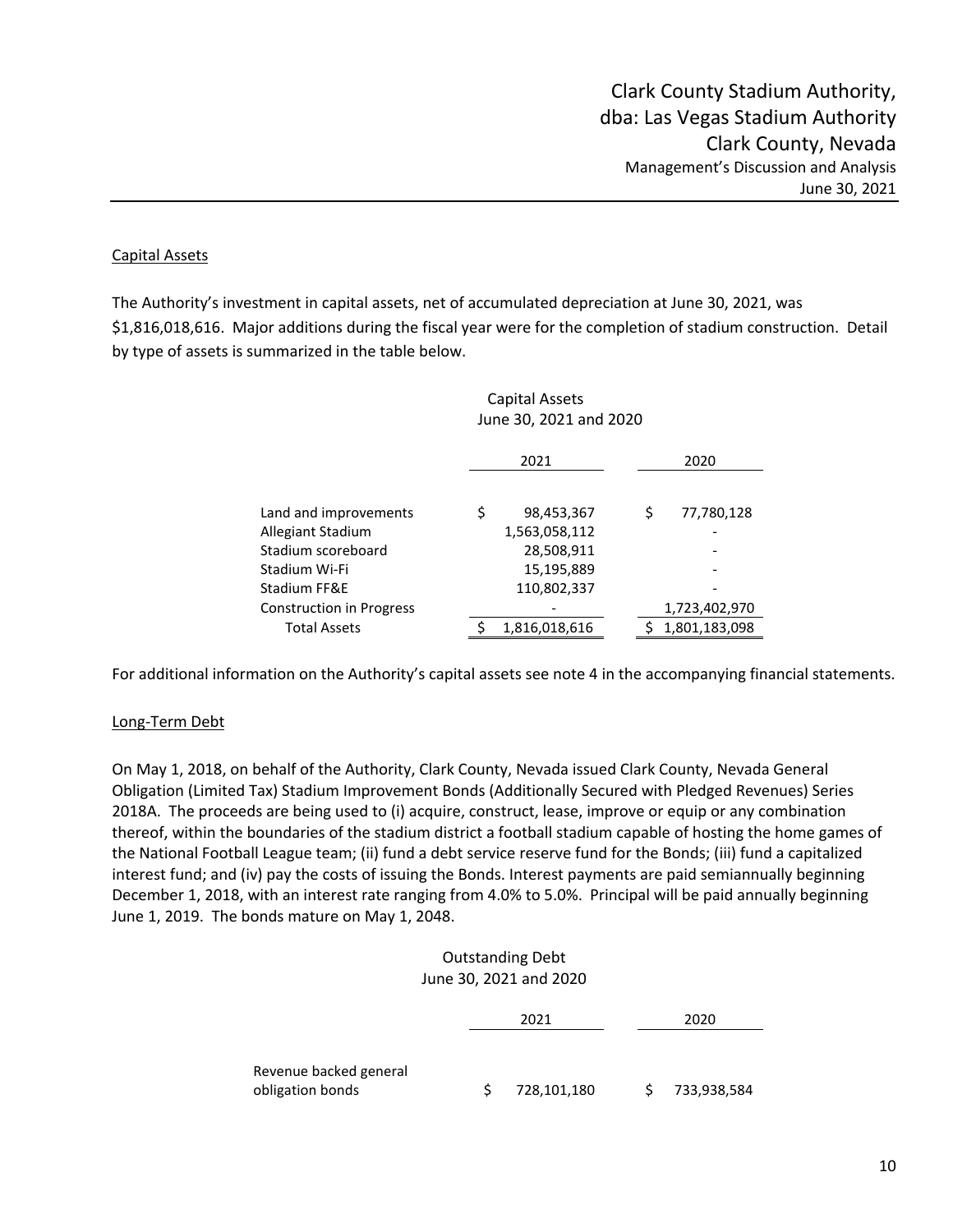# Capital Assets

The Authority's investment in capital assets, net of accumulated depreciation at June 30, 2021, was \$1,816,018,616. Major additions during the fiscal year were for the completion of stadium construction. Detail by type of assets is summarized in the table below.

|                                 | <b>Capital Assets</b><br>June 30, 2021 and 2020 |               |   |               |  |  |  |
|---------------------------------|-------------------------------------------------|---------------|---|---------------|--|--|--|
|                                 | 2021<br>2020                                    |               |   |               |  |  |  |
|                                 |                                                 |               |   |               |  |  |  |
| Land and improvements           | \$                                              | 98,453,367    | S | 77,780,128    |  |  |  |
| Allegiant Stadium               |                                                 | 1,563,058,112 |   |               |  |  |  |
| Stadium scoreboard              |                                                 | 28,508,911    |   |               |  |  |  |
| Stadium Wi-Fi                   |                                                 | 15,195,889    |   |               |  |  |  |
| Stadium FF&E                    |                                                 | 110,802,337   |   |               |  |  |  |
| <b>Construction in Progress</b> |                                                 |               |   | 1,723,402,970 |  |  |  |
| <b>Total Assets</b>             |                                                 | 1,816,018,616 |   | 1,801,183,098 |  |  |  |

For additional information on the Authority's capital assets see note 4 in the accompanying financial statements.

## Long-Term Debt

On May 1, 2018, on behalf of the Authority, Clark County, Nevada issued Clark County, Nevada General Obligation (Limited Tax) Stadium Improvement Bonds (Additionally Secured with Pledged Revenues) Series 2018A. The proceeds are being used to (i) acquire, construct, lease, improve or equip or any combination thereof, within the boundaries of the stadium district a football stadium capable of hosting the home games of the National Football League team; (ii) fund a debt service reserve fund for the Bonds; (iii) fund a capitalized interest fund; and (iv) pay the costs of issuing the Bonds. Interest payments are paid semiannually beginning December 1, 2018, with an interest rate ranging from 4.0% to 5.0%. Principal will be paid annually beginning June 1, 2019. The bonds mature on May 1, 2048.

# Outstanding Debt June 30, 2021 and 2020

|                                            | 2021        |  | 2020        |  |
|--------------------------------------------|-------------|--|-------------|--|
| Revenue backed general<br>obligation bonds | 728,101,180 |  | 733,938,584 |  |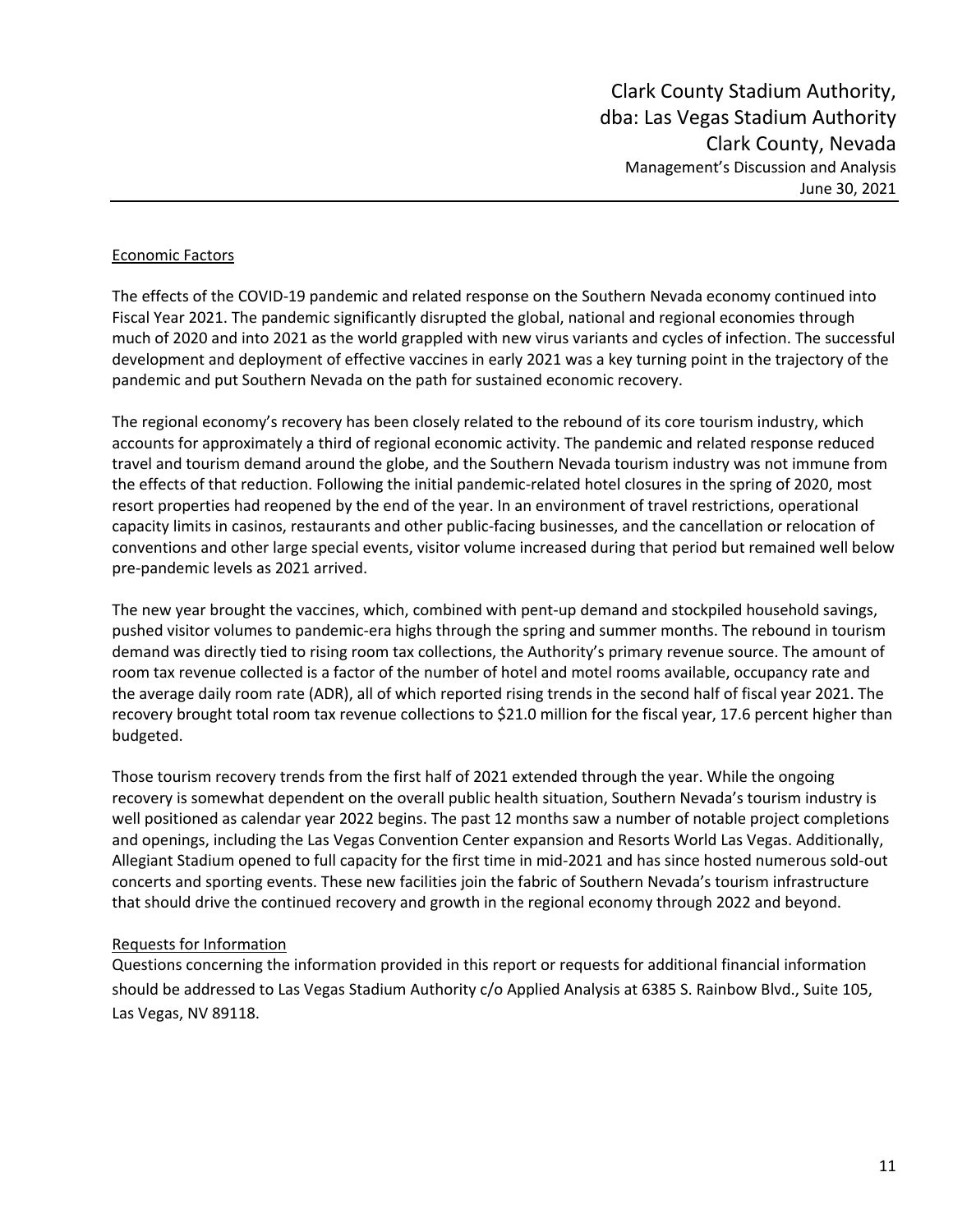## Economic Factors

The effects of the COVID-19 pandemic and related response on the Southern Nevada economy continued into Fiscal Year 2021. The pandemic significantly disrupted the global, national and regional economies through much of 2020 and into 2021 as the world grappled with new virus variants and cycles of infection. The successful development and deployment of effective vaccines in early 2021 was a key turning point in the trajectory of the pandemic and put Southern Nevada on the path for sustained economic recovery.

The regional economy's recovery has been closely related to the rebound of its core tourism industry, which accounts for approximately a third of regional economic activity. The pandemic and related response reduced travel and tourism demand around the globe, and the Southern Nevada tourism industry was not immune from the effects of that reduction. Following the initial pandemic-related hotel closures in the spring of 2020, most resort properties had reopened by the end of the year. In an environment of travel restrictions, operational capacity limits in casinos, restaurants and other public-facing businesses, and the cancellation or relocation of conventions and other large special events, visitor volume increased during that period but remained well below pre-pandemic levels as 2021 arrived.

The new year brought the vaccines, which, combined with pent-up demand and stockpiled household savings, pushed visitor volumes to pandemic-era highs through the spring and summer months. The rebound in tourism demand was directly tied to rising room tax collections, the Authority's primary revenue source. The amount of room tax revenue collected is a factor of the number of hotel and motel rooms available, occupancy rate and the average daily room rate (ADR), all of which reported rising trends in the second half of fiscal year 2021. The recovery brought total room tax revenue collections to \$21.0 million for the fiscal year, 17.6 percent higher than budgeted.

Those tourism recovery trends from the first half of 2021 extended through the year. While the ongoing recovery is somewhat dependent on the overall public health situation, Southern Nevada's tourism industry is well positioned as calendar year 2022 begins. The past 12 months saw a number of notable project completions and openings, including the Las Vegas Convention Center expansion and Resorts World Las Vegas. Additionally, Allegiant Stadium opened to full capacity for the first time in mid-2021 and has since hosted numerous sold-out concerts and sporting events. These new facilities join the fabric of Southern Nevada's tourism infrastructure that should drive the continued recovery and growth in the regional economy through 2022 and beyond.

# Requests for Information

Questions concerning the information provided in this report or requests for additional financial information should be addressed to Las Vegas Stadium Authority c/o Applied Analysis at 6385 S. Rainbow Blvd., Suite 105, Las Vegas, NV 89118.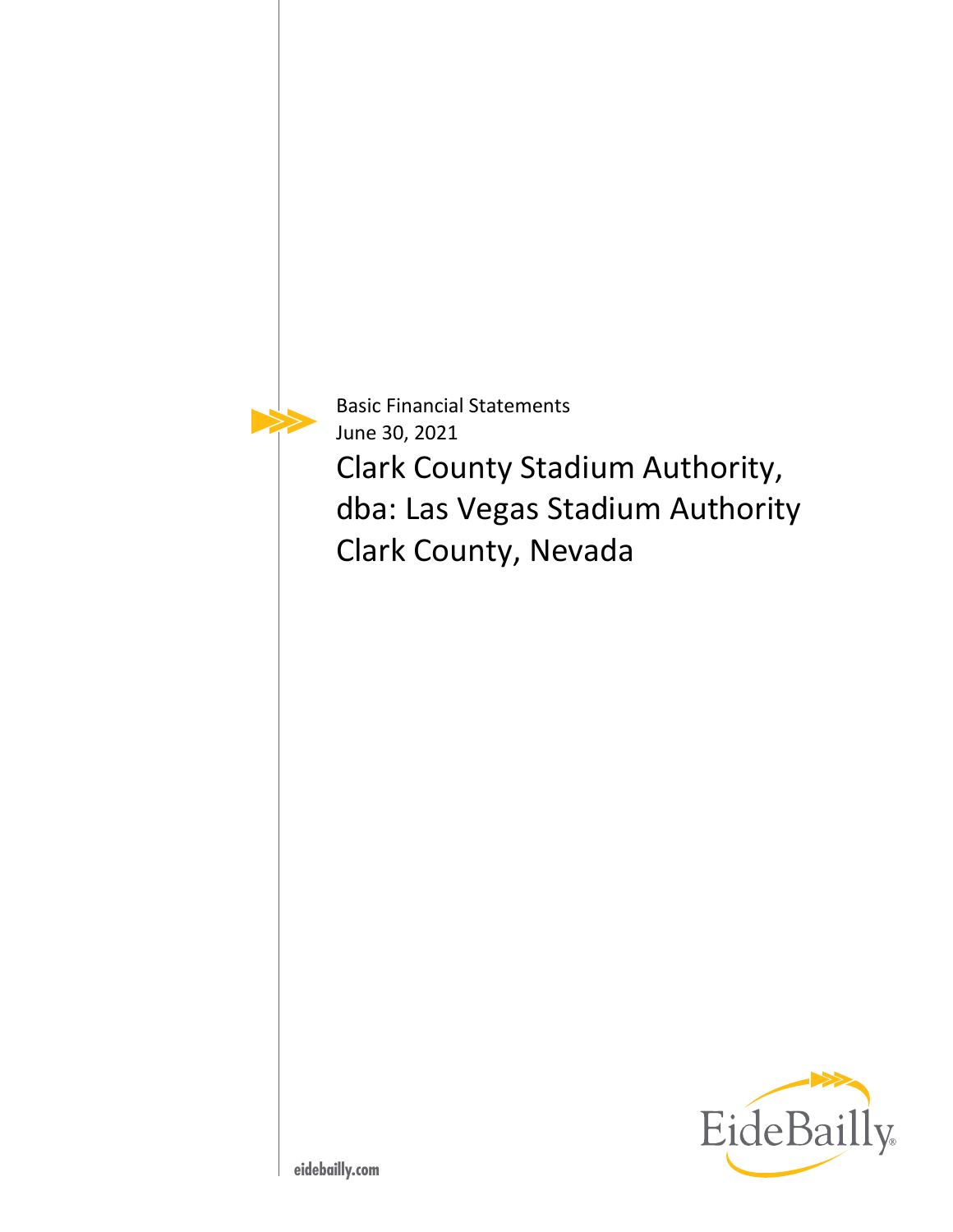Basic Financial Statements June 30, 2021 Clark County Stadium Authority, dba: Las Vegas Stadium Authority Clark County, Nevada

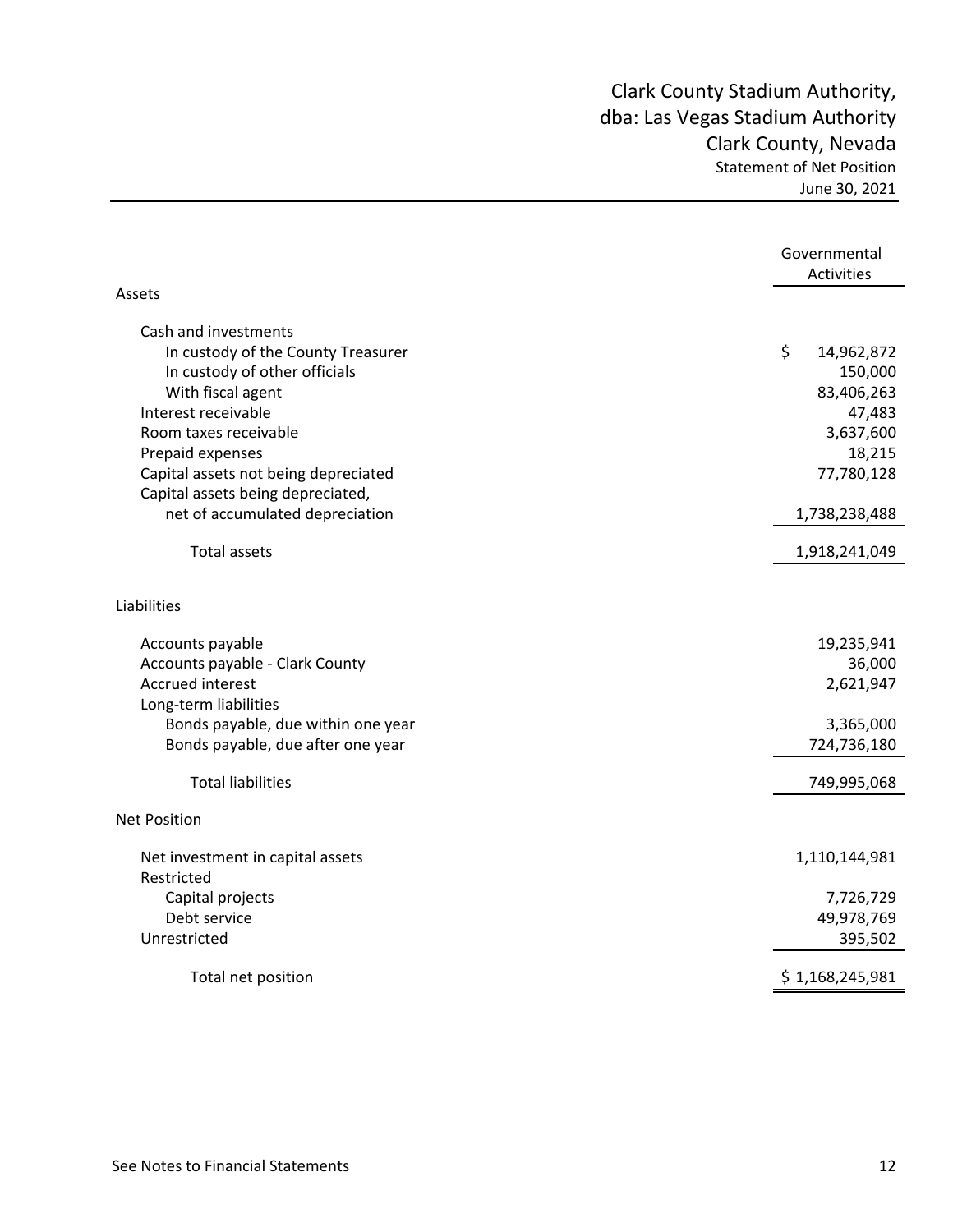|                                      | Governmental<br><b>Activities</b> |                 |
|--------------------------------------|-----------------------------------|-----------------|
| Assets                               |                                   |                 |
| Cash and investments                 |                                   |                 |
| In custody of the County Treasurer   | \$                                | 14,962,872      |
| In custody of other officials        |                                   | 150,000         |
| With fiscal agent                    |                                   | 83,406,263      |
| Interest receivable                  |                                   | 47,483          |
| Room taxes receivable                |                                   | 3,637,600       |
| Prepaid expenses                     |                                   | 18,215          |
| Capital assets not being depreciated |                                   | 77,780,128      |
| Capital assets being depreciated,    |                                   |                 |
| net of accumulated depreciation      |                                   | 1,738,238,488   |
| <b>Total assets</b>                  |                                   | 1,918,241,049   |
| Liabilities                          |                                   |                 |
| Accounts payable                     |                                   | 19,235,941      |
| Accounts payable - Clark County      |                                   | 36,000          |
| <b>Accrued interest</b>              |                                   | 2,621,947       |
| Long-term liabilities                |                                   |                 |
| Bonds payable, due within one year   |                                   | 3,365,000       |
| Bonds payable, due after one year    |                                   | 724,736,180     |
| <b>Total liabilities</b>             |                                   | 749,995,068     |
| <b>Net Position</b>                  |                                   |                 |
| Net investment in capital assets     |                                   | 1,110,144,981   |
| Restricted                           |                                   |                 |
| Capital projects                     |                                   | 7,726,729       |
| Debt service                         |                                   | 49,978,769      |
| Unrestricted                         |                                   | 395,502         |
| Total net position                   |                                   | \$1,168,245,981 |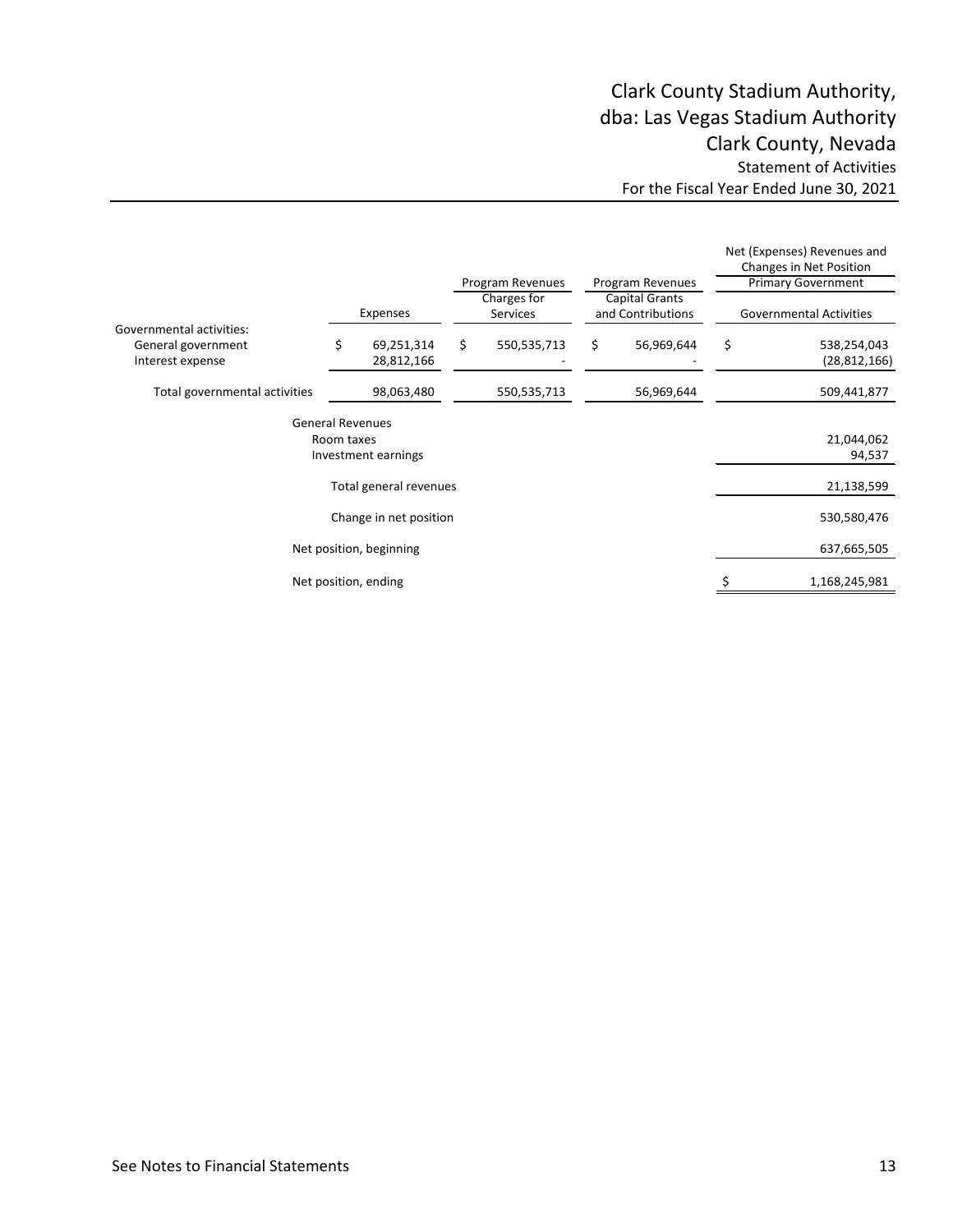|                                        |            |                          |                         |                  |                                     |                  |                                | Net (Expenses) Revenues and<br>Changes in Net Position |
|----------------------------------------|------------|--------------------------|-------------------------|------------------|-------------------------------------|------------------|--------------------------------|--------------------------------------------------------|
|                                        |            |                          |                         | Program Revenues |                                     | Program Revenues |                                | <b>Primary Government</b>                              |
|                                        | Expenses   |                          | Charges for<br>Services |                  | Capital Grants<br>and Contributions |                  | <b>Governmental Activities</b> |                                                        |
| Governmental activities:               |            |                          |                         |                  |                                     |                  |                                |                                                        |
| General government<br>Interest expense | \$         | 69,251,314<br>28,812,166 | Ś.                      | 550,535,713      | \$                                  | 56,969,644       | \$                             | 538,254,043<br>(28, 812, 166)                          |
|                                        |            |                          |                         |                  |                                     |                  |                                |                                                        |
| Total governmental activities          |            | 98,063,480               |                         | 550,535,713      |                                     | 56,969,644       |                                | 509,441,877                                            |
|                                        |            | <b>General Revenues</b>  |                         |                  |                                     |                  |                                |                                                        |
|                                        | Room taxes |                          |                         |                  |                                     |                  |                                | 21,044,062                                             |
|                                        |            | Investment earnings      |                         |                  |                                     |                  |                                | 94,537                                                 |
|                                        |            | Total general revenues   |                         |                  |                                     |                  |                                | 21,138,599                                             |
|                                        |            | Change in net position   |                         |                  |                                     |                  |                                | 530,580,476                                            |
|                                        |            | Net position, beginning  |                         |                  |                                     |                  |                                | 637,665,505                                            |
|                                        |            | Net position, ending     |                         |                  |                                     |                  |                                | 1,168,245,981                                          |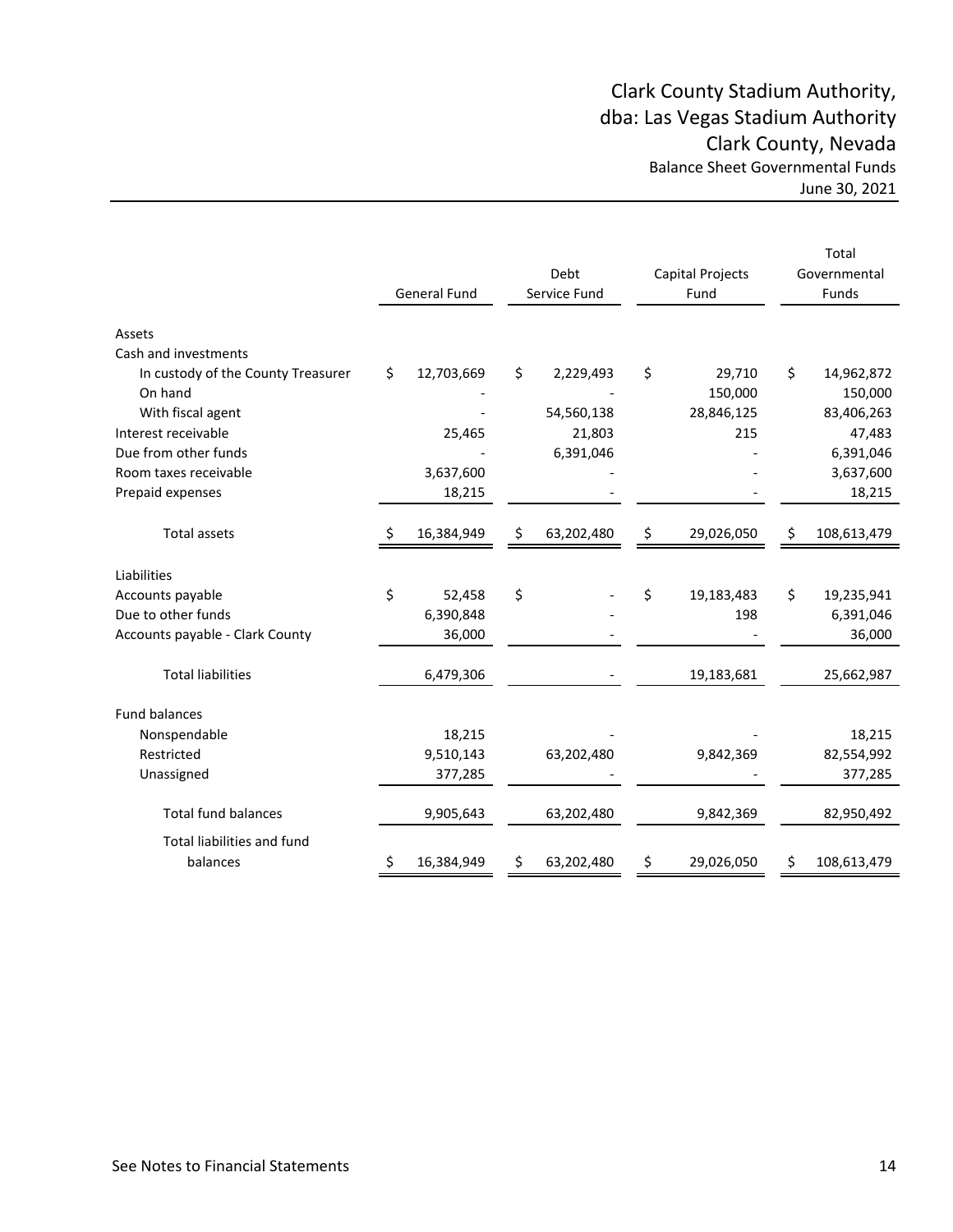# Clark County Stadium Authority, dba: Las Vegas Stadium Authority Clark County, Nevada Balance Sheet Governmental Funds

June 30, 2021

|                                    | Debt<br><b>General Fund</b><br>Service Fund |            |    | Capital Projects | Total<br>Governmental |    |             |
|------------------------------------|---------------------------------------------|------------|----|------------------|-----------------------|----|-------------|
|                                    |                                             |            |    |                  |                       |    | Fund        |
|                                    |                                             |            |    |                  |                       |    |             |
| Assets                             |                                             |            |    |                  |                       |    |             |
| Cash and investments               |                                             |            |    |                  |                       |    |             |
| In custody of the County Treasurer | \$                                          | 12,703,669 | \$ | 2,229,493        | \$<br>29,710          | \$ | 14,962,872  |
| On hand                            |                                             |            |    |                  | 150,000               |    | 150,000     |
| With fiscal agent                  |                                             |            |    | 54,560,138       | 28,846,125            |    | 83,406,263  |
| Interest receivable                |                                             | 25,465     |    | 21,803           | 215                   |    | 47,483      |
| Due from other funds               |                                             |            |    | 6,391,046        |                       |    | 6,391,046   |
| Room taxes receivable              |                                             | 3,637,600  |    |                  |                       |    | 3,637,600   |
| Prepaid expenses                   |                                             | 18,215     |    |                  |                       |    | 18,215      |
| <b>Total assets</b>                |                                             | 16,384,949 | \$ | 63,202,480       | \$<br>29,026,050      | \$ | 108,613,479 |
| Liabilities                        |                                             |            |    |                  |                       |    |             |
| Accounts payable                   | \$                                          | 52,458     | \$ |                  | \$<br>19,183,483      | \$ | 19,235,941  |
| Due to other funds                 |                                             | 6,390,848  |    |                  | 198                   |    | 6,391,046   |
| Accounts payable - Clark County    |                                             | 36,000     |    |                  |                       |    | 36,000      |
| <b>Total liabilities</b>           |                                             | 6,479,306  |    |                  | 19,183,681            |    | 25,662,987  |
| <b>Fund balances</b>               |                                             |            |    |                  |                       |    |             |
| Nonspendable                       |                                             | 18,215     |    |                  |                       |    | 18,215      |
| Restricted                         |                                             | 9,510,143  |    | 63,202,480       | 9,842,369             |    | 82,554,992  |
| Unassigned                         |                                             | 377,285    |    |                  |                       |    | 377,285     |
| <b>Total fund balances</b>         |                                             | 9,905,643  |    | 63,202,480       | 9,842,369             |    | 82,950,492  |
| Total liabilities and fund         |                                             |            |    |                  |                       |    |             |
| balances                           | S                                           | 16,384,949 | \$ | 63,202,480       | \$<br>29,026,050      | \$ | 108,613,479 |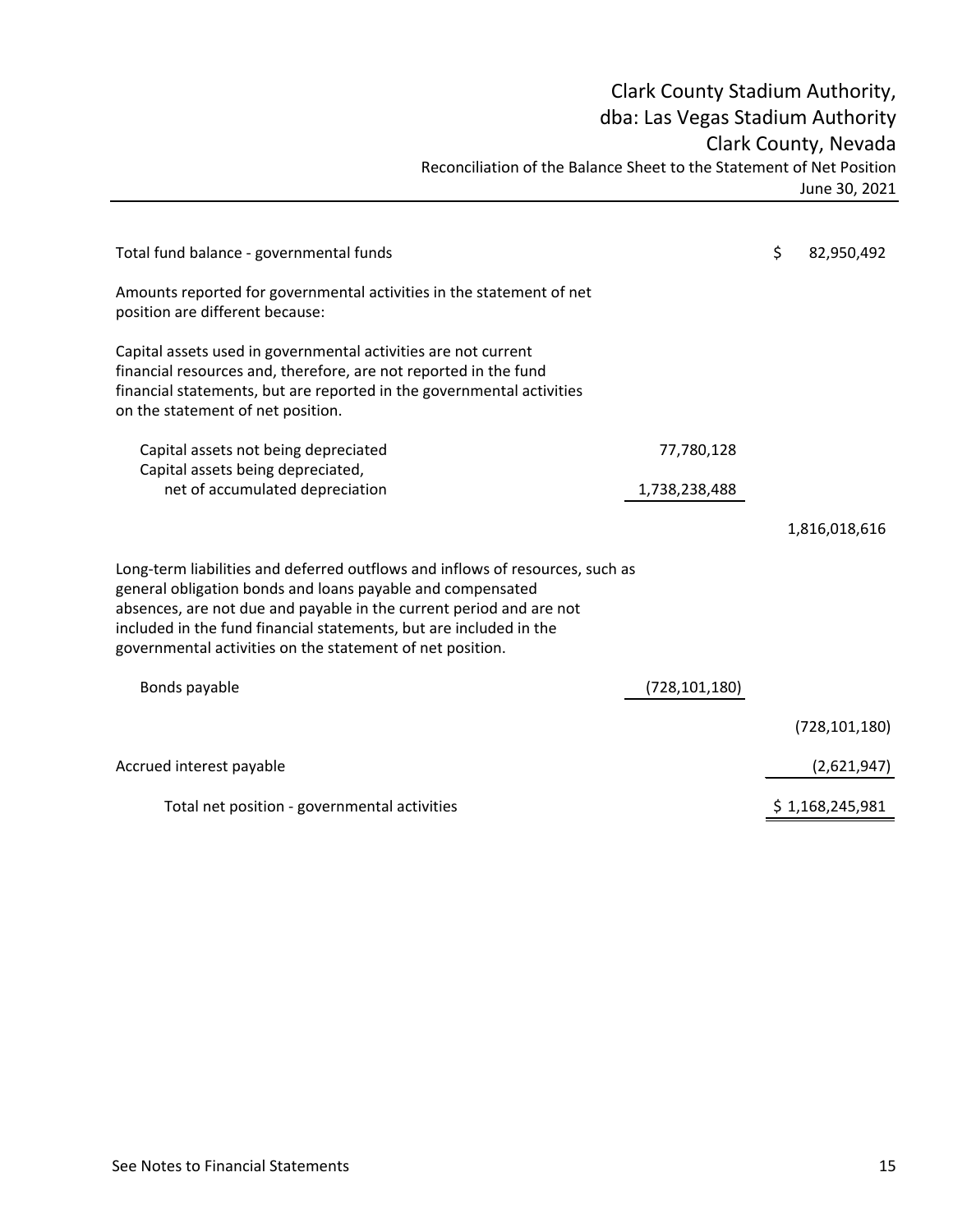# Clark County Stadium Authority, dba: Las Vegas Stadium Authority Clark County, Nevada Reconciliation of the Balance Sheet to the Statement of Net Position June 30, 2021

| Total fund balance - governmental funds                                                                                                                                                                                                                                                                                                               |                 | \$<br>82,950,492 |
|-------------------------------------------------------------------------------------------------------------------------------------------------------------------------------------------------------------------------------------------------------------------------------------------------------------------------------------------------------|-----------------|------------------|
| Amounts reported for governmental activities in the statement of net<br>position are different because:                                                                                                                                                                                                                                               |                 |                  |
| Capital assets used in governmental activities are not current<br>financial resources and, therefore, are not reported in the fund<br>financial statements, but are reported in the governmental activities<br>on the statement of net position.                                                                                                      |                 |                  |
| Capital assets not being depreciated                                                                                                                                                                                                                                                                                                                  | 77,780,128      |                  |
| Capital assets being depreciated,<br>net of accumulated depreciation                                                                                                                                                                                                                                                                                  | 1,738,238,488   |                  |
|                                                                                                                                                                                                                                                                                                                                                       |                 | 1,816,018,616    |
| Long-term liabilities and deferred outflows and inflows of resources, such as<br>general obligation bonds and loans payable and compensated<br>absences, are not due and payable in the current period and are not<br>included in the fund financial statements, but are included in the<br>governmental activities on the statement of net position. |                 |                  |
| Bonds payable                                                                                                                                                                                                                                                                                                                                         | (728, 101, 180) |                  |
|                                                                                                                                                                                                                                                                                                                                                       |                 | (728, 101, 180)  |
| Accrued interest payable                                                                                                                                                                                                                                                                                                                              |                 | (2,621,947)      |
| Total net position - governmental activities                                                                                                                                                                                                                                                                                                          |                 | \$1,168,245,981  |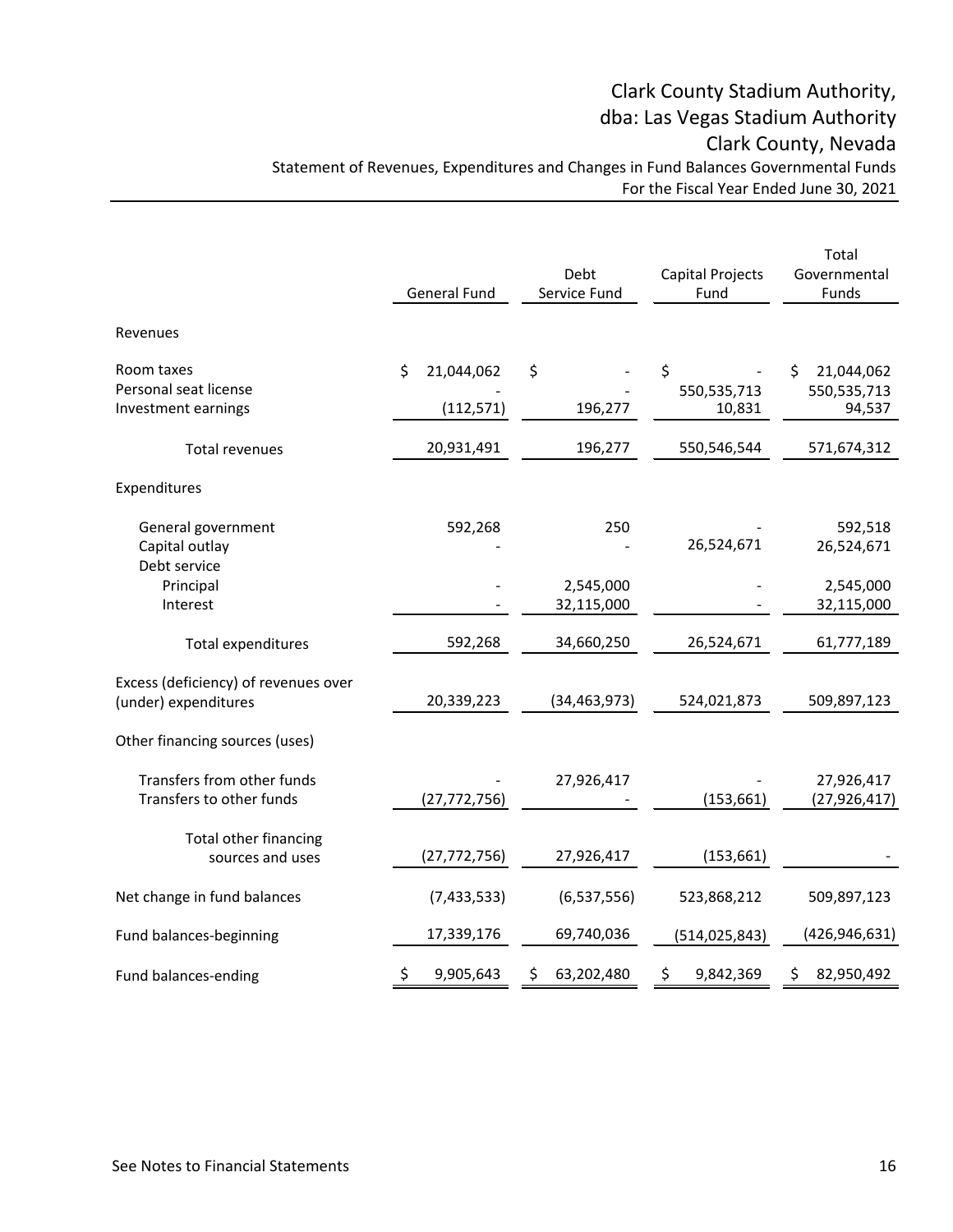# Clark County Stadium Authority, dba: Las Vegas Stadium Authority Clark County, Nevada Statement of Revenues, Expenditures and Changes in Fund Balances Governmental Funds For the Fiscal Year Ended June 30, 2021

|                                                              | <b>General Fund</b>            | Debt<br>Service Fund    | <b>Capital Projects</b><br>Fund | Total<br>Governmental<br>Funds           |
|--------------------------------------------------------------|--------------------------------|-------------------------|---------------------------------|------------------------------------------|
| Revenues                                                     |                                |                         |                                 |                                          |
| Room taxes<br>Personal seat license<br>Investment earnings   | \$<br>21,044,062<br>(112, 571) | \$<br>196,277           | \$<br>550,535,713<br>10,831     | 21,044,062<br>Ś<br>550,535,713<br>94,537 |
| Total revenues                                               | 20,931,491                     | 196,277                 | 550,546,544                     | 571,674,312                              |
| Expenditures                                                 |                                |                         |                                 |                                          |
| General government<br>Capital outlay<br>Debt service         | 592,268                        | 250                     | 26,524,671                      | 592,518<br>26,524,671                    |
| Principal<br>Interest                                        |                                | 2,545,000<br>32,115,000 |                                 | 2,545,000<br>32,115,000                  |
| Total expenditures                                           | 592,268                        | 34,660,250              | 26,524,671                      | 61,777,189                               |
| Excess (deficiency) of revenues over<br>(under) expenditures | 20,339,223                     | (34, 463, 973)          | 524,021,873                     | 509,897,123                              |
| Other financing sources (uses)                               |                                |                         |                                 |                                          |
| Transfers from other funds<br>Transfers to other funds       | (27, 772, 756)                 | 27,926,417              | (153, 661)                      | 27,926,417<br>(27, 926, 417)             |
| Total other financing<br>sources and uses                    | (27, 772, 756)                 | 27,926,417              | (153, 661)                      |                                          |
| Net change in fund balances                                  | (7, 433, 533)                  | (6,537,556)             | 523,868,212                     | 509,897,123                              |
| Fund balances-beginning                                      | 17,339,176                     | 69,740,036              | (514, 025, 843)                 | (426, 946, 631)                          |
| Fund balances-ending                                         | \$<br>9,905,643                | 63,202,480<br>\$        | \$<br>9,842,369                 | \$<br>82,950,492                         |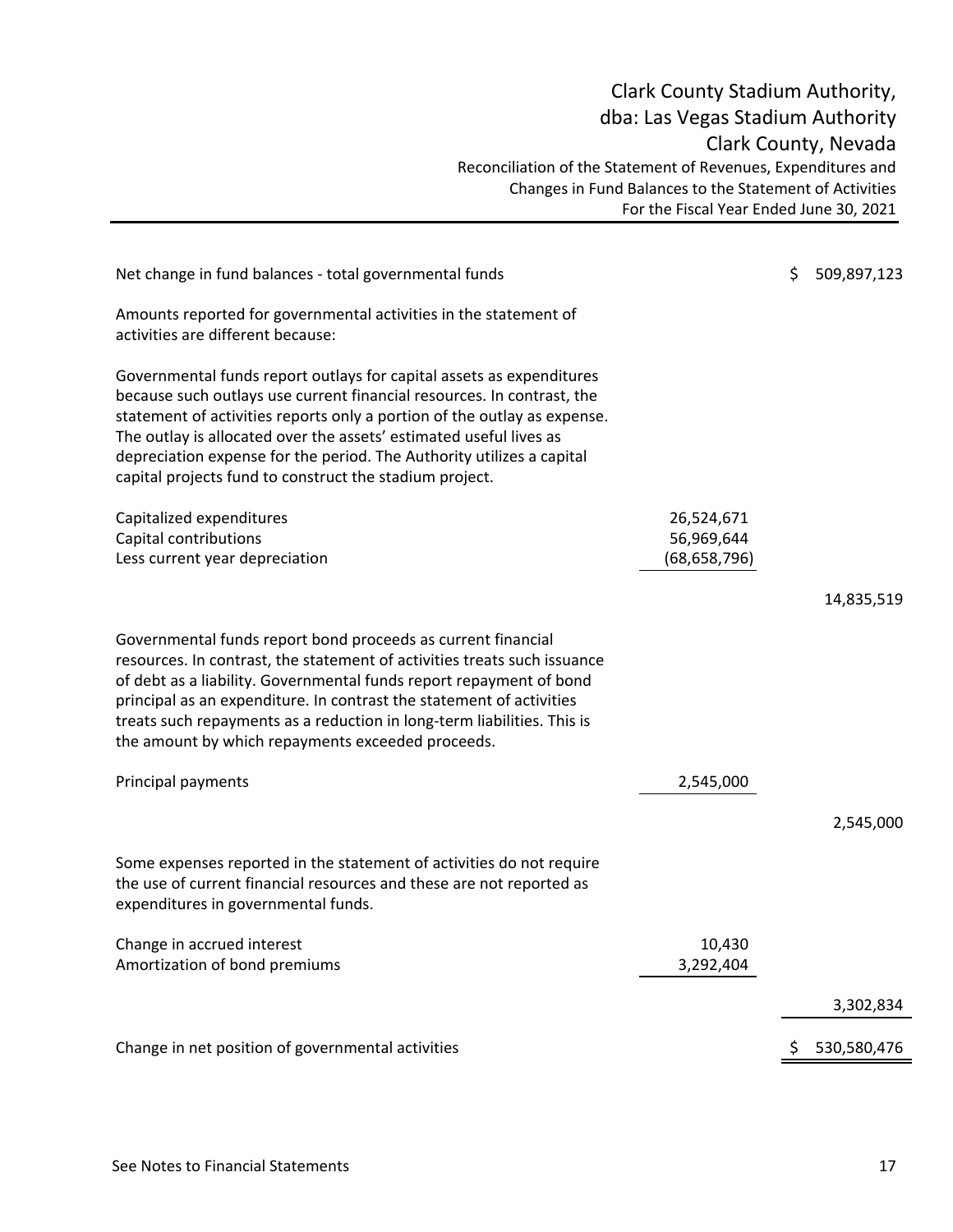| \$<br>509,897,123 |
|-------------------|
|                   |
|                   |
|                   |
|                   |
| 14,835,519        |
|                   |
|                   |
| 2,545,000         |
|                   |
|                   |
| 3,302,834         |
| \$<br>530,580,476 |
|                   |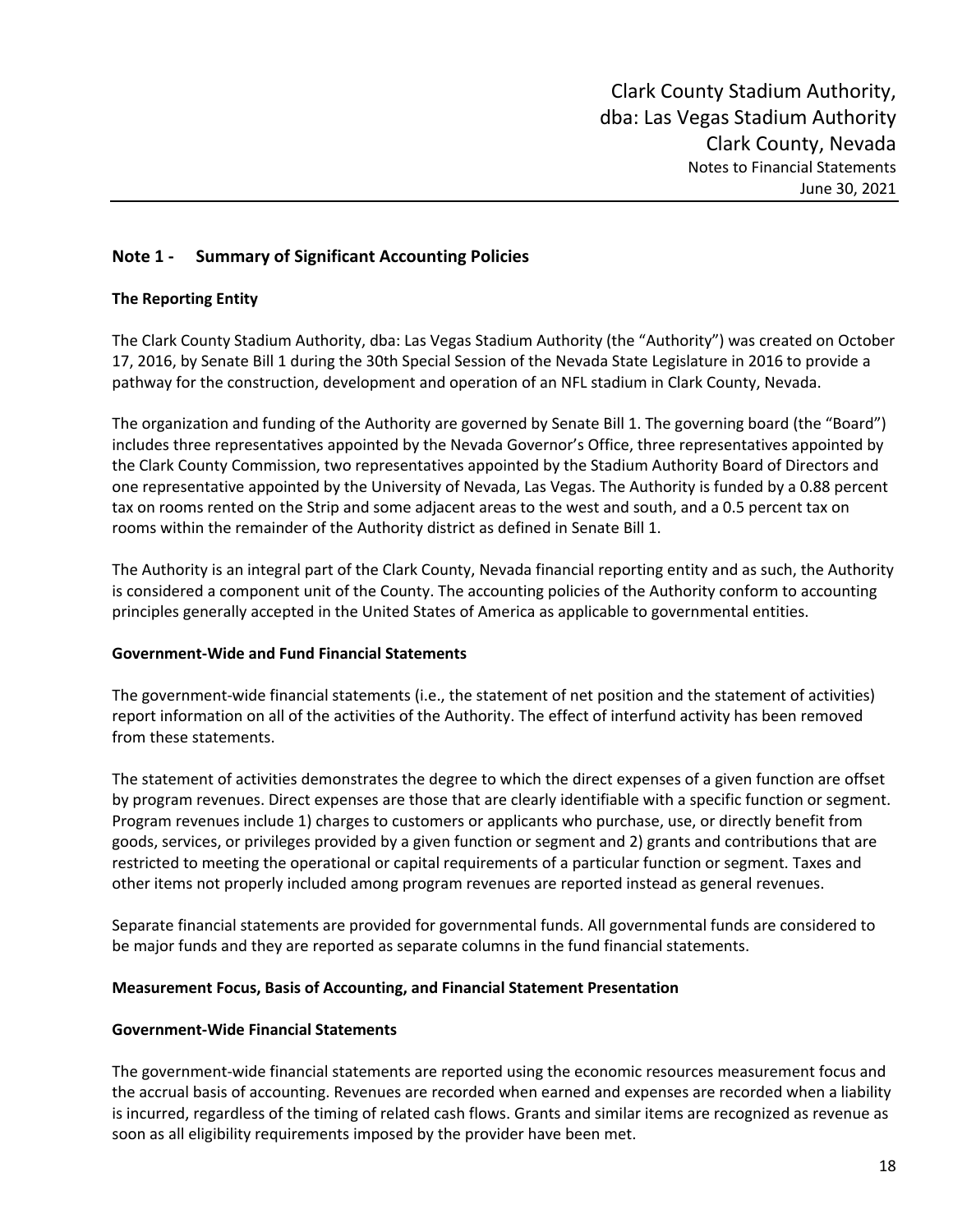# **Note 1 - Summary of Significant Accounting Policies**

## **The Reporting Entity**

The Clark County Stadium Authority, dba: Las Vegas Stadium Authority (the "Authority") was created on October 17, 2016, by Senate Bill 1 during the 30th Special Session of the Nevada State Legislature in 2016 to provide a pathway for the construction, development and operation of an NFL stadium in Clark County, Nevada.

The organization and funding of the Authority are governed by Senate Bill 1. The governing board (the "Board") includes three representatives appointed by the Nevada Governor's Office, three representatives appointed by the Clark County Commission, two representatives appointed by the Stadium Authority Board of Directors and one representative appointed by the University of Nevada, Las Vegas. The Authority is funded by a 0.88 percent tax on rooms rented on the Strip and some adjacent areas to the west and south, and a 0.5 percent tax on rooms within the remainder of the Authority district as defined in Senate Bill 1.

The Authority is an integral part of the Clark County, Nevada financial reporting entity and as such, the Authority is considered a component unit of the County. The accounting policies of the Authority conform to accounting principles generally accepted in the United States of America as applicable to governmental entities.

## **Government-Wide and Fund Financial Statements**

The government-wide financial statements (i.e., the statement of net position and the statement of activities) report information on all of the activities of the Authority. The effect of interfund activity has been removed from these statements.

The statement of activities demonstrates the degree to which the direct expenses of a given function are offset by program revenues. Direct expenses are those that are clearly identifiable with a specific function or segment. Program revenues include 1) charges to customers or applicants who purchase, use, or directly benefit from goods, services, or privileges provided by a given function or segment and 2) grants and contributions that are restricted to meeting the operational or capital requirements of a particular function or segment. Taxes and other items not properly included among program revenues are reported instead as general revenues.

Separate financial statements are provided for governmental funds. All governmental funds are considered to be major funds and they are reported as separate columns in the fund financial statements.

## **Measurement Focus, Basis of Accounting, and Financial Statement Presentation**

#### **Government-Wide Financial Statements**

The government-wide financial statements are reported using the economic resources measurement focus and the accrual basis of accounting. Revenues are recorded when earned and expenses are recorded when a liability is incurred, regardless of the timing of related cash flows. Grants and similar items are recognized as revenue as soon as all eligibility requirements imposed by the provider have been met.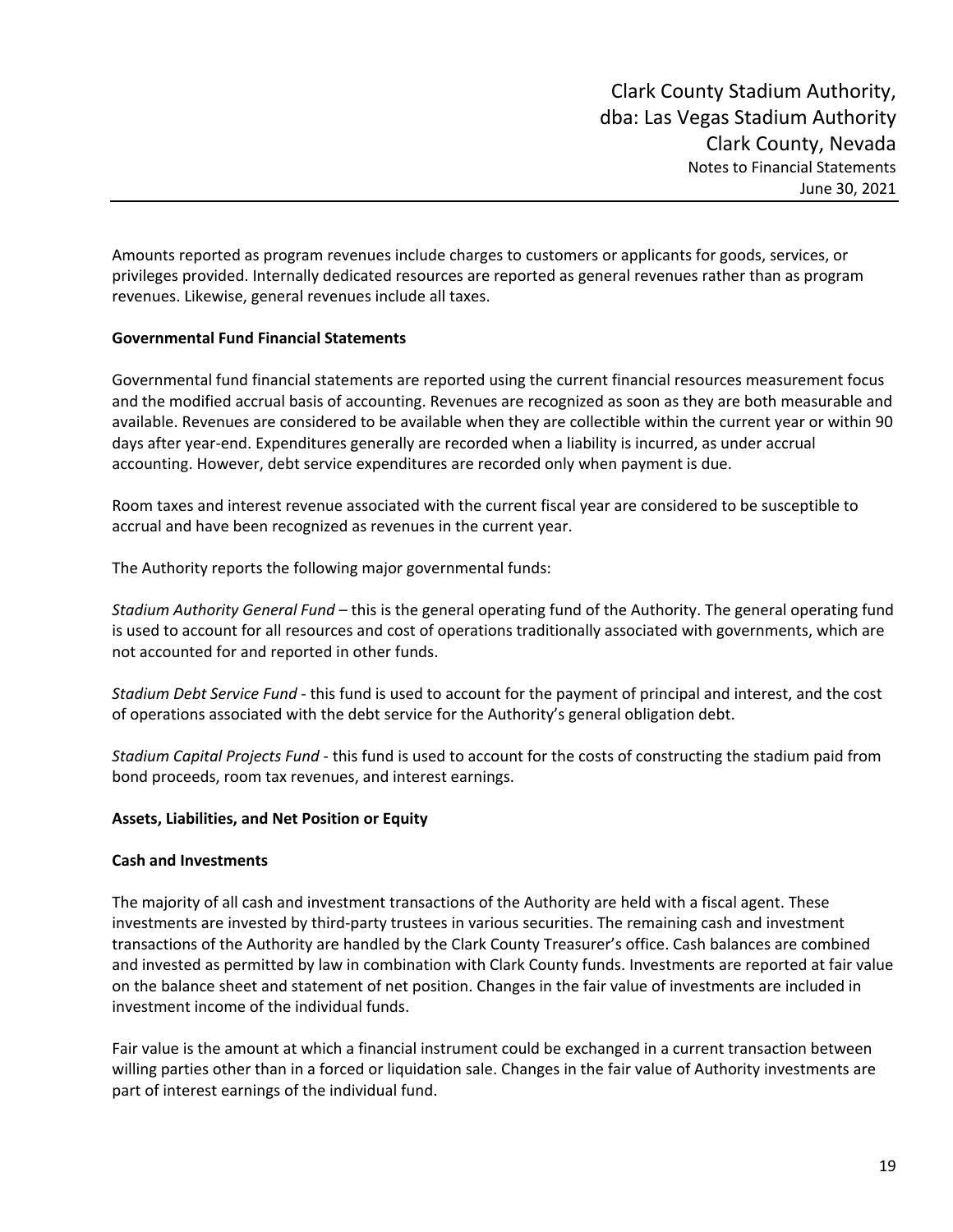Amounts reported as program revenues include charges to customers or applicants for goods, services, or privileges provided. Internally dedicated resources are reported as general revenues rather than as program revenues. Likewise, general revenues include all taxes.

# **Governmental Fund Financial Statements**

Governmental fund financial statements are reported using the current financial resources measurement focus and the modified accrual basis of accounting. Revenues are recognized as soon as they are both measurable and available. Revenues are considered to be available when they are collectible within the current year or within 90 days after year-end. Expenditures generally are recorded when a liability is incurred, as under accrual accounting. However, debt service expenditures are recorded only when payment is due.

Room taxes and interest revenue associated with the current fiscal year are considered to be susceptible to accrual and have been recognized as revenues in the current year.

The Authority reports the following major governmental funds:

*Stadium Authority General Fund* – this is the general operating fund of the Authority. The general operating fund is used to account for all resources and cost of operations traditionally associated with governments, which are not accounted for and reported in other funds.

*Stadium Debt Service Fund* - this fund is used to account for the payment of principal and interest, and the cost of operations associated with the debt service for the Authority's general obligation debt.

*Stadium Capital Projects Fund* - this fund is used to account for the costs of constructing the stadium paid from bond proceeds, room tax revenues, and interest earnings.

## **Assets, Liabilities, and Net Position or Equity**

## **Cash and Investments**

The majority of all cash and investment transactions of the Authority are held with a fiscal agent. These investments are invested by third-party trustees in various securities. The remaining cash and investment transactions of the Authority are handled by the Clark County Treasurer's office. Cash balances are combined and invested as permitted by law in combination with Clark County funds. Investments are reported at fair value on the balance sheet and statement of net position. Changes in the fair value of investments are included in investment income of the individual funds.

Fair value is the amount at which a financial instrument could be exchanged in a current transaction between willing parties other than in a forced or liquidation sale. Changes in the fair value of Authority investments are part of interest earnings of the individual fund.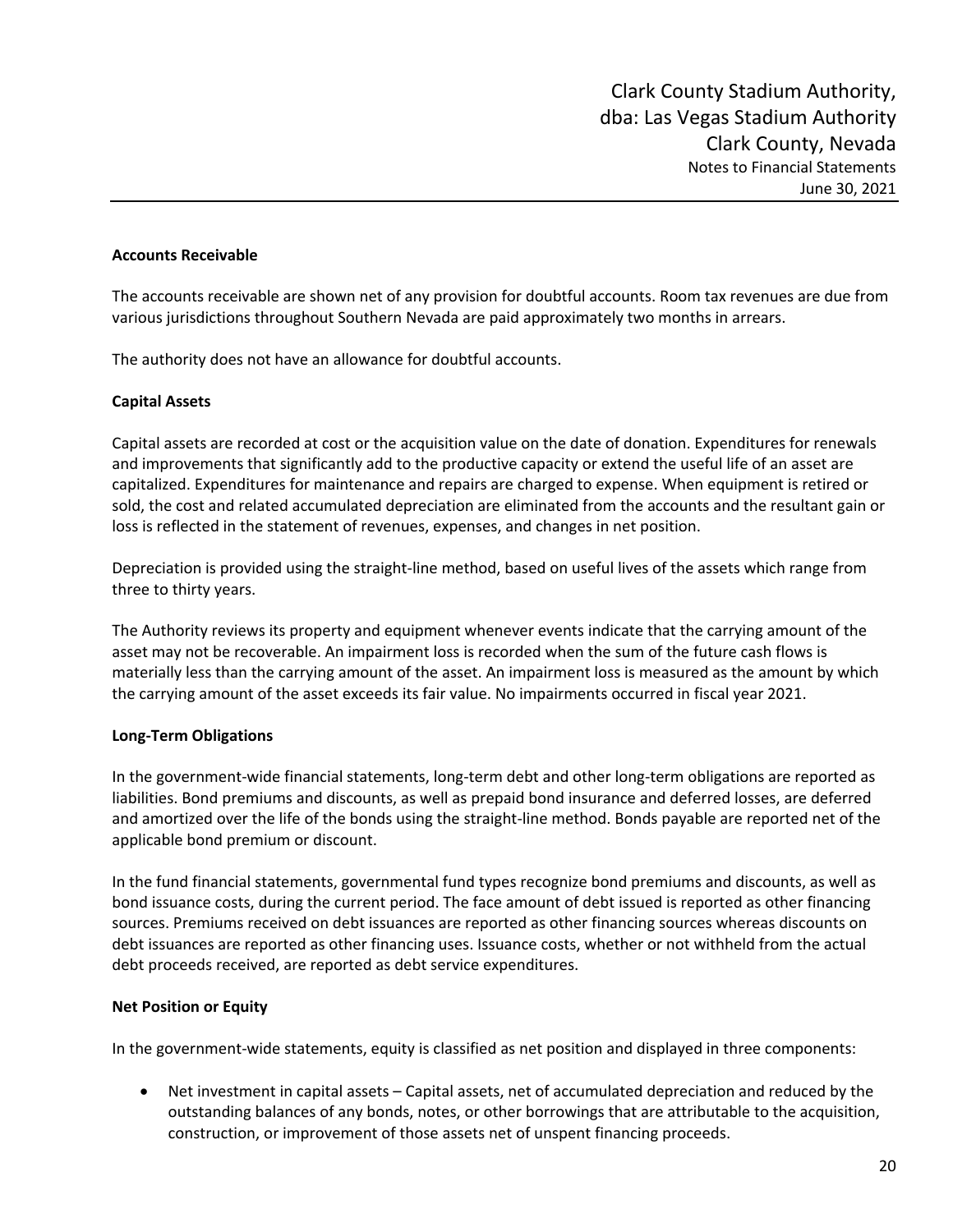#### **Accounts Receivable**

The accounts receivable are shown net of any provision for doubtful accounts. Room tax revenues are due from various jurisdictions throughout Southern Nevada are paid approximately two months in arrears.

The authority does not have an allowance for doubtful accounts.

#### **Capital Assets**

Capital assets are recorded at cost or the acquisition value on the date of donation. Expenditures for renewals and improvements that significantly add to the productive capacity or extend the useful life of an asset are capitalized. Expenditures for maintenance and repairs are charged to expense. When equipment is retired or sold, the cost and related accumulated depreciation are eliminated from the accounts and the resultant gain or loss is reflected in the statement of revenues, expenses, and changes in net position.

Depreciation is provided using the straight-line method, based on useful lives of the assets which range from three to thirty years.

The Authority reviews its property and equipment whenever events indicate that the carrying amount of the asset may not be recoverable. An impairment loss is recorded when the sum of the future cash flows is materially less than the carrying amount of the asset. An impairment loss is measured as the amount by which the carrying amount of the asset exceeds its fair value. No impairments occurred in fiscal year 2021.

#### **Long-Term Obligations**

In the government-wide financial statements, long-term debt and other long-term obligations are reported as liabilities. Bond premiums and discounts, as well as prepaid bond insurance and deferred losses, are deferred and amortized over the life of the bonds using the straight-line method. Bonds payable are reported net of the applicable bond premium or discount.

In the fund financial statements, governmental fund types recognize bond premiums and discounts, as well as bond issuance costs, during the current period. The face amount of debt issued is reported as other financing sources. Premiums received on debt issuances are reported as other financing sources whereas discounts on debt issuances are reported as other financing uses. Issuance costs, whether or not withheld from the actual debt proceeds received, are reported as debt service expenditures.

#### **Net Position or Equity**

In the government-wide statements, equity is classified as net position and displayed in three components:

 Net investment in capital assets – Capital assets, net of accumulated depreciation and reduced by the outstanding balances of any bonds, notes, or other borrowings that are attributable to the acquisition, construction, or improvement of those assets net of unspent financing proceeds.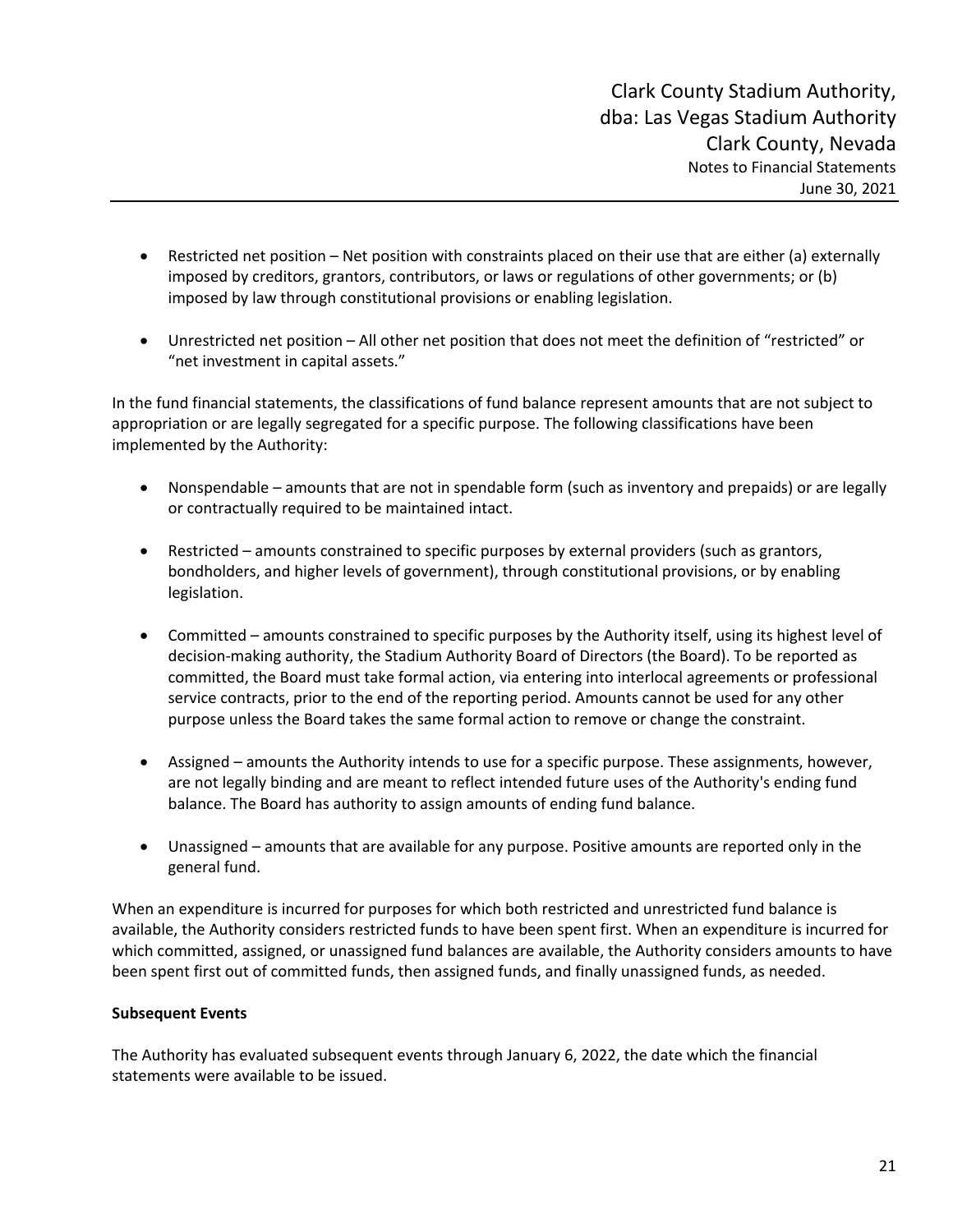- Restricted net position Net position with constraints placed on their use that are either (a) externally imposed by creditors, grantors, contributors, or laws or regulations of other governments; or (b) imposed by law through constitutional provisions or enabling legislation.
- Unrestricted net position All other net position that does not meet the definition of "restricted" or "net investment in capital assets."

In the fund financial statements, the classifications of fund balance represent amounts that are not subject to appropriation or are legally segregated for a specific purpose. The following classifications have been implemented by the Authority:

- Nonspendable amounts that are not in spendable form (such as inventory and prepaids) or are legally or contractually required to be maintained intact.
- Restricted amounts constrained to specific purposes by external providers (such as grantors, bondholders, and higher levels of government), through constitutional provisions, or by enabling legislation.
- Committed amounts constrained to specific purposes by the Authority itself, using its highest level of decision-making authority, the Stadium Authority Board of Directors (the Board). To be reported as committed, the Board must take formal action, via entering into interlocal agreements or professional service contracts, prior to the end of the reporting period. Amounts cannot be used for any other purpose unless the Board takes the same formal action to remove or change the constraint.
- Assigned amounts the Authority intends to use for a specific purpose. These assignments, however, are not legally binding and are meant to reflect intended future uses of the Authority's ending fund balance. The Board has authority to assign amounts of ending fund balance.
- Unassigned amounts that are available for any purpose. Positive amounts are reported only in the general fund.

When an expenditure is incurred for purposes for which both restricted and unrestricted fund balance is available, the Authority considers restricted funds to have been spent first. When an expenditure is incurred for which committed, assigned, or unassigned fund balances are available, the Authority considers amounts to have been spent first out of committed funds, then assigned funds, and finally unassigned funds, as needed.

# **Subsequent Events**

The Authority has evaluated subsequent events through January 6, 2022, the date which the financial statements were available to be issued.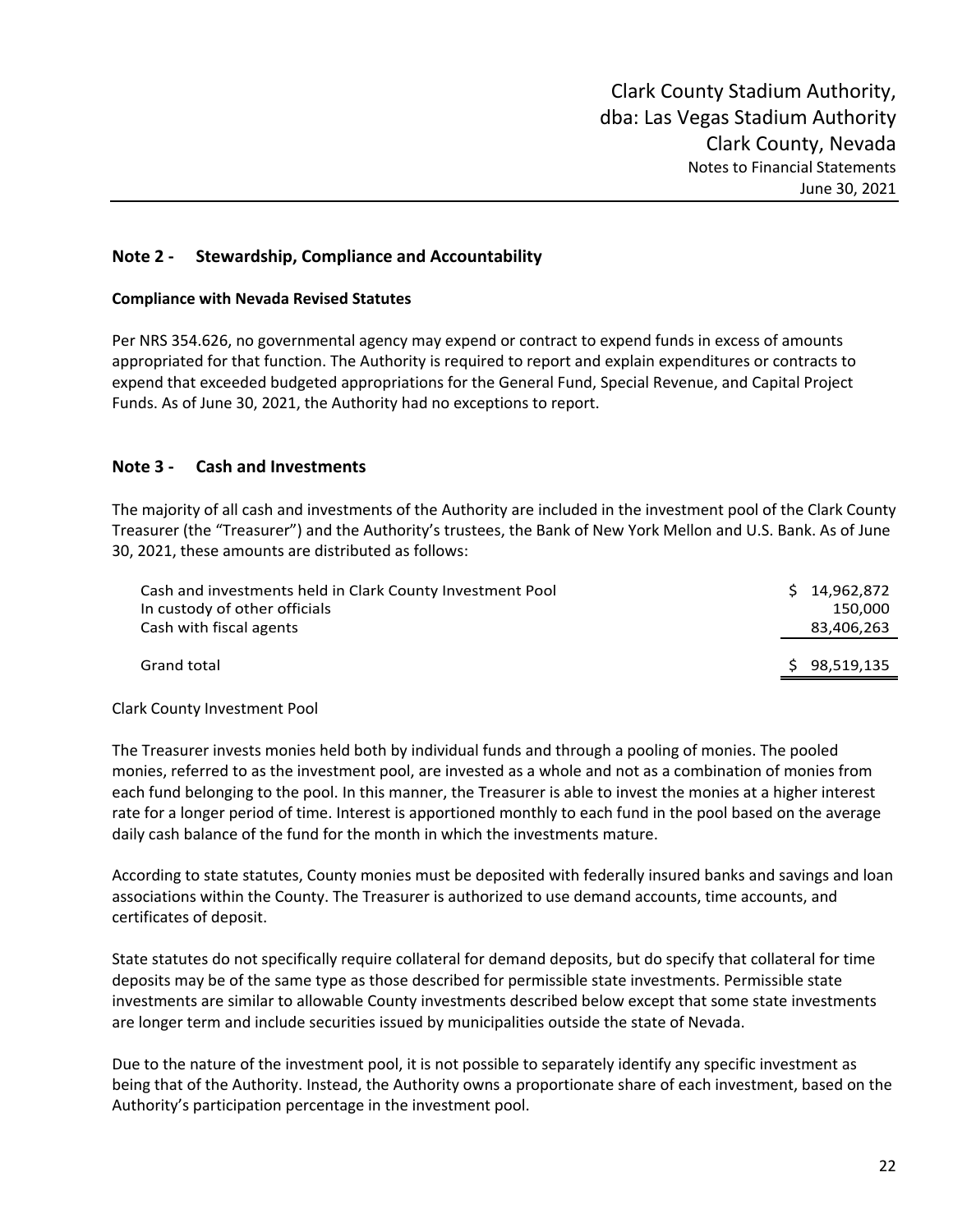# **Note 2 - Stewardship, Compliance and Accountability**

#### **Compliance with Nevada Revised Statutes**

Per NRS 354.626, no governmental agency may expend or contract to expend funds in excess of amounts appropriated for that function. The Authority is required to report and explain expenditures or contracts to expend that exceeded budgeted appropriations for the General Fund, Special Revenue, and Capital Project Funds. As of June 30, 2021, the Authority had no exceptions to report.

## **Note 3 - Cash and Investments**

The majority of all cash and investments of the Authority are included in the investment pool of the Clark County Treasurer (the "Treasurer") and the Authority's trustees, the Bank of New York Mellon and U.S. Bank. As of June 30, 2021, these amounts are distributed as follows:

| Cash and investments held in Clark County Investment Pool<br>In custody of other officials<br>Cash with fiscal agents | 14,962,872<br>150.000<br>83,406,263 |
|-----------------------------------------------------------------------------------------------------------------------|-------------------------------------|
| Grand total                                                                                                           | 98,519,135                          |

Clark County Investment Pool

The Treasurer invests monies held both by individual funds and through a pooling of monies. The pooled monies, referred to as the investment pool, are invested as a whole and not as a combination of monies from each fund belonging to the pool. In this manner, the Treasurer is able to invest the monies at a higher interest rate for a longer period of time. Interest is apportioned monthly to each fund in the pool based on the average daily cash balance of the fund for the month in which the investments mature.

According to state statutes, County monies must be deposited with federally insured banks and savings and loan associations within the County. The Treasurer is authorized to use demand accounts, time accounts, and certificates of deposit.

State statutes do not specifically require collateral for demand deposits, but do specify that collateral for time deposits may be of the same type as those described for permissible state investments. Permissible state investments are similar to allowable County investments described below except that some state investments are longer term and include securities issued by municipalities outside the state of Nevada.

Due to the nature of the investment pool, it is not possible to separately identify any specific investment as being that of the Authority. Instead, the Authority owns a proportionate share of each investment, based on the Authority's participation percentage in the investment pool.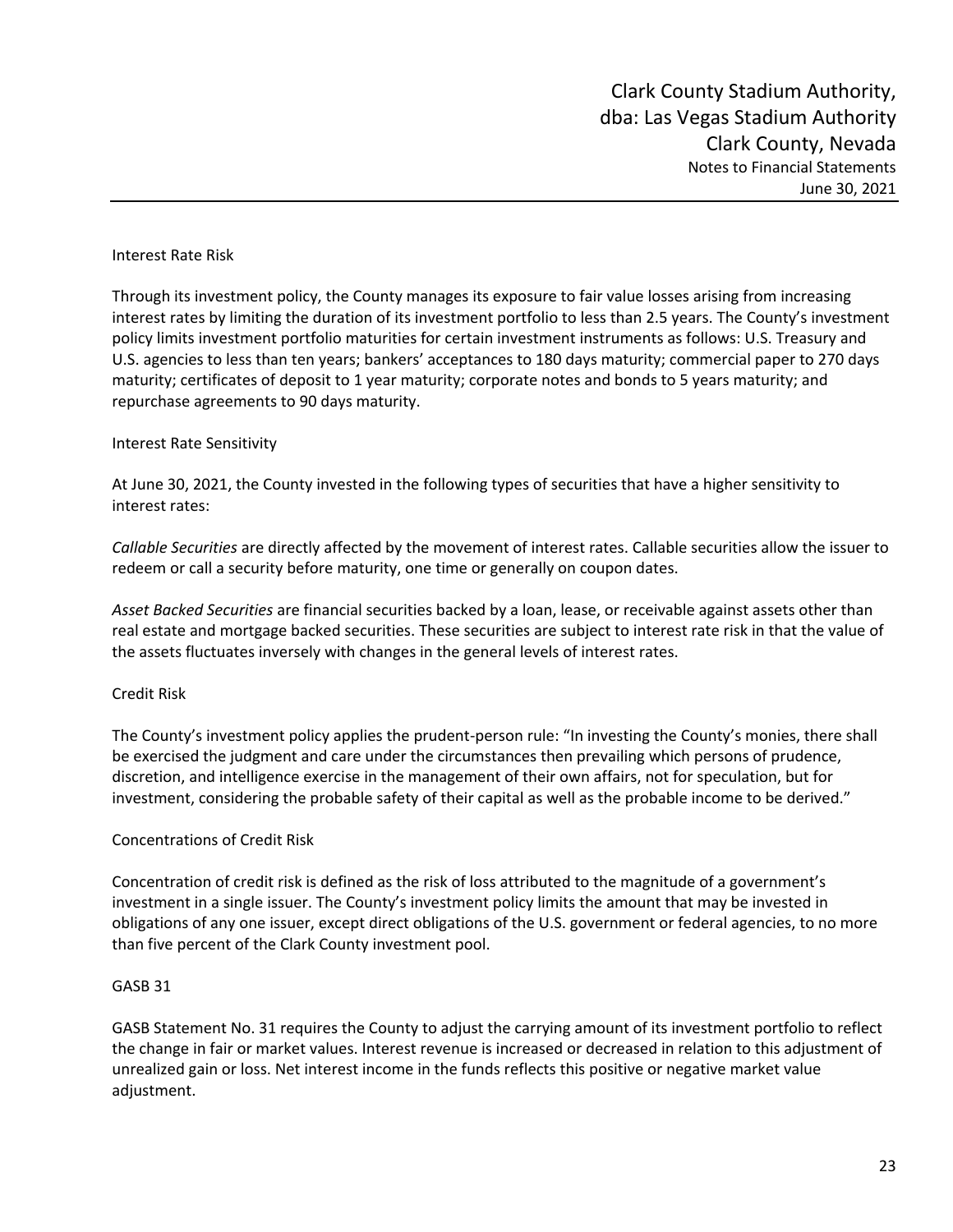## Interest Rate Risk

Through its investment policy, the County manages its exposure to fair value losses arising from increasing interest rates by limiting the duration of its investment portfolio to less than 2.5 years. The County's investment policy limits investment portfolio maturities for certain investment instruments as follows: U.S. Treasury and U.S. agencies to less than ten years; bankers' acceptances to 180 days maturity; commercial paper to 270 days maturity; certificates of deposit to 1 year maturity; corporate notes and bonds to 5 years maturity; and repurchase agreements to 90 days maturity.

#### Interest Rate Sensitivity

At June 30, 2021, the County invested in the following types of securities that have a higher sensitivity to interest rates:

*Callable Securities* are directly affected by the movement of interest rates. Callable securities allow the issuer to redeem or call a security before maturity, one time or generally on coupon dates.

*Asset Backed Securities* are financial securities backed by a loan, lease, or receivable against assets other than real estate and mortgage backed securities. These securities are subject to interest rate risk in that the value of the assets fluctuates inversely with changes in the general levels of interest rates.

## Credit Risk

The County's investment policy applies the prudent-person rule: "In investing the County's monies, there shall be exercised the judgment and care under the circumstances then prevailing which persons of prudence, discretion, and intelligence exercise in the management of their own affairs, not for speculation, but for investment, considering the probable safety of their capital as well as the probable income to be derived."

## Concentrations of Credit Risk

Concentration of credit risk is defined as the risk of loss attributed to the magnitude of a government's investment in a single issuer. The County's investment policy limits the amount that may be invested in obligations of any one issuer, except direct obligations of the U.S. government or federal agencies, to no more than five percent of the Clark County investment pool.

#### GASB 31

GASB Statement No. 31 requires the County to adjust the carrying amount of its investment portfolio to reflect the change in fair or market values. Interest revenue is increased or decreased in relation to this adjustment of unrealized gain or loss. Net interest income in the funds reflects this positive or negative market value adjustment.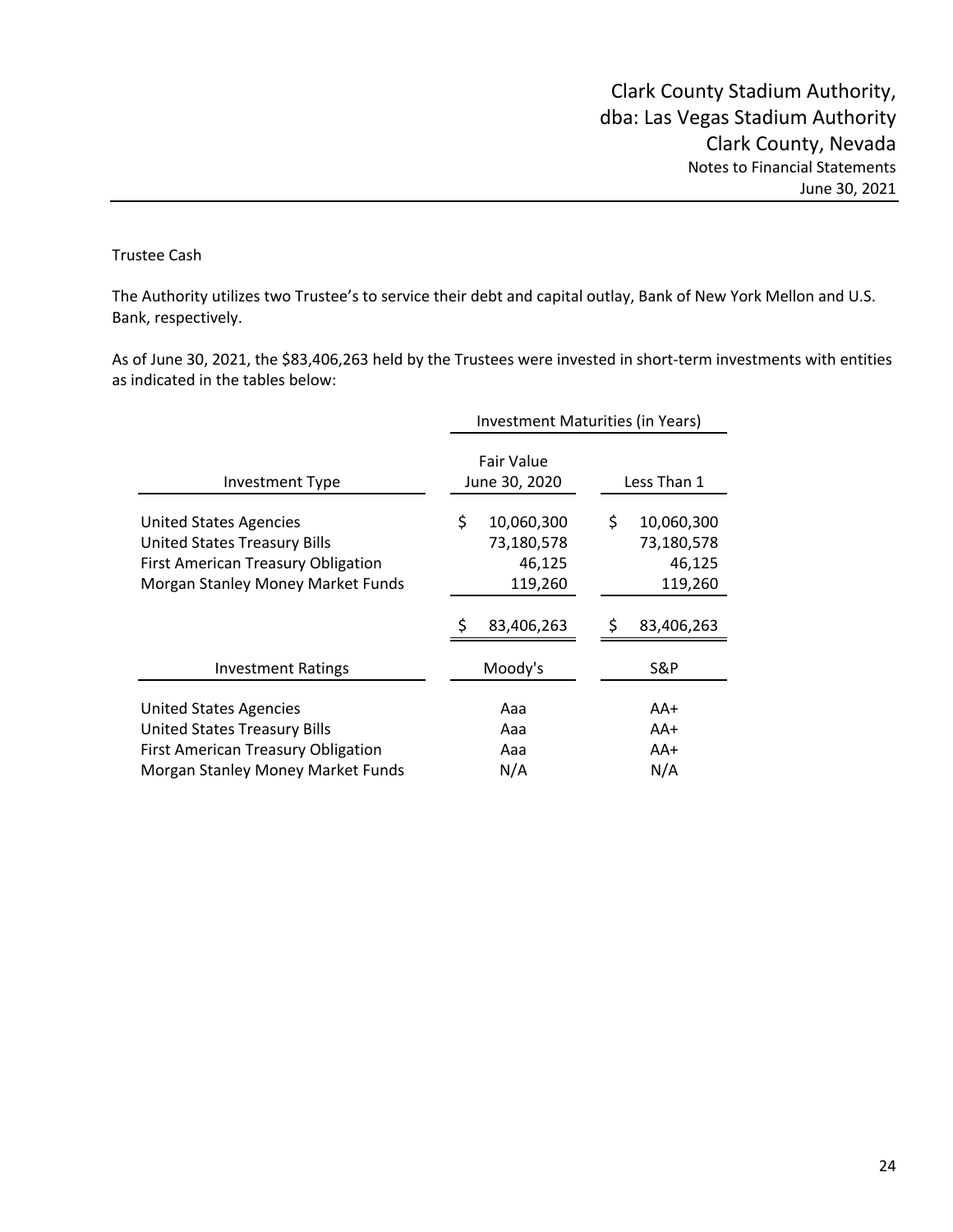# Trustee Cash

The Authority utilizes two Trustee's to service their debt and capital outlay, Bank of New York Mellon and U.S. Bank, respectively.

As of June 30, 2021, the \$83,406,263 held by the Trustees were invested in short-term investments with entities as indicated in the tables below:

|                                                                                                                                                 | Investment Maturities (in Years) |                                               |             |    |                                               |
|-------------------------------------------------------------------------------------------------------------------------------------------------|----------------------------------|-----------------------------------------------|-------------|----|-----------------------------------------------|
| Investment Type                                                                                                                                 |                                  | Fair Value<br>June 30, 2020                   | Less Than 1 |    |                                               |
| United States Agencies<br><b>United States Treasury Bills</b><br><b>First American Treasury Obligation</b><br>Morgan Stanley Money Market Funds | \$                               | 10,060,300<br>73,180,578<br>46,125<br>119,260 |             | \$ | 10,060,300<br>73,180,578<br>46,125<br>119,260 |
|                                                                                                                                                 |                                  | 83,406,263                                    |             | Ś. | 83,406,263                                    |
| <b>Investment Ratings</b>                                                                                                                       |                                  | Moody's                                       |             |    | S&P                                           |
| <b>United States Agencies</b><br><b>United States Treasury Bills</b><br>First American Treasury Obligation<br>Morgan Stanley Money Market Funds |                                  | Aaa<br>Aaa<br>Aaa<br>N/A                      |             |    | AA+<br>AA+<br>AA+<br>N/A                      |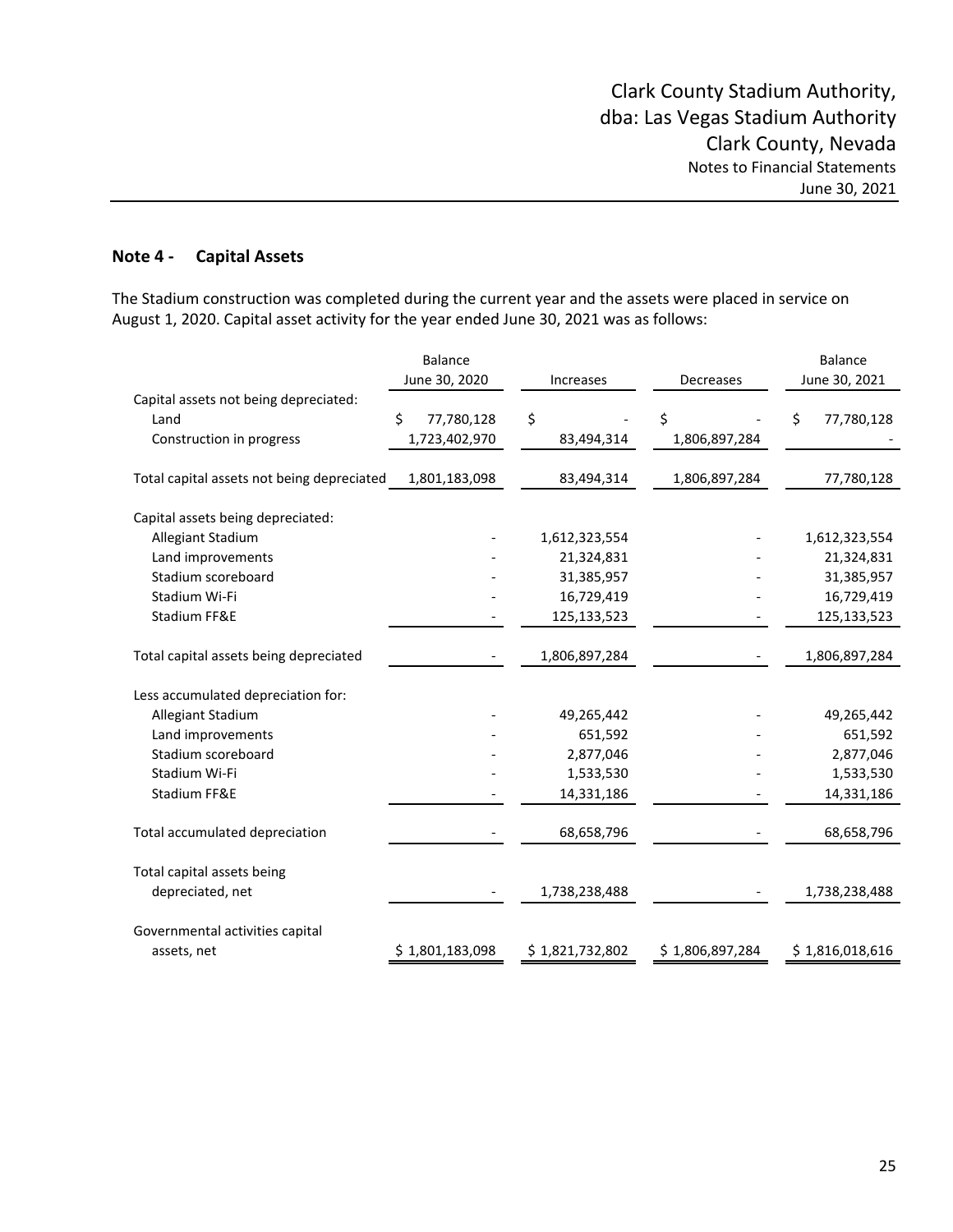# **Note 4 - Capital Assets**

The Stadium construction was completed during the current year and the assets were placed in service on August 1, 2020. Capital asset activity for the year ended June 30, 2021 was as follows:

|                                            | <b>Balance</b>   |                 |                 | <b>Balance</b>   |
|--------------------------------------------|------------------|-----------------|-----------------|------------------|
|                                            | June 30, 2020    | Increases       | Decreases       | June 30, 2021    |
| Capital assets not being depreciated:      |                  |                 |                 |                  |
| Land                                       | \$<br>77,780,128 | \$              | \$              | \$<br>77,780,128 |
| Construction in progress                   | 1,723,402,970    | 83,494,314      | 1,806,897,284   |                  |
| Total capital assets not being depreciated | 1,801,183,098    | 83,494,314      | 1,806,897,284   | 77,780,128       |
| Capital assets being depreciated:          |                  |                 |                 |                  |
| Allegiant Stadium                          |                  | 1,612,323,554   |                 | 1,612,323,554    |
| Land improvements                          |                  | 21,324,831      |                 | 21,324,831       |
| Stadium scoreboard                         |                  | 31,385,957      |                 | 31,385,957       |
| Stadium Wi-Fi                              |                  | 16,729,419      |                 | 16,729,419       |
| Stadium FF&E                               |                  | 125,133,523     |                 | 125,133,523      |
| Total capital assets being depreciated     |                  | 1,806,897,284   |                 | 1,806,897,284    |
| Less accumulated depreciation for:         |                  |                 |                 |                  |
| Allegiant Stadium                          |                  | 49,265,442      |                 | 49,265,442       |
| Land improvements                          |                  | 651,592         |                 | 651,592          |
| Stadium scoreboard                         |                  | 2,877,046       |                 | 2,877,046        |
| Stadium Wi-Fi                              |                  | 1,533,530       |                 | 1,533,530        |
| Stadium FF&E                               |                  | 14,331,186      |                 | 14,331,186       |
| Total accumulated depreciation             |                  | 68,658,796      |                 | 68,658,796       |
| Total capital assets being                 |                  |                 |                 |                  |
| depreciated, net                           |                  | 1,738,238,488   |                 | 1,738,238,488    |
| Governmental activities capital            |                  |                 |                 |                  |
| assets, net                                | \$1,801,183,098  | \$1,821,732,802 | \$1,806,897,284 | \$1,816,018,616  |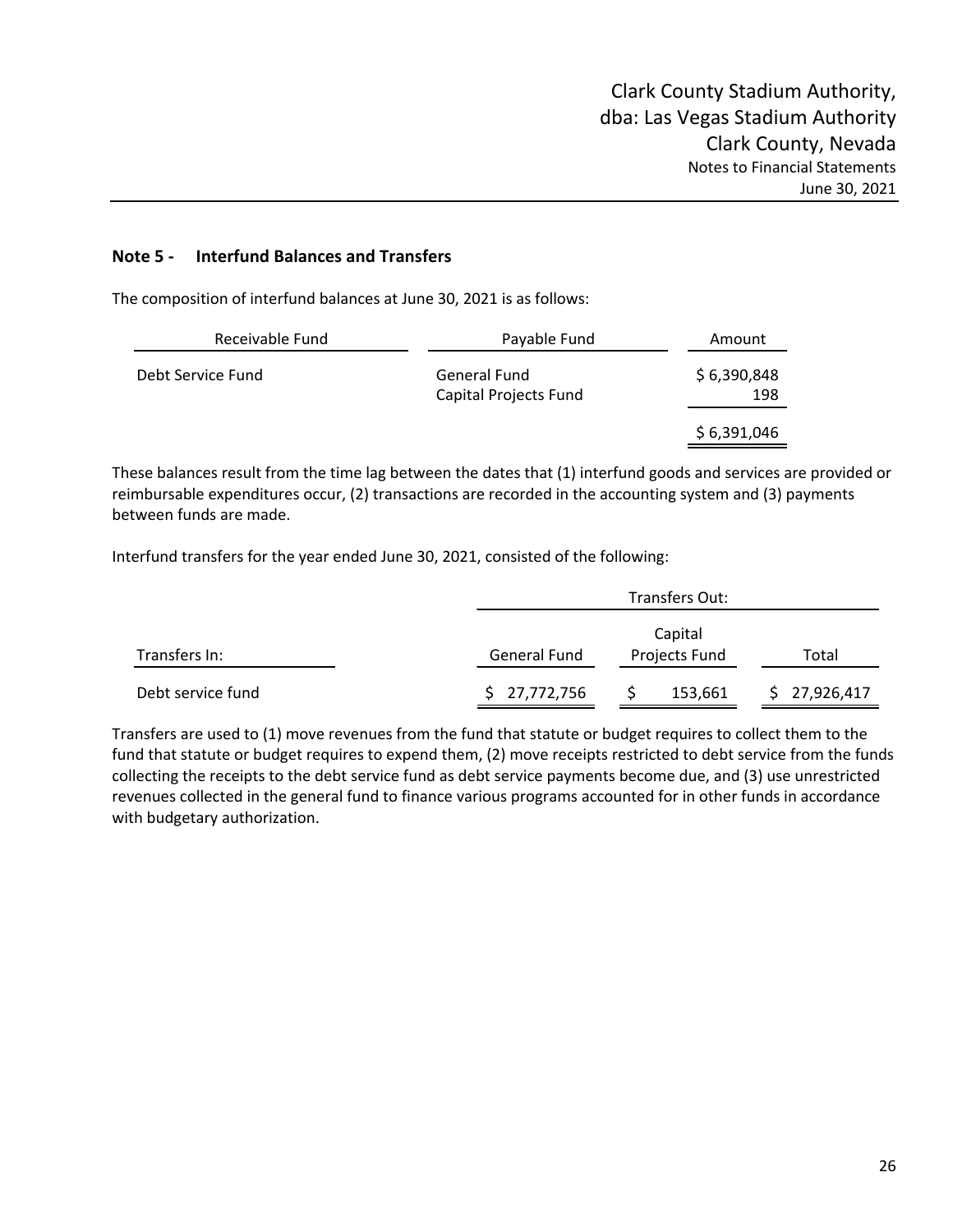# **Note 5 - Interfund Balances and Transfers**

The composition of interfund balances at June 30, 2021 is as follows:

| Receivable Fund   | Payable Fund                          | Amount             |  |
|-------------------|---------------------------------------|--------------------|--|
| Debt Service Fund | General Fund<br>Capital Projects Fund | \$6,390,848<br>198 |  |
|                   |                                       | \$6,391,046        |  |

These balances result from the time lag between the dates that (1) interfund goods and services are provided or reimbursable expenditures occur, (2) transactions are recorded in the accounting system and (3) payments between funds are made.

Interfund transfers for the year ended June 30, 2021, consisted of the following:

|                   | Transfers Out: |                          |            |  |  |  |  |
|-------------------|----------------|--------------------------|------------|--|--|--|--|
| Transfers In:     | General Fund   | Capital<br>Projects Fund | Total      |  |  |  |  |
| Debt service fund | \$27,772,756   | 153,661                  | 27,926,417 |  |  |  |  |

Transfers are used to (1) move revenues from the fund that statute or budget requires to collect them to the fund that statute or budget requires to expend them, (2) move receipts restricted to debt service from the funds collecting the receipts to the debt service fund as debt service payments become due, and (3) use unrestricted revenues collected in the general fund to finance various programs accounted for in other funds in accordance with budgetary authorization.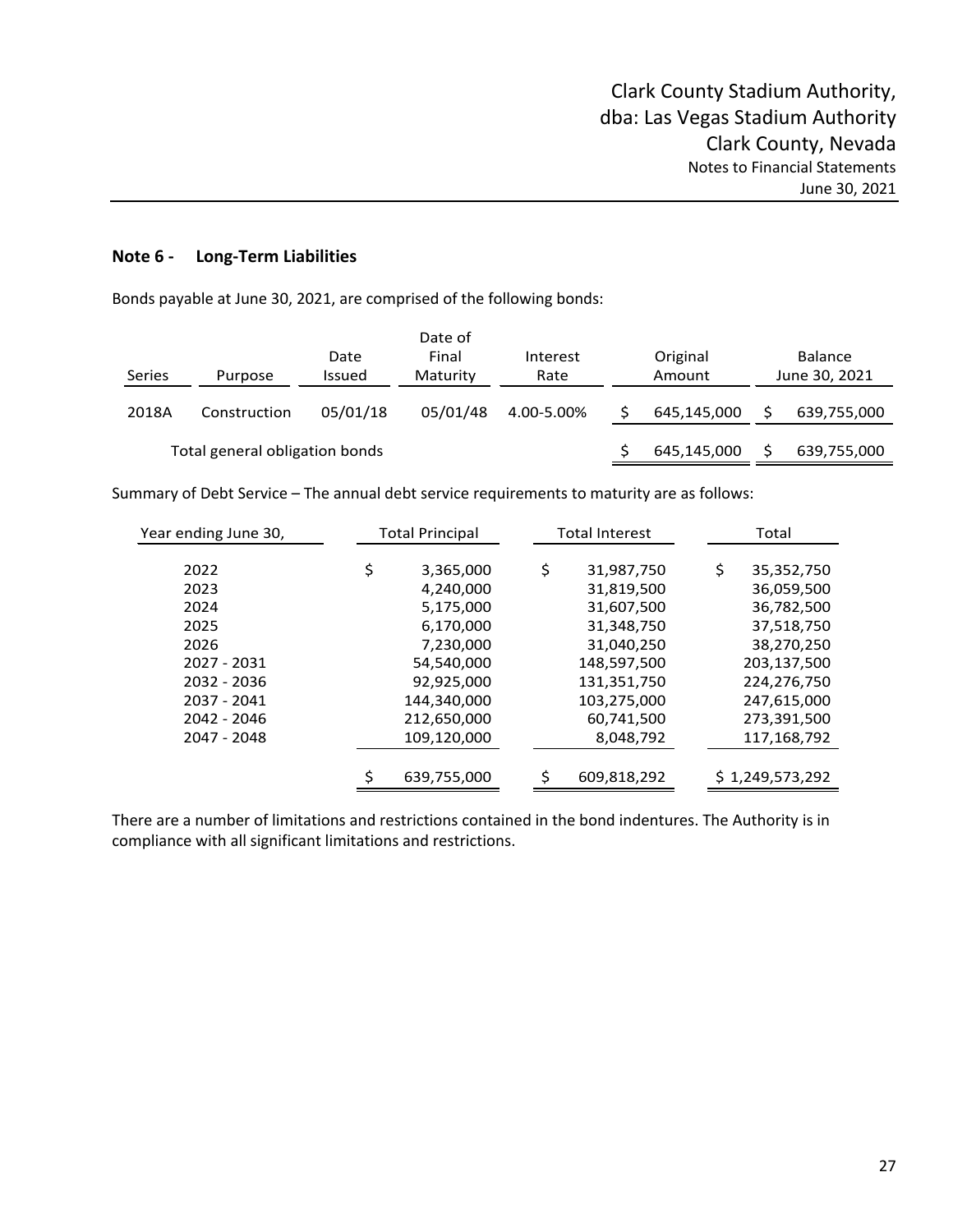# **Note 6 - Long-Term Liabilities**

Bonds payable at June 30, 2021, are comprised of the following bonds:

| Series | Purpose                        | Date<br><b>Issued</b> | Date of<br>Final<br>Maturity | Interest<br>Rate | Original<br>Amount |             | <b>Balance</b><br>June 30, 2021 |             |  |
|--------|--------------------------------|-----------------------|------------------------------|------------------|--------------------|-------------|---------------------------------|-------------|--|
| 2018A  | Construction                   | 05/01/18              | 05/01/48                     | 4.00-5.00%       |                    | 645,145,000 |                                 | 639,755,000 |  |
|        | Total general obligation bonds |                       |                              |                  |                    | 645,145,000 |                                 | 639,755,000 |  |

Summary of Debt Service – The annual debt service requirements to maturity are as follows:

| Year ending June 30, | <b>Total Principal</b> |  | <b>Total Interest</b> |             | Total |                 |
|----------------------|------------------------|--|-----------------------|-------------|-------|-----------------|
|                      |                        |  |                       |             |       |                 |
| 2022                 | \$<br>3,365,000        |  | \$                    | 31,987,750  | \$    | 35,352,750      |
| 2023                 | 4,240,000              |  |                       | 31,819,500  |       | 36,059,500      |
| 2024                 | 5,175,000              |  |                       | 31,607,500  |       | 36,782,500      |
| 2025                 | 6,170,000              |  |                       | 31,348,750  |       | 37,518,750      |
| 2026                 | 7,230,000              |  |                       | 31,040,250  |       | 38,270,250      |
| 2027 - 2031          | 54,540,000             |  |                       | 148,597,500 |       | 203,137,500     |
| 2032 - 2036          | 92,925,000             |  |                       | 131,351,750 |       | 224,276,750     |
| 2037 - 2041          | 144,340,000            |  |                       | 103,275,000 |       | 247,615,000     |
| 2042 - 2046          | 212,650,000            |  |                       | 60,741,500  |       | 273,391,500     |
| 2047 - 2048          | 109,120,000            |  |                       | 8,048,792   |       | 117,168,792     |
|                      |                        |  |                       |             |       |                 |
|                      | \$<br>639,755,000      |  | ς                     | 609,818,292 |       | \$1,249,573,292 |

There are a number of limitations and restrictions contained in the bond indentures. The Authority is in compliance with all significant limitations and restrictions.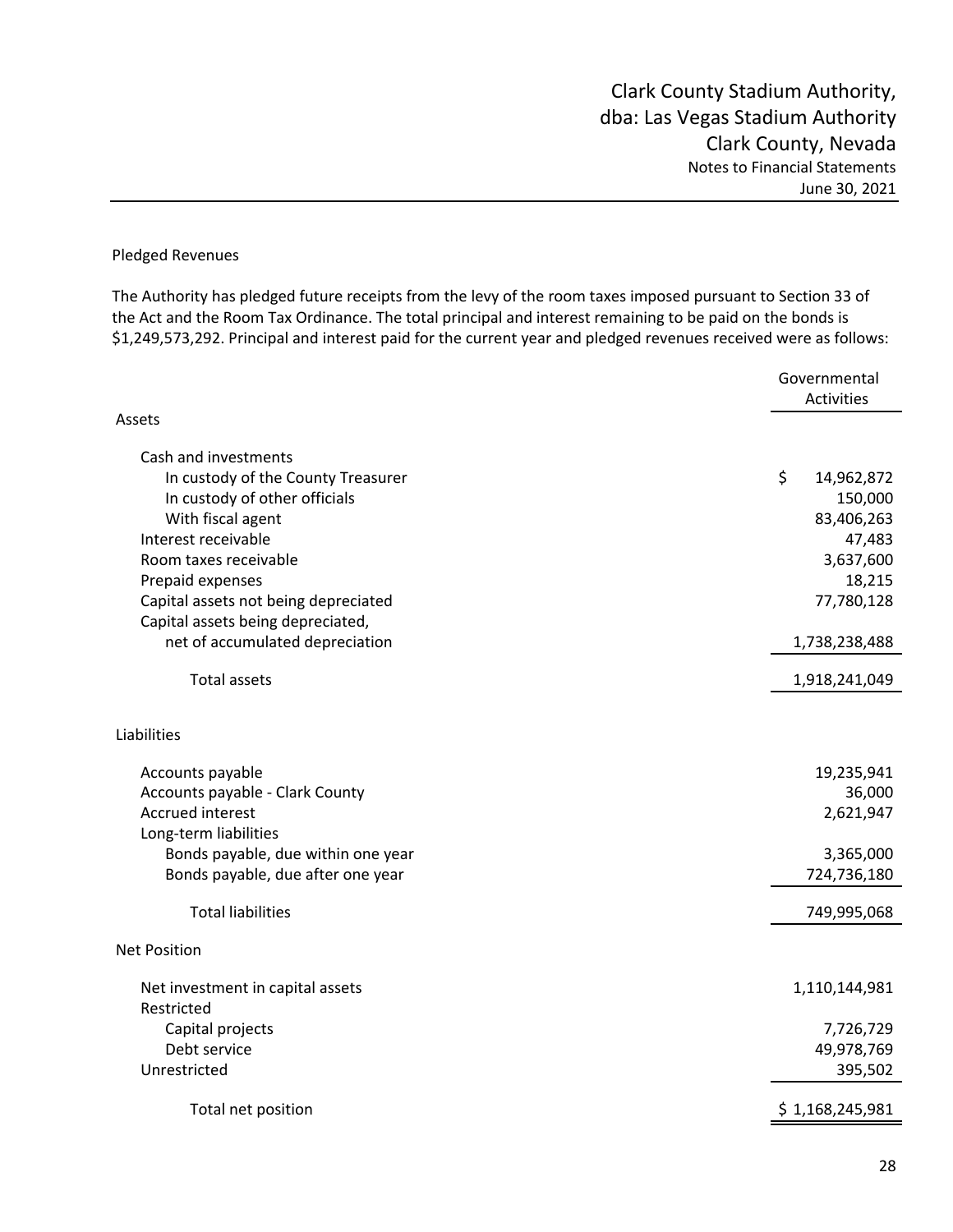Pledged Revenues

The Authority has pledged future receipts from the levy of the room taxes imposed pursuant to Section 33 of the Act and the Room Tax Ordinance. The total principal and interest remaining to be paid on the bonds is \$1,249,573,292. Principal and interest paid for the current year and pledged revenues received were as follows:

|                                      | Governmental<br><b>Activities</b> |
|--------------------------------------|-----------------------------------|
| Assets                               |                                   |
| Cash and investments                 |                                   |
| In custody of the County Treasurer   | \$<br>14,962,872                  |
| In custody of other officials        | 150,000                           |
| With fiscal agent                    | 83,406,263                        |
| Interest receivable                  | 47,483                            |
| Room taxes receivable                | 3,637,600                         |
| Prepaid expenses                     | 18,215                            |
| Capital assets not being depreciated | 77,780,128                        |
| Capital assets being depreciated,    |                                   |
| net of accumulated depreciation      | 1,738,238,488                     |
| <b>Total assets</b>                  | 1,918,241,049                     |
| Liabilities                          |                                   |
| Accounts payable                     | 19,235,941                        |
| Accounts payable - Clark County      | 36,000                            |
| <b>Accrued interest</b>              | 2,621,947                         |
| Long-term liabilities                |                                   |
| Bonds payable, due within one year   | 3,365,000                         |
| Bonds payable, due after one year    | 724,736,180                       |
| <b>Total liabilities</b>             | 749,995,068                       |
| <b>Net Position</b>                  |                                   |
| Net investment in capital assets     | 1,110,144,981                     |
| Restricted                           |                                   |
| Capital projects                     | 7,726,729                         |
| Debt service                         | 49,978,769                        |
| Unrestricted                         | 395,502                           |
| Total net position                   | \$1,168,245,981                   |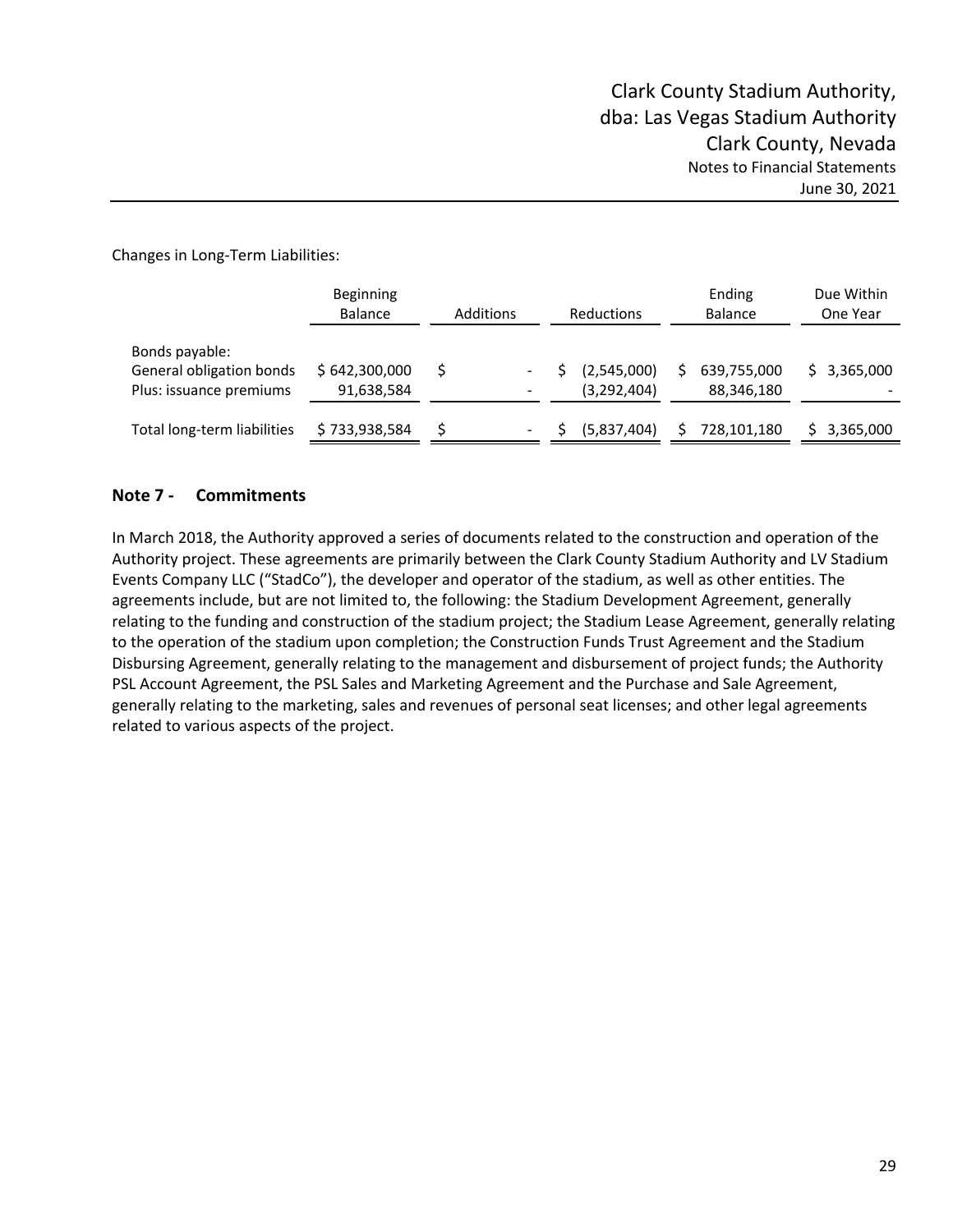Changes in Long-Term Liabilities:

|                                                                       | <b>Beginning</b><br>Balance | <b>Additions</b> |                | Reductions                 | Ending<br>Balance         | Due Within<br>One Year |
|-----------------------------------------------------------------------|-----------------------------|------------------|----------------|----------------------------|---------------------------|------------------------|
| Bonds payable:<br>General obligation bonds<br>Plus: issuance premiums | \$642,300,000<br>91,638,584 | \$               |                | (2,545,000)<br>(3,292,404) | 639,755,000<br>88,346,180 | 3,365,000<br>S.        |
| Total long-term liabilities                                           | \$733,938,584               | Ś                | $\blacksquare$ | (5,837,404)                | 728,101,180               | 3,365,000              |

# **Note 7 - Commitments**

In March 2018, the Authority approved a series of documents related to the construction and operation of the Authority project. These agreements are primarily between the Clark County Stadium Authority and LV Stadium Events Company LLC ("StadCo"), the developer and operator of the stadium, as well as other entities. The agreements include, but are not limited to, the following: the Stadium Development Agreement, generally relating to the funding and construction of the stadium project; the Stadium Lease Agreement, generally relating to the operation of the stadium upon completion; the Construction Funds Trust Agreement and the Stadium Disbursing Agreement, generally relating to the management and disbursement of project funds; the Authority PSL Account Agreement, the PSL Sales and Marketing Agreement and the Purchase and Sale Agreement, generally relating to the marketing, sales and revenues of personal seat licenses; and other legal agreements related to various aspects of the project.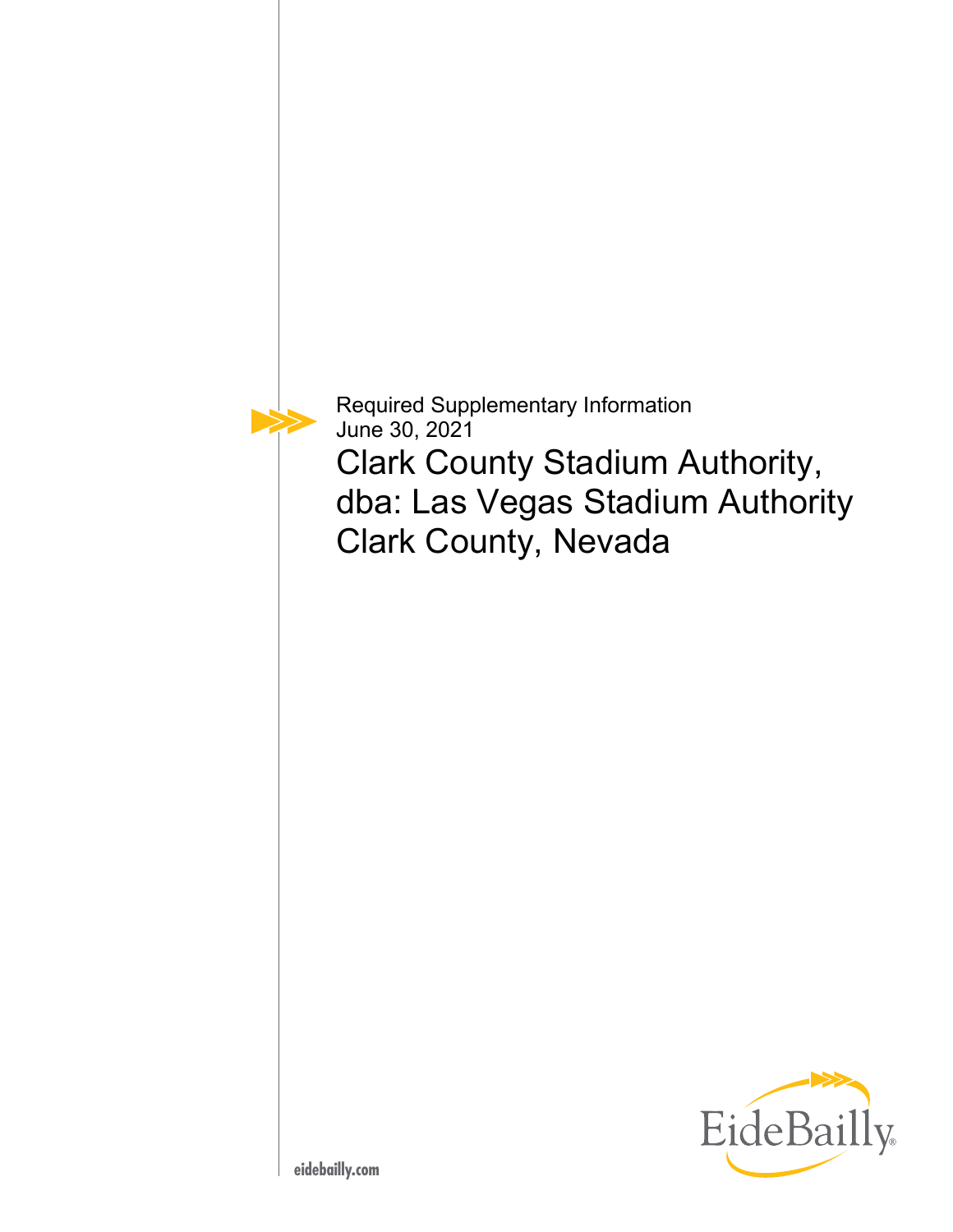Required Supplementary Information June 30, 2021 Clark County Stadium Authority, dba: Las Vegas Stadium Authority Clark County, Nevada

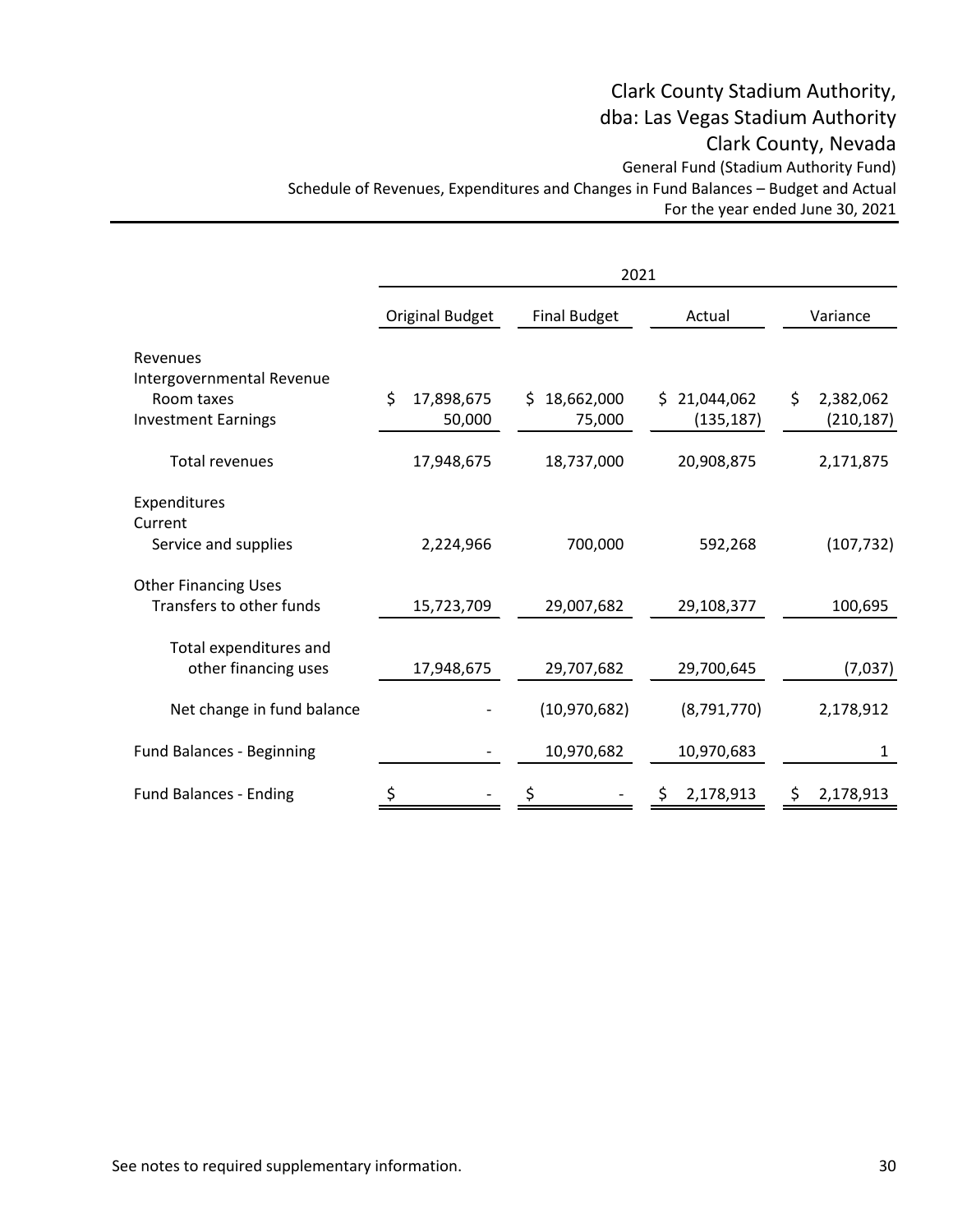# Clark County Stadium Authority, dba: Las Vegas Stadium Authority Clark County, Nevada General Fund (Stadium Authority Fund) Schedule of Revenues, Expenditures and Changes in Fund Balances – Budget and Actual For the year ended June 30, 2021

|                                                         | 2021                       |                            |                                |                               |  |  |  |  |
|---------------------------------------------------------|----------------------------|----------------------------|--------------------------------|-------------------------------|--|--|--|--|
|                                                         | <b>Original Budget</b>     | <b>Final Budget</b>        | Actual                         | Variance                      |  |  |  |  |
| Revenues<br>Intergovernmental Revenue                   |                            |                            |                                |                               |  |  |  |  |
| Room taxes<br><b>Investment Earnings</b>                | \$<br>17,898,675<br>50,000 | 18,662,000<br>S.<br>75,000 | 21,044,062<br>S.<br>(135, 187) | \$<br>2,382,062<br>(210, 187) |  |  |  |  |
| Total revenues                                          | 17,948,675                 | 18,737,000                 | 20,908,875                     | 2,171,875                     |  |  |  |  |
| Expenditures<br>Current<br>Service and supplies         | 2,224,966                  | 700,000                    | 592,268                        | (107, 732)                    |  |  |  |  |
| <b>Other Financing Uses</b><br>Transfers to other funds | 15,723,709                 | 29,007,682                 | 29,108,377                     | 100,695                       |  |  |  |  |
| Total expenditures and<br>other financing uses          | 17,948,675                 | 29,707,682                 | 29,700,645                     | (7,037)                       |  |  |  |  |
| Net change in fund balance                              |                            | (10, 970, 682)             | (8,791,770)                    | 2,178,912                     |  |  |  |  |
| Fund Balances - Beginning                               |                            | 10,970,682                 | 10,970,683                     | 1                             |  |  |  |  |
| <b>Fund Balances - Ending</b>                           |                            |                            | 2,178,913                      | 2,178,913<br>\$               |  |  |  |  |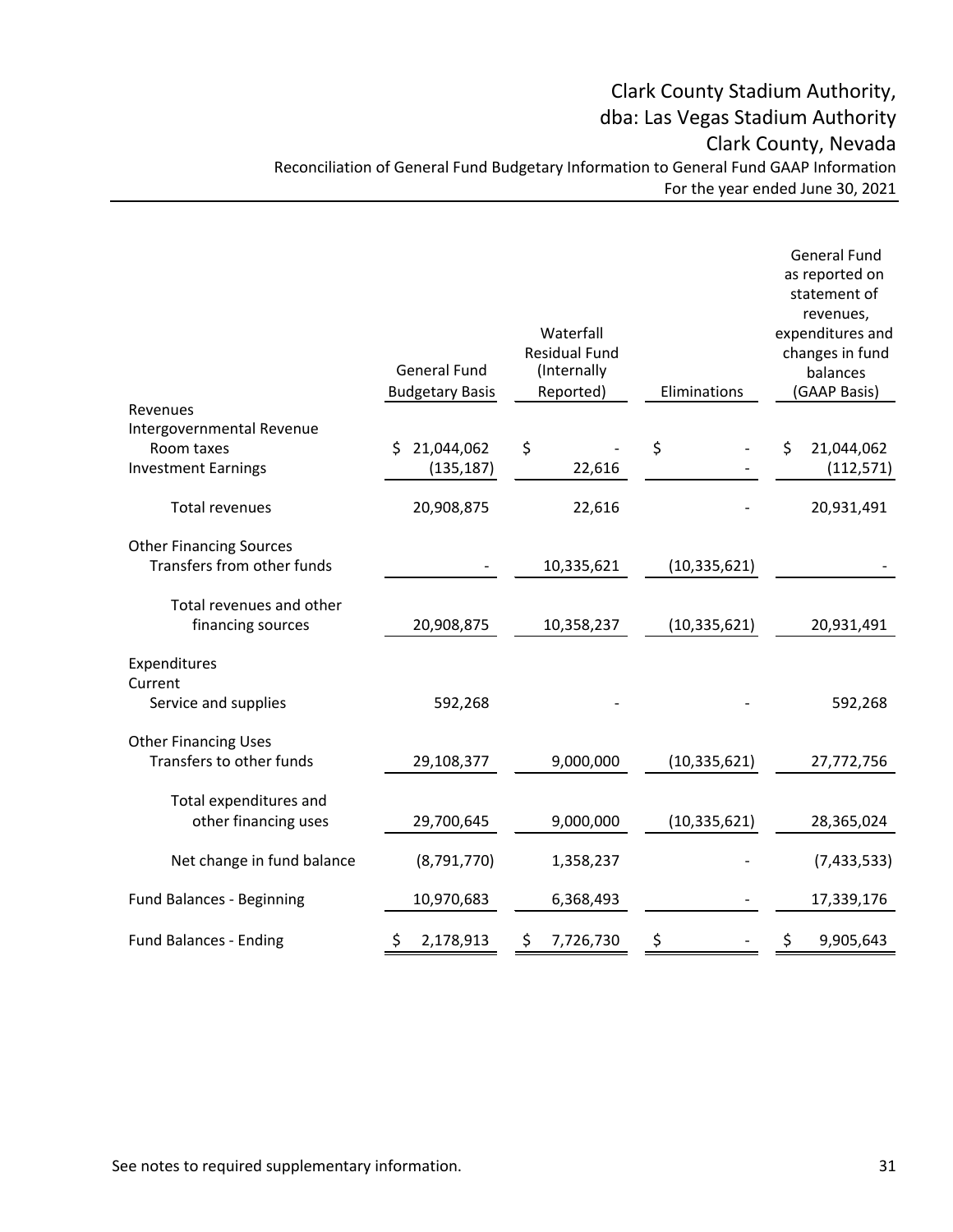# Clark County Stadium Authority, dba: Las Vegas Stadium Authority Clark County, Nevada Reconciliation of General Fund Budgetary Information to General Fund GAAP Information For the year ended June 30, 2021

|                                                                                   |                                               |                                                               |                | <b>General Fund</b><br>as reported on<br>statement of<br>revenues, |
|-----------------------------------------------------------------------------------|-----------------------------------------------|---------------------------------------------------------------|----------------|--------------------------------------------------------------------|
|                                                                                   | <b>General Fund</b><br><b>Budgetary Basis</b> | Waterfall<br><b>Residual Fund</b><br>(Internally<br>Reported) | Eliminations   | expenditures and<br>changes in fund<br>balances<br>(GAAP Basis)    |
| Revenues<br>Intergovernmental Revenue<br>Room taxes<br><b>Investment Earnings</b> | 21,044,062<br>Ś<br>(135, 187)                 | \$<br>22,616                                                  | \$             | \$<br>21,044,062<br>(112, 571)                                     |
| <b>Total revenues</b>                                                             | 20,908,875                                    | 22,616                                                        |                | 20,931,491                                                         |
| <b>Other Financing Sources</b><br>Transfers from other funds                      |                                               | 10,335,621                                                    | (10, 335, 621) |                                                                    |
| Total revenues and other<br>financing sources                                     | 20,908,875                                    | 10,358,237                                                    | (10, 335, 621) | 20,931,491                                                         |
| Expenditures<br>Current                                                           |                                               |                                                               |                |                                                                    |
| Service and supplies                                                              | 592,268                                       |                                                               |                | 592,268                                                            |
| <b>Other Financing Uses</b><br>Transfers to other funds                           | 29,108,377                                    | 9,000,000                                                     | (10, 335, 621) | 27,772,756                                                         |
| Total expenditures and<br>other financing uses                                    | 29,700,645                                    | 9,000,000                                                     | (10, 335, 621) | 28,365,024                                                         |
| Net change in fund balance                                                        | (8,791,770)                                   | 1,358,237                                                     |                | (7,433,533)                                                        |
| Fund Balances - Beginning                                                         | 10,970,683                                    | 6,368,493                                                     |                | 17,339,176                                                         |
| <b>Fund Balances - Ending</b>                                                     | 2,178,913<br>\$,                              | 7,726,730<br>Ş                                                | \$             | 9,905,643                                                          |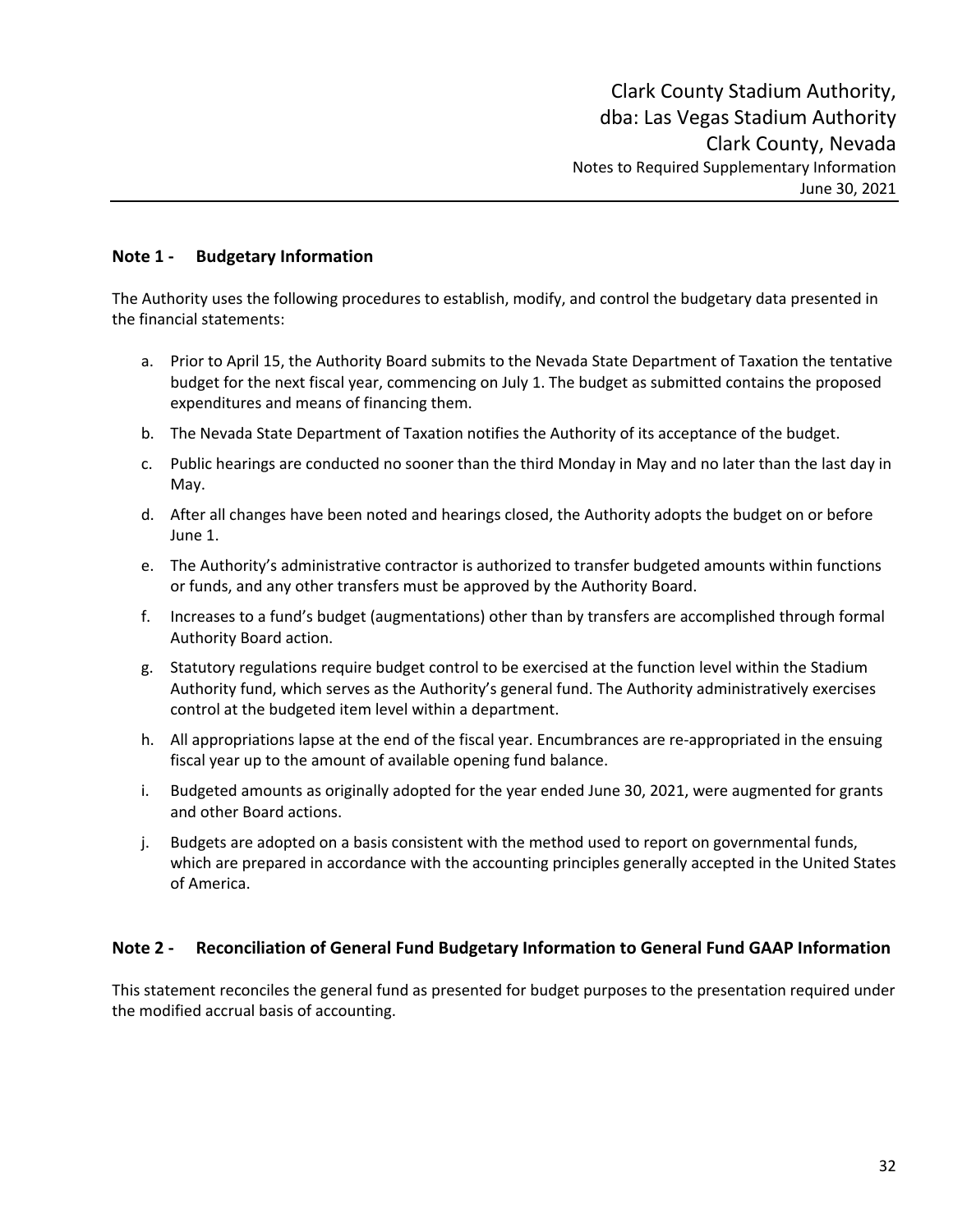# **Note 1 - Budgetary Information**

The Authority uses the following procedures to establish, modify, and control the budgetary data presented in the financial statements:

- a. Prior to April 15, the Authority Board submits to the Nevada State Department of Taxation the tentative budget for the next fiscal year, commencing on July 1. The budget as submitted contains the proposed expenditures and means of financing them.
- b. The Nevada State Department of Taxation notifies the Authority of its acceptance of the budget.
- c. Public hearings are conducted no sooner than the third Monday in May and no later than the last day in May.
- d. After all changes have been noted and hearings closed, the Authority adopts the budget on or before June 1.
- e. The Authority's administrative contractor is authorized to transfer budgeted amounts within functions or funds, and any other transfers must be approved by the Authority Board.
- f. Increases to a fund's budget (augmentations) other than by transfers are accomplished through formal Authority Board action.
- g. Statutory regulations require budget control to be exercised at the function level within the Stadium Authority fund, which serves as the Authority's general fund. The Authority administratively exercises control at the budgeted item level within a department.
- h. All appropriations lapse at the end of the fiscal year. Encumbrances are re-appropriated in the ensuing fiscal year up to the amount of available opening fund balance.
- i. Budgeted amounts as originally adopted for the year ended June 30, 2021, were augmented for grants and other Board actions.
- j. Budgets are adopted on a basis consistent with the method used to report on governmental funds, which are prepared in accordance with the accounting principles generally accepted in the United States of America.

## **Note 2 - Reconciliation of General Fund Budgetary Information to General Fund GAAP Information**

This statement reconciles the general fund as presented for budget purposes to the presentation required under the modified accrual basis of accounting.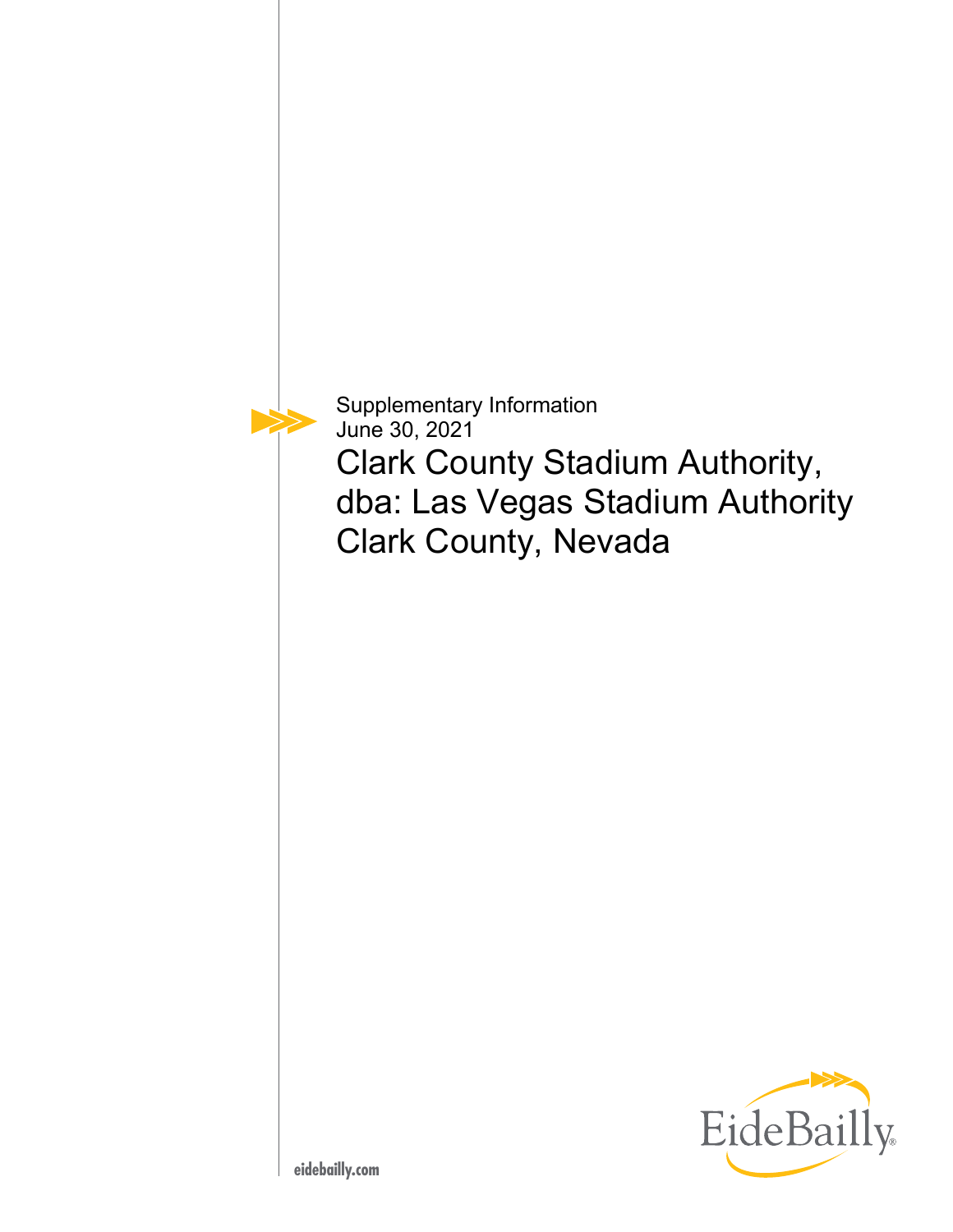Supplementary Information June 30, 2021 Clark County Stadium Authority, dba: Las Vegas Stadium Authority Clark County, Nevada

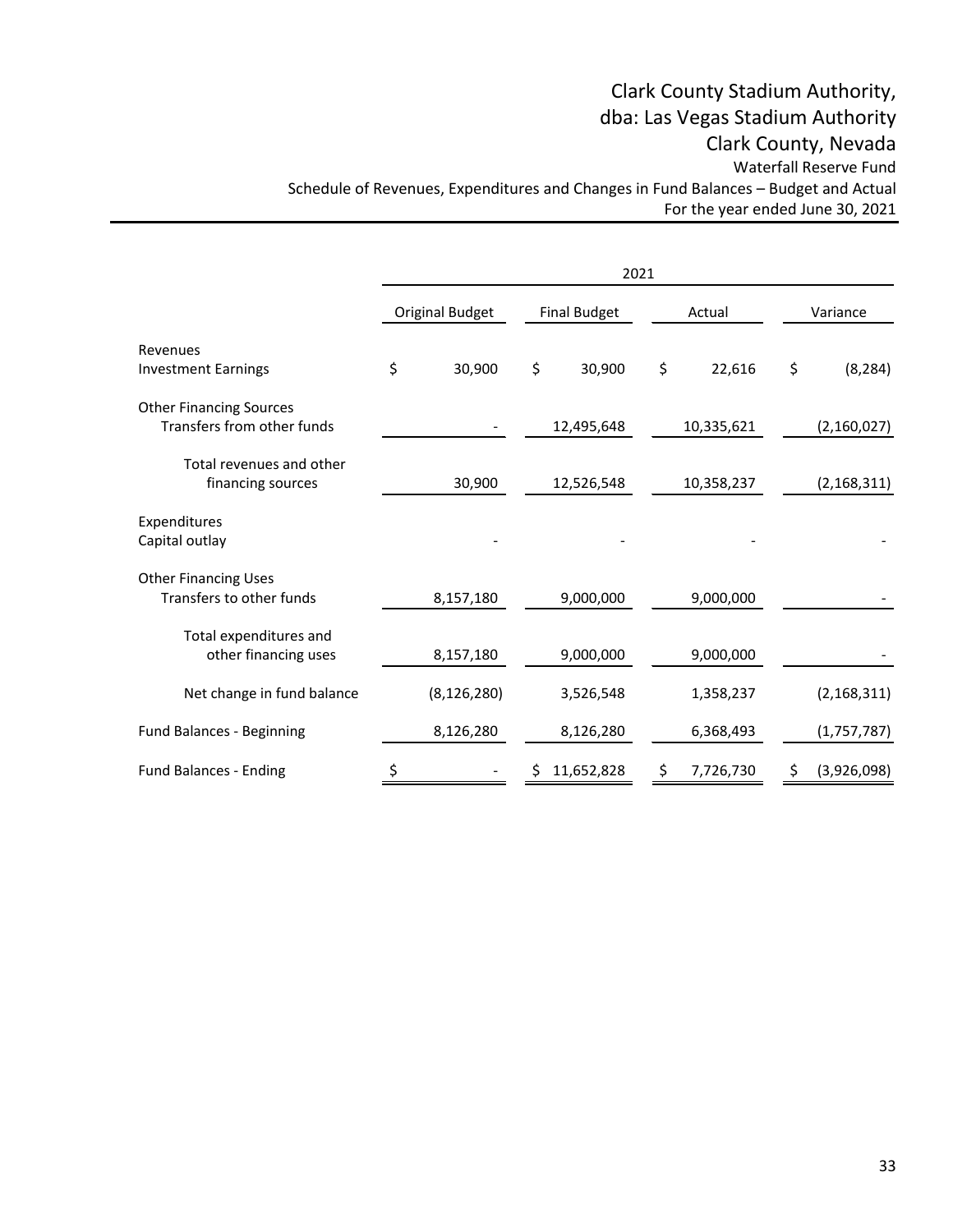# Clark County Stadium Authority, dba: Las Vegas Stadium Authority Clark County, Nevada Waterfall Reserve Fund Schedule of Revenues, Expenditures and Changes in Fund Balances – Budget and Actual For the year ended June 30, 2021

|                                                              | 2021 |                 |                     |            |        |            |    |               |
|--------------------------------------------------------------|------|-----------------|---------------------|------------|--------|------------|----|---------------|
|                                                              |      | Original Budget | <b>Final Budget</b> |            | Actual |            |    | Variance      |
| Revenues                                                     |      |                 |                     |            |        |            |    |               |
| <b>Investment Earnings</b>                                   | \$   | 30,900          | \$                  | 30,900     | \$     | 22,616     | \$ | (8, 284)      |
| <b>Other Financing Sources</b><br>Transfers from other funds |      |                 |                     | 12,495,648 |        | 10,335,621 |    | (2, 160, 027) |
| Total revenues and other<br>financing sources                |      | 30,900          |                     | 12,526,548 |        | 10,358,237 |    | (2, 168, 311) |
| Expenditures<br>Capital outlay                               |      |                 |                     |            |        |            |    |               |
| <b>Other Financing Uses</b><br>Transfers to other funds      |      | 8,157,180       |                     | 9,000,000  |        | 9,000,000  |    |               |
| Total expenditures and<br>other financing uses               |      | 8,157,180       |                     | 9,000,000  |        | 9,000,000  |    |               |
| Net change in fund balance                                   |      | (8, 126, 280)   |                     | 3,526,548  |        | 1,358,237  |    | (2, 168, 311) |
| Fund Balances - Beginning                                    |      | 8,126,280       |                     | 8,126,280  |        | 6,368,493  |    | (1,757,787)   |
| Fund Balances - Ending                                       |      |                 |                     | 11,652,828 | S      | 7,726,730  | S  | (3,926,098)   |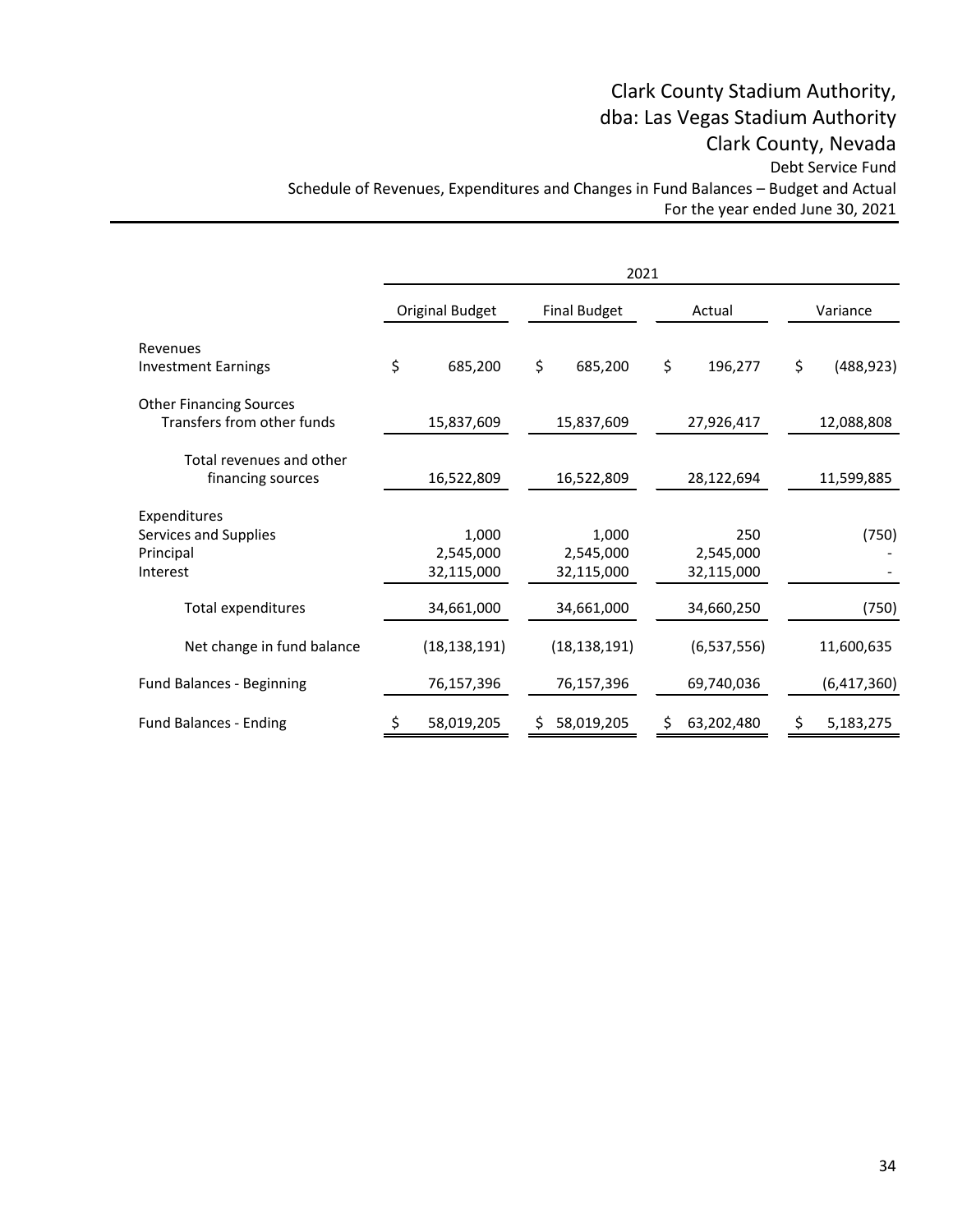# Clark County Stadium Authority, dba: Las Vegas Stadium Authority Clark County, Nevada Debt Service Fund Schedule of Revenues, Expenditures and Changes in Fund Balances – Budget and Actual For the year ended June 30, 2021

|                                                                | 2021 |                                  |    |                                  |    |                                |    |               |  |
|----------------------------------------------------------------|------|----------------------------------|----|----------------------------------|----|--------------------------------|----|---------------|--|
|                                                                |      | Original Budget                  |    | <b>Final Budget</b>              |    | Actual                         |    | Variance      |  |
| Revenues<br><b>Investment Earnings</b>                         | \$   | 685,200                          | \$ | 685,200                          | \$ | 196,277                        | \$ | (488, 923)    |  |
| <b>Other Financing Sources</b><br>Transfers from other funds   |      | 15,837,609                       |    | 15,837,609                       |    | 27,926,417                     |    | 12,088,808    |  |
| Total revenues and other<br>financing sources                  |      | 16,522,809                       |    | 16,522,809                       |    | 28,122,694                     |    | 11,599,885    |  |
| Expenditures<br>Services and Supplies<br>Principal<br>Interest |      | 1.000<br>2,545,000<br>32,115,000 |    | 1,000<br>2,545,000<br>32,115,000 |    | 250<br>2,545,000<br>32,115,000 |    | (750)         |  |
| Total expenditures                                             |      | 34,661,000                       |    | 34,661,000                       |    | 34,660,250                     |    | (750)         |  |
| Net change in fund balance                                     |      | (18, 138, 191)                   |    | (18, 138, 191)                   |    | (6, 537, 556)                  |    | 11,600,635    |  |
| Fund Balances - Beginning                                      |      | 76,157,396                       |    | 76,157,396                       |    | 69,740,036                     |    | (6, 417, 360) |  |
| <b>Fund Balances - Ending</b>                                  |      | 58,019,205                       | S  | 58,019,205                       | S  | 63,202,480                     | S  | 5,183,275     |  |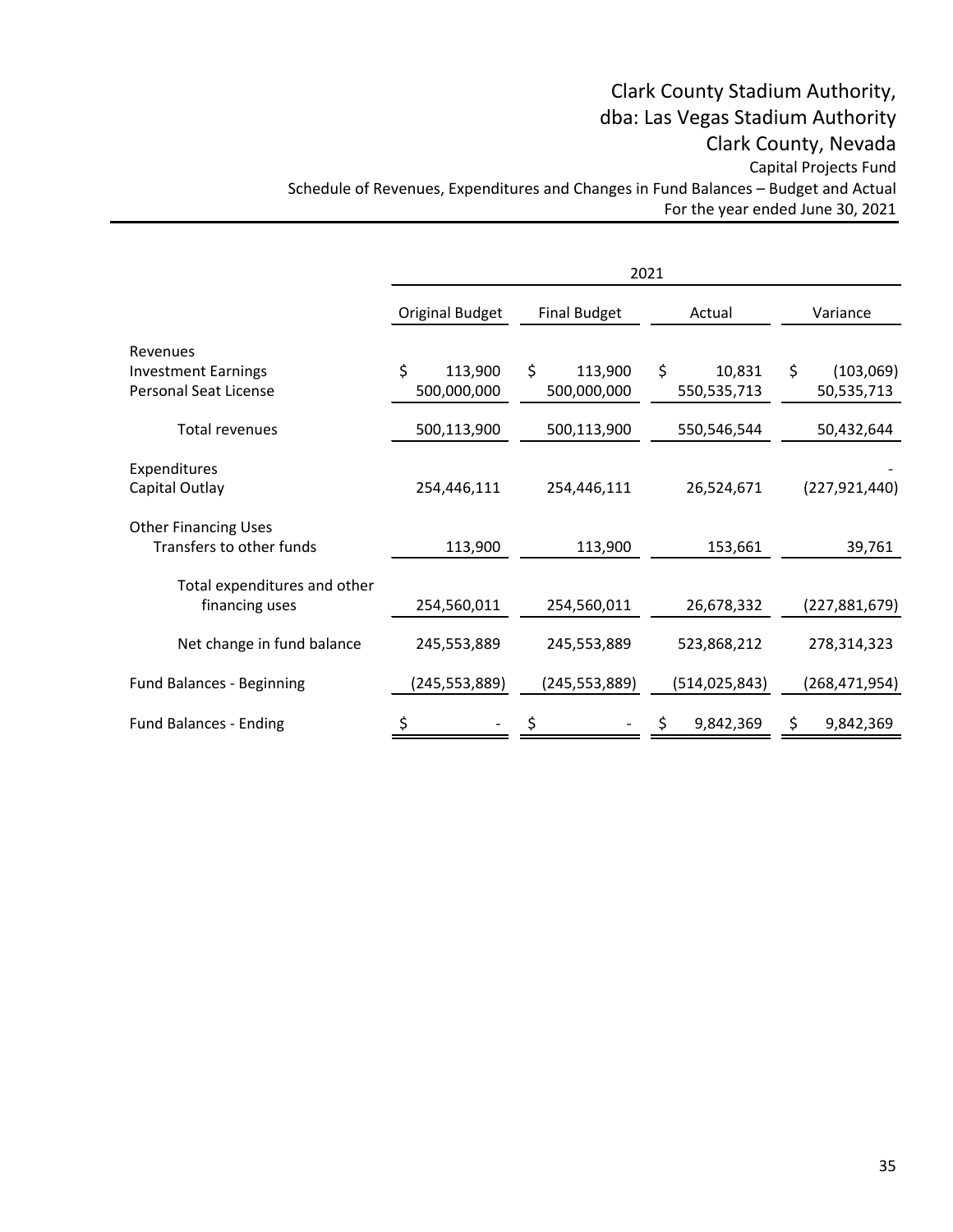# Clark County Stadium Authority, dba: Las Vegas Stadium Authority Clark County, Nevada Capital Projects Fund Schedule of Revenues, Expenditures and Changes in Fund Balances – Budget and Actual For the year ended June 30, 2021

|                               | 2021            |                     |                 |                 |  |  |  |  |
|-------------------------------|-----------------|---------------------|-----------------|-----------------|--|--|--|--|
|                               | Original Budget | <b>Final Budget</b> | Actual          | Variance        |  |  |  |  |
| Revenues                      |                 |                     |                 |                 |  |  |  |  |
| <b>Investment Earnings</b>    | \$<br>113,900   | \$<br>113,900       | \$<br>10,831    | \$<br>(103,069) |  |  |  |  |
| Personal Seat License         | 500,000,000     | 500,000,000         | 550,535,713     | 50,535,713      |  |  |  |  |
| Total revenues                | 500,113,900     | 500,113,900         | 550,546,544     | 50,432,644      |  |  |  |  |
| Expenditures                  |                 |                     |                 |                 |  |  |  |  |
| Capital Outlay                | 254,446,111     | 254,446,111         | 26,524,671      | (227, 921, 440) |  |  |  |  |
| <b>Other Financing Uses</b>   |                 |                     |                 |                 |  |  |  |  |
| Transfers to other funds      | 113,900         | 113,900             | 153,661         | 39,761          |  |  |  |  |
| Total expenditures and other  |                 |                     |                 |                 |  |  |  |  |
| financing uses                | 254,560,011     | 254,560,011         | 26,678,332      | (227,881,679)   |  |  |  |  |
| Net change in fund balance    | 245,553,889     | 245,553,889         | 523,868,212     | 278,314,323     |  |  |  |  |
| Fund Balances - Beginning     | (245,553,889)   | (245, 553, 889)     | (514, 025, 843) | (268,471,954)   |  |  |  |  |
| <b>Fund Balances - Ending</b> |                 |                     | 9,842,369       | \$<br>9,842,369 |  |  |  |  |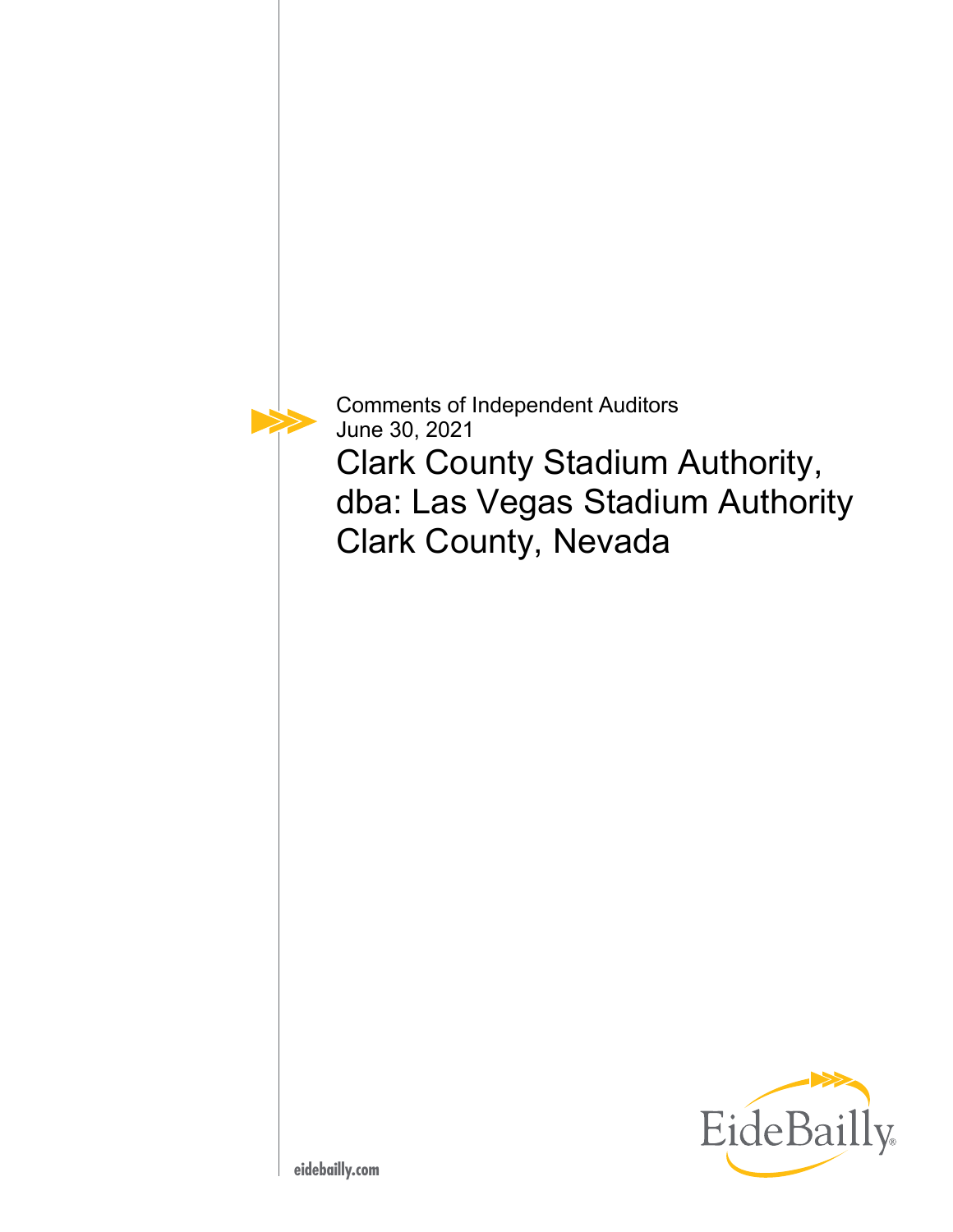Comments of Independent Auditors June 30, 2021 Clark County Stadium Authority, dba: Las Vegas Stadium Authority Clark County, Nevada

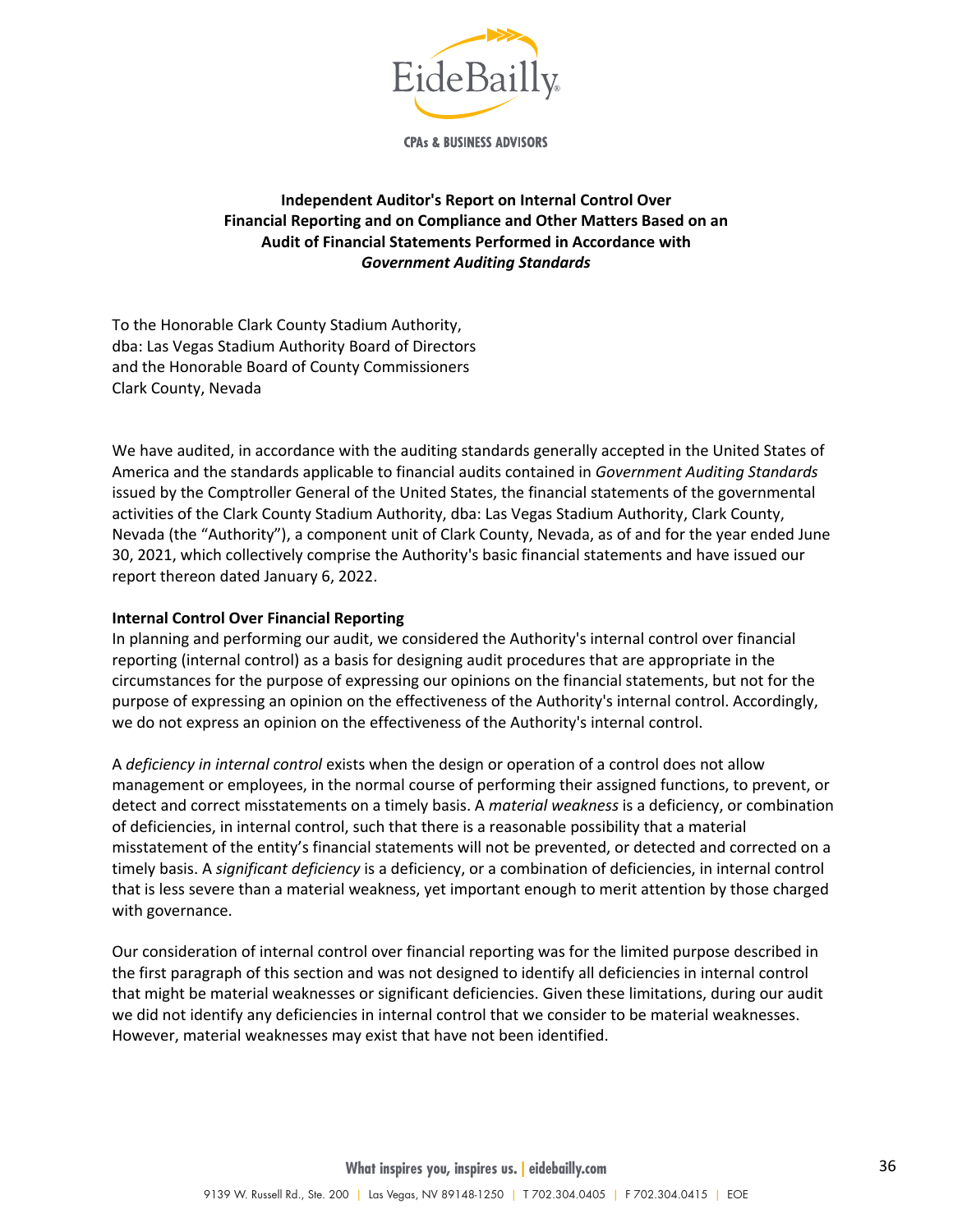

**CPAs & BUSINESS ADVISORS** 

# **Independent Auditor's Report on Internal Control Over Financial Reporting and on Compliance and Other Matters Based on an Audit of Financial Statements Performed in Accordance with** *Government Auditing Standards*

To the Honorable Clark County Stadium Authority, dba: Las Vegas Stadium Authority Board of Directors and the Honorable Board of County Commissioners Clark County, Nevada

We have audited, in accordance with the auditing standards generally accepted in the United States of America and the standards applicable to financial audits contained in *Government Auditing Standards* issued by the Comptroller General of the United States, the financial statements of the governmental activities of the Clark County Stadium Authority, dba: Las Vegas Stadium Authority, Clark County, Nevada (the "Authority"), a component unit of Clark County, Nevada, as of and for the year ended June 30, 2021, which collectively comprise the Authority's basic financial statements and have issued our report thereon dated January 6, 2022.

#### **Internal Control Over Financial Reporting**

In planning and performing our audit, we considered the Authority's internal control over financial reporting (internal control) as a basis for designing audit procedures that are appropriate in the circumstances for the purpose of expressing our opinions on the financial statements, but not for the purpose of expressing an opinion on the effectiveness of the Authority's internal control. Accordingly, we do not express an opinion on the effectiveness of the Authority's internal control.

A *deficiency in internal control* exists when the design or operation of a control does not allow management or employees, in the normal course of performing their assigned functions, to prevent, or detect and correct misstatements on a timely basis. A *material weakness* is a deficiency, or combination of deficiencies, in internal control, such that there is a reasonable possibility that a material misstatement of the entity's financial statements will not be prevented, or detected and corrected on a timely basis. A *significant deficiency* is a deficiency, or a combination of deficiencies, in internal control that is less severe than a material weakness, yet important enough to merit attention by those charged with governance.

Our consideration of internal control over financial reporting was for the limited purpose described in the first paragraph of this section and was not designed to identify all deficiencies in internal control that might be material weaknesses or significant deficiencies. Given these limitations, during our audit we did not identify any deficiencies in internal control that we consider to be material weaknesses. However, material weaknesses may exist that have not been identified.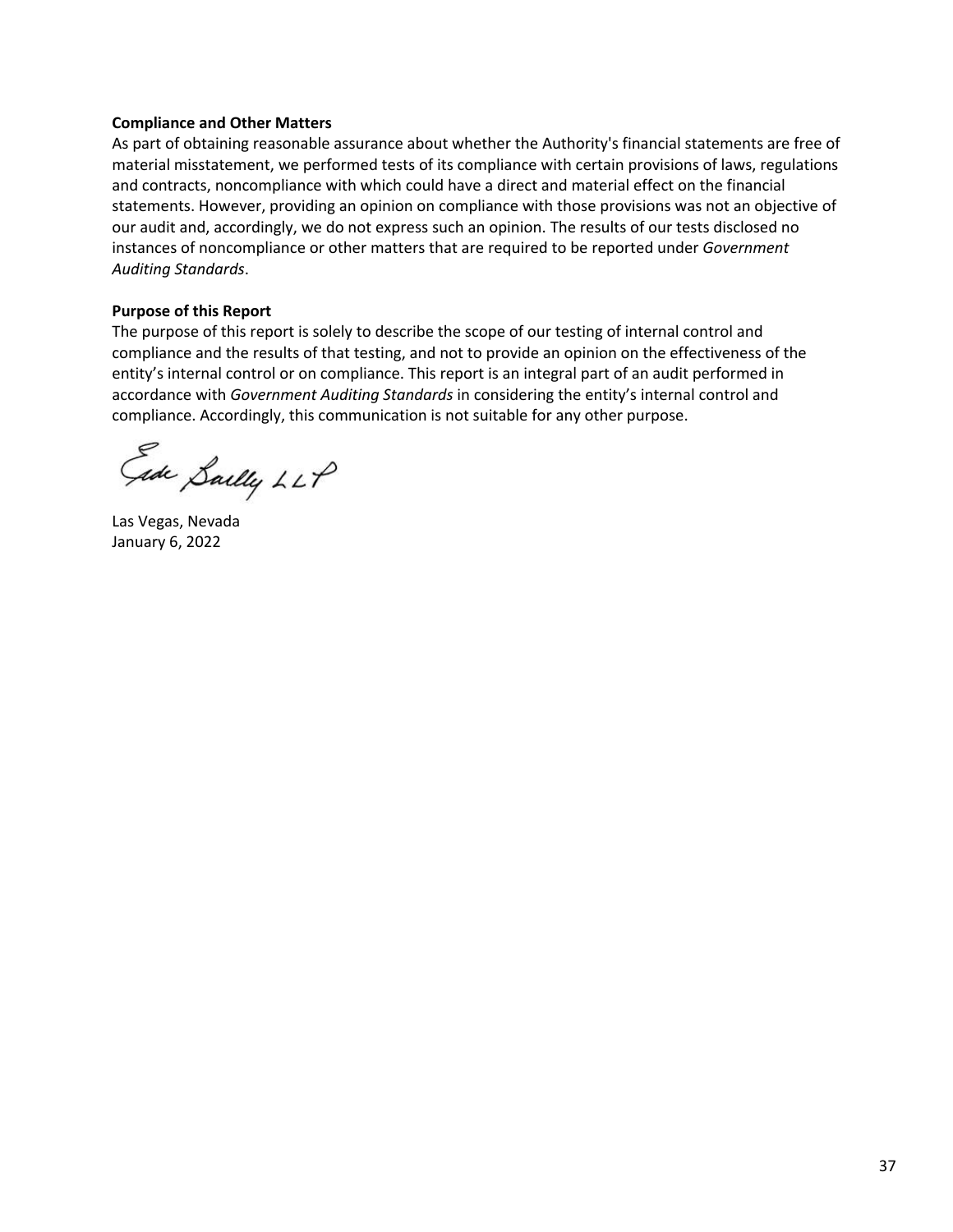#### **Compliance and Other Matters**

As part of obtaining reasonable assurance about whether the Authority's financial statements are free of material misstatement, we performed tests of its compliance with certain provisions of laws, regulations and contracts, noncompliance with which could have a direct and material effect on the financial statements. However, providing an opinion on compliance with those provisions was not an objective of our audit and, accordingly, we do not express such an opinion. The results of our tests disclosed no instances of noncompliance or other matters that are required to be reported under *Government Auditing Standards*.

## **Purpose of this Report**

The purpose of this report is solely to describe the scope of our testing of internal control and compliance and the results of that testing, and not to provide an opinion on the effectiveness of the entity's internal control or on compliance. This report is an integral part of an audit performed in accordance with *Government Auditing Standards* in considering the entity's internal control and compliance. Accordingly, this communication is not suitable for any other purpose.

Eade Sailly LLP

Las Vegas, Nevada January 6, 2022